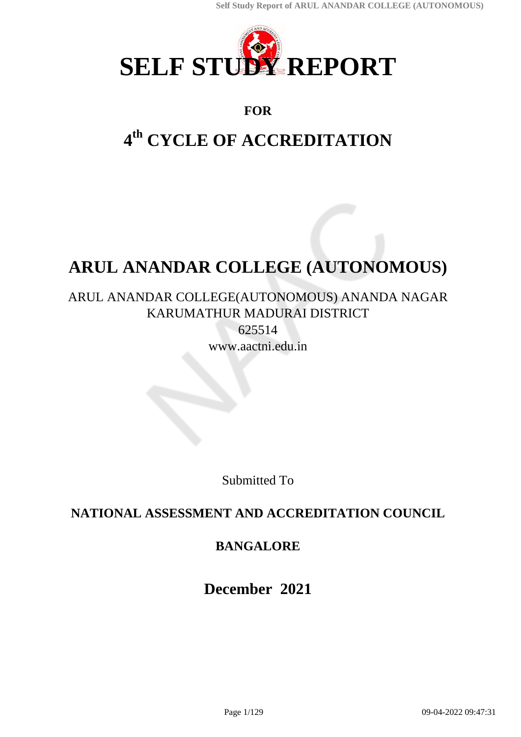

# **FOR**

# **4 th CYCLE OF ACCREDITATION**

# **ARUL ANANDAR COLLEGE (AUTONOMOUS)**

# ARUL ANANDAR COLLEGE(AUTONOMOUS) ANANDA NAGAR KARUMATHUR MADURAI DISTRICT

625514 www.aactni.edu.in

Submitted To

# **NATIONAL ASSESSMENT AND ACCREDITATION COUNCIL**

# **BANGALORE**

**December 2021**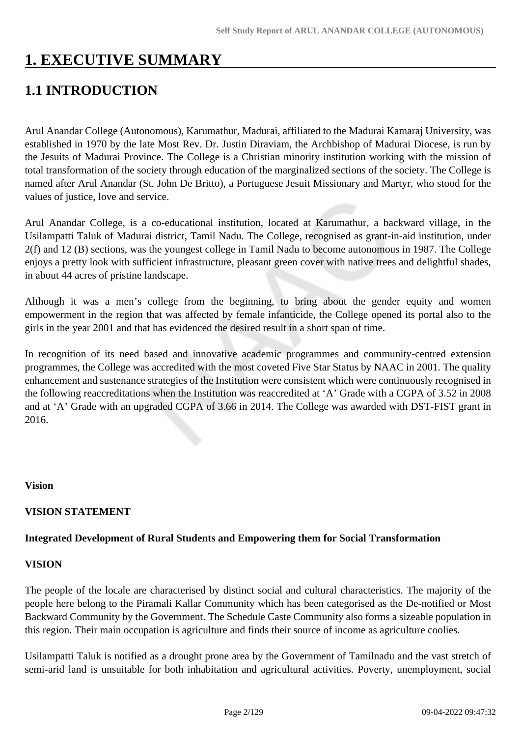# **1. EXECUTIVE SUMMARY**

# **1.1 INTRODUCTION**

Arul Anandar College (Autonomous), Karumathur, Madurai, affiliated to the Madurai Kamaraj University, was established in 1970 by the late Most Rev. Dr. Justin Diraviam, the Archbishop of Madurai Diocese, is run by the Jesuits of Madurai Province. The College is a Christian minority institution working with the mission of total transformation of the society through education of the marginalized sections of the society. The College is named after Arul Anandar (St. John De Britto), a Portuguese Jesuit Missionary and Martyr, who stood for the values of justice, love and service.

Arul Anandar College, is a co-educational institution, located at Karumathur, a backward village, in the Usilampatti Taluk of Madurai district, Tamil Nadu. The College, recognised as grant-in-aid institution, under 2(f) and 12 (B) sections, was the youngest college in Tamil Nadu to become autonomous in 1987. The College enjoys a pretty look with sufficient infrastructure, pleasant green cover with native trees and delightful shades, in about 44 acres of pristine landscape.

Although it was a men's college from the beginning, to bring about the gender equity and women empowerment in the region that was affected by female infanticide, the College opened its portal also to the girls in the year 2001 and that has evidenced the desired result in a short span of time.

In recognition of its need based and innovative academic programmes and community-centred extension programmes, the College was accredited with the most coveted Five Star Status by NAAC in 2001. The quality enhancement and sustenance strategies of the Institution were consistent which were continuously recognised in the following reaccreditations when the Institution was reaccredited at 'A' Grade with a CGPA of 3.52 in 2008 and at 'A' Grade with an upgraded CGPA of 3.66 in 2014. The College was awarded with DST-FIST grant in 2016.

#### **Vision**

# **VISION STATEMENT**

#### **Integrated Development of Rural Students and Empowering them for Social Transformation**

#### **VISION**

The people of the locale are characterised by distinct social and cultural characteristics. The majority of the people here belong to the Piramali Kallar Community which has been categorised as the De-notified or Most Backward Community by the Government. The Schedule Caste Community also forms a sizeable population in this region. Their main occupation is agriculture and finds their source of income as agriculture coolies.

Usilampatti Taluk is notified as a drought prone area by the Government of Tamilnadu and the vast stretch of semi-arid land is unsuitable for both inhabitation and agricultural activities. Poverty, unemployment, social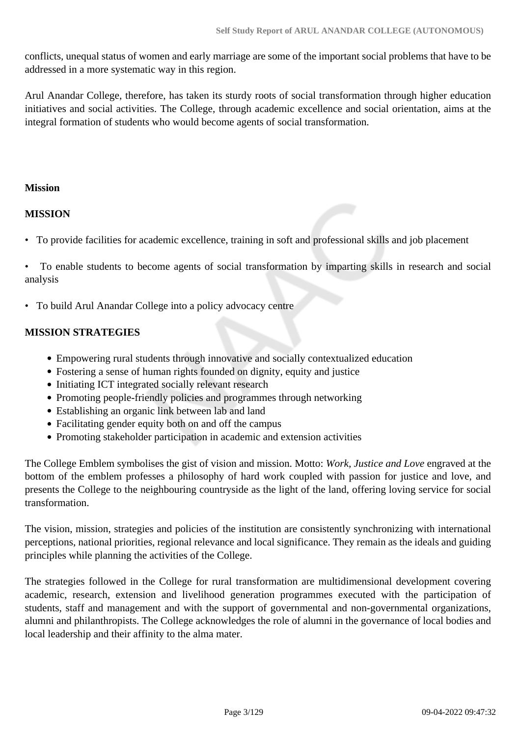conflicts, unequal status of women and early marriage are some of the important social problems that have to be addressed in a more systematic way in this region.

Arul Anandar College, therefore, has taken its sturdy roots of social transformation through higher education initiatives and social activities. The College, through academic excellence and social orientation, aims at the integral formation of students who would become agents of social transformation.

#### **Mission**

#### **MISSION**

• To provide facilities for academic excellence, training in soft and professional skills and job placement

• To enable students to become agents of social transformation by imparting skills in research and social analysis

• To build Arul Anandar College into a policy advocacy centre

#### **MISSION STRATEGIES**

- Empowering rural students through innovative and socially contextualized education
- Fostering a sense of human rights founded on dignity, equity and justice
- Initiating ICT integrated socially relevant research
- Promoting people-friendly policies and programmes through networking
- Establishing an organic link between lab and land
- Facilitating gender equity both on and off the campus
- Promoting stakeholder participation in academic and extension activities

The College Emblem symbolises the gist of vision and mission. Motto: *Work, Justice and Love* engraved at the bottom of the emblem professes a philosophy of hard work coupled with passion for justice and love, and presents the College to the neighbouring countryside as the light of the land, offering loving service for social transformation.

The vision, mission, strategies and policies of the institution are consistently synchronizing with international perceptions, national priorities, regional relevance and local significance. They remain as the ideals and guiding principles while planning the activities of the College.

The strategies followed in the College for rural transformation are multidimensional development covering academic, research, extension and livelihood generation programmes executed with the participation of students, staff and management and with the support of governmental and non-governmental organizations, alumni and philanthropists. The College acknowledges the role of alumni in the governance of local bodies and local leadership and their affinity to the alma mater.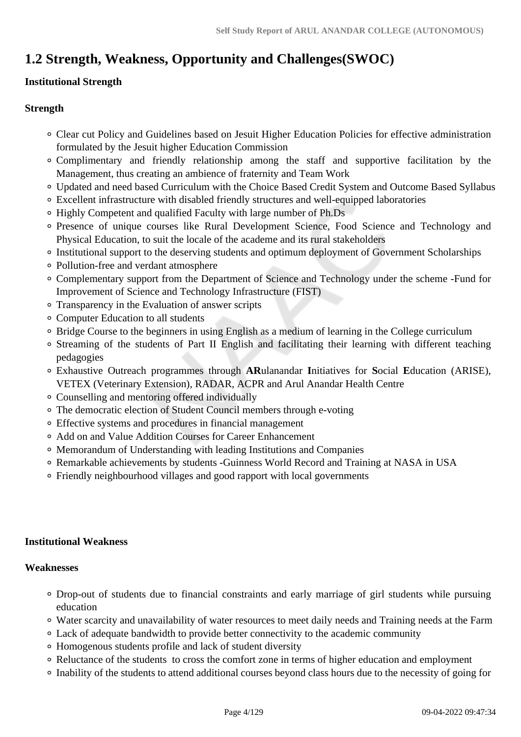# **1.2 Strength, Weakness, Opportunity and Challenges(SWOC)**

# **Institutional Strength**

### **Strength**

- Clear cut Policy and Guidelines based on Jesuit Higher Education Policies for effective administration formulated by the Jesuit higher Education Commission
- Complimentary and friendly relationship among the staff and supportive facilitation by the Management, thus creating an ambience of fraternity and Team Work
- Updated and need based Curriculum with the Choice Based Credit System and Outcome Based Syllabus
- Excellent infrastructure with disabled friendly structures and well-equipped laboratories
- Highly Competent and qualified Faculty with large number of Ph.Ds
- Presence of unique courses like Rural Development Science, Food Science and Technology and Physical Education, to suit the locale of the academe and its rural stakeholders
- <sup>o</sup> Institutional support to the deserving students and optimum deployment of Government Scholarships
- Pollution-free and verdant atmosphere
- Complementary support from the Department of Science and Technology under the scheme -Fund for Improvement of Science and Technology Infrastructure (FIST)
- Transparency in the Evaluation of answer scripts
- Computer Education to all students
- Bridge Course to the beginners in using English as a medium of learning in the College curriculum
- Streaming of the students of Part II English and facilitating their learning with different teaching pedagogies
- Exhaustive Outreach programmes through **AR**ulanandar **I**nitiatives for **S**ocial **E**ducation (ARISE), VETEX (Veterinary Extension), RADAR, ACPR and Arul Anandar Health Centre
- Counselling and mentoring offered individually
- The democratic election of Student Council members through e-voting
- Effective systems and procedures in financial management
- Add on and Value Addition Courses for Career Enhancement
- Memorandum of Understanding with leading Institutions and Companies
- Remarkable achievements by students -Guinness World Record and Training at NASA in USA
- Friendly neighbourhood villages and good rapport with local governments

# **Institutional Weakness**

#### **Weaknesses**

- Drop-out of students due to financial constraints and early marriage of girl students while pursuing education
- Water scarcity and unavailability of water resources to meet daily needs and Training needs at the Farm
- Lack of adequate bandwidth to provide better connectivity to the academic community
- Homogenous students profile and lack of student diversity
- Reluctance of the students to cross the comfort zone in terms of higher education and employment
- Inability of the students to attend additional courses beyond class hours due to the necessity of going for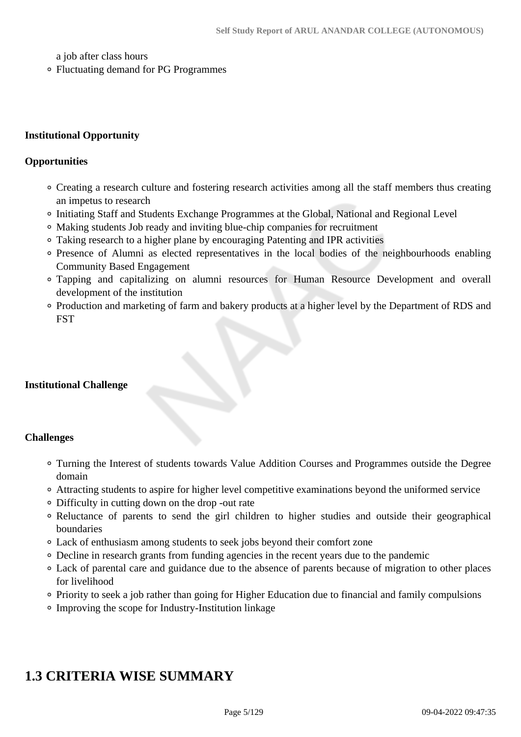a job after class hours

Fluctuating demand for PG Programmes

#### **Institutional Opportunity**

#### **Opportunities**

- Creating a research culture and fostering research activities among all the staff members thus creating an impetus to research
- Initiating Staff and Students Exchange Programmes at the Global, National and Regional Level
- Making students Job ready and inviting blue-chip companies for recruitment
- Taking research to a higher plane by encouraging Patenting and IPR activities
- Presence of Alumni as elected representatives in the local bodies of the neighbourhoods enabling Community Based Engagement
- Tapping and capitalizing on alumni resources for Human Resource Development and overall development of the institution
- Production and marketing of farm and bakery products at a higher level by the Department of RDS and **FST**

#### **Institutional Challenge**

#### **Challenges**

- Turning the Interest of students towards Value Addition Courses and Programmes outside the Degree domain
- Attracting students to aspire for higher level competitive examinations beyond the uniformed service
- Difficulty in cutting down on the drop -out rate
- Reluctance of parents to send the girl children to higher studies and outside their geographical boundaries
- Lack of enthusiasm among students to seek jobs beyond their comfort zone
- Decline in research grants from funding agencies in the recent years due to the pandemic
- Lack of parental care and guidance due to the absence of parents because of migration to other places for livelihood
- Priority to seek a job rather than going for Higher Education due to financial and family compulsions
- Improving the scope for Industry-Institution linkage

# **1.3 CRITERIA WISE SUMMARY**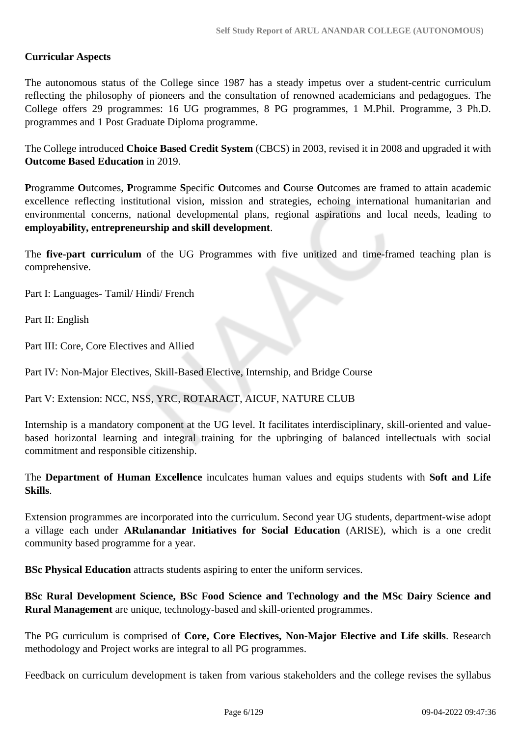#### **Curricular Aspects**

The autonomous status of the College since 1987 has a steady impetus over a student-centric curriculum reflecting the philosophy of pioneers and the consultation of renowned academicians and pedagogues. The College offers 29 programmes: 16 UG programmes, 8 PG programmes, 1 M.Phil. Programme, 3 Ph.D. programmes and 1 Post Graduate Diploma programme.

The College introduced **Choice Based Credit System** (CBCS) in 2003, revised it in 2008 and upgraded it with **Outcome Based Education** in 2019.

**P**rogramme **O**utcomes, **P**rogramme **S**pecific **O**utcomes and **C**ourse **O**utcomes are framed to attain academic excellence reflecting institutional vision, mission and strategies, echoing international humanitarian and environmental concerns, national developmental plans, regional aspirations and local needs, leading to **employability, entrepreneurship and skill development**.

The **five-part curriculum** of the UG Programmes with five unitized and time-framed teaching plan is comprehensive.

Part I: Languages- Tamil/ Hindi/ French

Part II: English

Part III: Core, Core Electives and Allied

Part IV: Non-Major Electives, Skill-Based Elective, Internship, and Bridge Course

Part V: Extension: NCC, NSS, YRC, ROTARACT, AICUF, NATURE CLUB

Internship is a mandatory component at the UG level. It facilitates interdisciplinary, skill-oriented and valuebased horizontal learning and integral training for the upbringing of balanced intellectuals with social commitment and responsible citizenship.

The **Department of Human Excellence** inculcates human values and equips students with **Soft and Life Skills**.

Extension programmes are incorporated into the curriculum. Second year UG students, department-wise adopt a village each under **ARulanandar Initiatives for Social Education** (ARISE), which is a one credit community based programme for a year.

**BSc Physical Education** attracts students aspiring to enter the uniform services.

**BSc Rural Development Science, BSc Food Science and Technology and the MSc Dairy Science and Rural Management** are unique, technology-based and skill-oriented programmes.

The PG curriculum is comprised of **Core, Core Electives, Non-Major Elective and Life skills**. Research methodology and Project works are integral to all PG programmes.

Feedback on curriculum development is taken from various stakeholders and the college revises the syllabus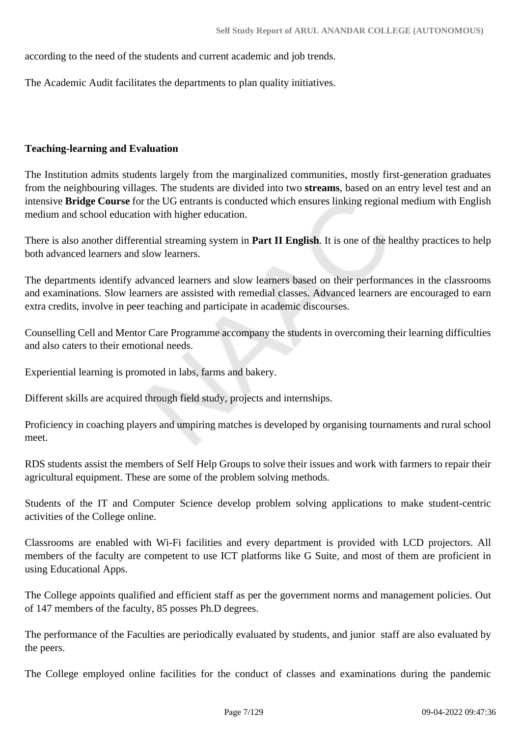according to the need of the students and current academic and job trends.

The Academic Audit facilitates the departments to plan quality initiatives.

#### **Teaching-learning and Evaluation**

The Institution admits students largely from the marginalized communities, mostly first-generation graduates from the neighbouring villages. The students are divided into two **streams**, based on an entry level test and an intensive **Bridge Course** for the UG entrants is conducted which ensures linking regional medium with English medium and school education with higher education.

There is also another differential streaming system in **Part II English**. It is one of the healthy practices to help both advanced learners and slow learners.

The departments identify advanced learners and slow learners based on their performances in the classrooms and examinations. Slow learners are assisted with remedial classes. Advanced learners are encouraged to earn extra credits, involve in peer teaching and participate in academic discourses.

Counselling Cell and Mentor Care Programme accompany the students in overcoming their learning difficulties and also caters to their emotional needs.

Experiential learning is promoted in labs, farms and bakery.

Different skills are acquired through field study, projects and internships.

Proficiency in coaching players and umpiring matches is developed by organising tournaments and rural school meet.

RDS students assist the members of Self Help Groups to solve their issues and work with farmers to repair their agricultural equipment. These are some of the problem solving methods.

Students of the IT and Computer Science develop problem solving applications to make student-centric activities of the College online.

Classrooms are enabled with Wi-Fi facilities and every department is provided with LCD projectors. All members of the faculty are competent to use ICT platforms like G Suite, and most of them are proficient in using Educational Apps.

The College appoints qualified and efficient staff as per the government norms and management policies. Out of 147 members of the faculty, 85 posses Ph.D degrees.

The performance of the Faculties are periodically evaluated by students, and junior staff are also evaluated by the peers.

The College employed online facilities for the conduct of classes and examinations during the pandemic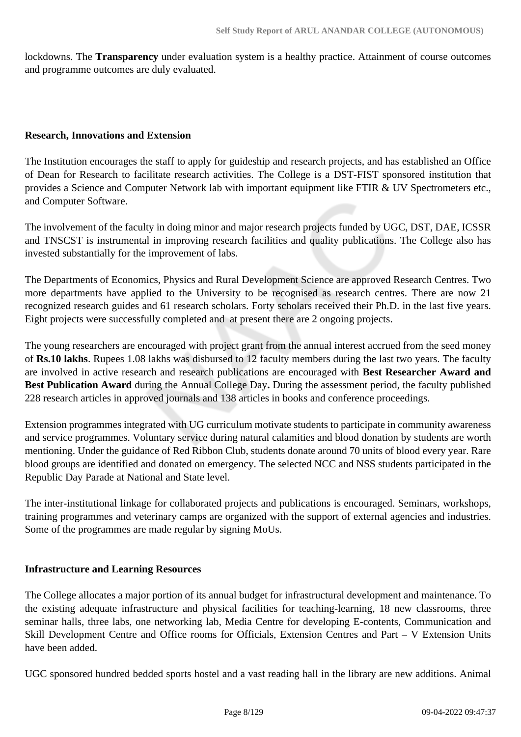lockdowns. The **Transparency** under evaluation system is a healthy practice. Attainment of course outcomes and programme outcomes are duly evaluated.

#### **Research, Innovations and Extension**

The Institution encourages the staff to apply for guideship and research projects, and has established an Office of Dean for Research to facilitate research activities. The College is a DST-FIST sponsored institution that provides a Science and Computer Network lab with important equipment like FTIR & UV Spectrometers etc., and Computer Software.

The involvement of the faculty in doing minor and major research projects funded by UGC, DST, DAE, ICSSR and TNSCST is instrumental in improving research facilities and quality publications. The College also has invested substantially for the improvement of labs.

The Departments of Economics, Physics and Rural Development Science are approved Research Centres. Two more departments have applied to the University to be recognised as research centres. There are now 21 recognized research guides and 61 research scholars. Forty scholars received their Ph.D. in the last five years. Eight projects were successfully completed and at present there are 2 ongoing projects.

The young researchers are encouraged with project grant from the annual interest accrued from the seed money of **Rs.10 lakhs**. Rupees 1.08 lakhs was disbursed to 12 faculty members during the last two years. The faculty are involved in active research and research publications are encouraged with **Best Researcher Award and Best Publication Award** during the Annual College Day**.** During the assessment period, the faculty published 228 research articles in approved journals and 138 articles in books and conference proceedings.

Extension programmes integrated with UG curriculum motivate students to participate in community awareness and service programmes. Voluntary service during natural calamities and blood donation by students are worth mentioning. Under the guidance of Red Ribbon Club, students donate around 70 units of blood every year. Rare blood groups are identified and donated on emergency. The selected NCC and NSS students participated in the Republic Day Parade at National and State level.

The inter-institutional linkage for collaborated projects and publications is encouraged. Seminars, workshops, training programmes and veterinary camps are organized with the support of external agencies and industries. Some of the programmes are made regular by signing MoUs.

#### **Infrastructure and Learning Resources**

The College allocates a major portion of its annual budget for infrastructural development and maintenance. To the existing adequate infrastructure and physical facilities for teaching-learning, 18 new classrooms, three seminar halls, three labs, one networking lab, Media Centre for developing E-contents, Communication and Skill Development Centre and Office rooms for Officials, Extension Centres and Part – V Extension Units have been added.

UGC sponsored hundred bedded sports hostel and a vast reading hall in the library are new additions. Animal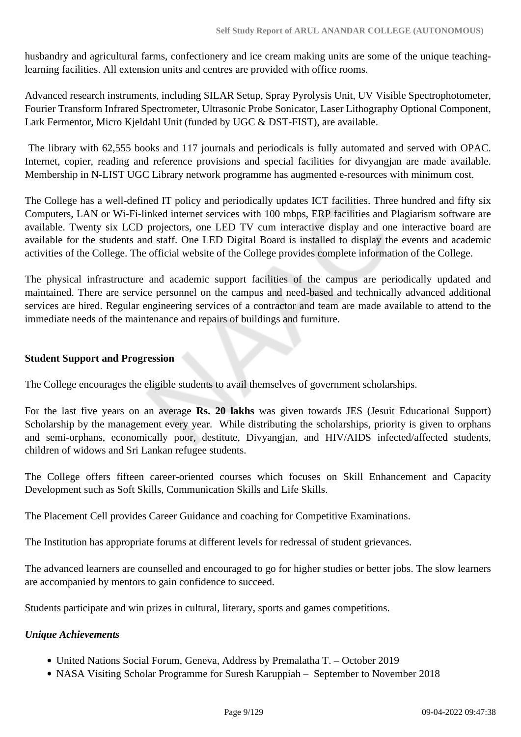husbandry and agricultural farms, confectionery and ice cream making units are some of the unique teachinglearning facilities. All extension units and centres are provided with office rooms.

Advanced research instruments, including SILAR Setup, Spray Pyrolysis Unit, UV Visible Spectrophotometer, Fourier Transform Infrared Spectrometer, Ultrasonic Probe Sonicator, Laser Lithography Optional Component, Lark Fermentor, Micro Kjeldahl Unit (funded by UGC & DST-FIST), are available.

 The library with 62,555 books and 117 journals and periodicals is fully automated and served with OPAC. Internet, copier, reading and reference provisions and special facilities for divyangjan are made available. Membership in N-LIST UGC Library network programme has augmented e-resources with minimum cost.

The College has a well-defined IT policy and periodically updates ICT facilities. Three hundred and fifty six Computers, LAN or Wi-Fi-linked internet services with 100 mbps, ERP facilities and Plagiarism software are available. Twenty six LCD projectors, one LED TV cum interactive display and one interactive board are available for the students and staff. One LED Digital Board is installed to display the events and academic activities of the College. The official website of the College provides complete information of the College.

The physical infrastructure and academic support facilities of the campus are periodically updated and maintained. There are service personnel on the campus and need-based and technically advanced additional services are hired. Regular engineering services of a contractor and team are made available to attend to the immediate needs of the maintenance and repairs of buildings and furniture.

#### **Student Support and Progression**

The College encourages the eligible students to avail themselves of government scholarships.

For the last five years on an average **Rs. 20 lakhs** was given towards JES (Jesuit Educational Support) Scholarship by the management every year. While distributing the scholarships, priority is given to orphans and semi-orphans, economically poor, destitute, Divyangjan, and HIV/AIDS infected/affected students, children of widows and Sri Lankan refugee students.

The College offers fifteen career-oriented courses which focuses on Skill Enhancement and Capacity Development such as Soft Skills, Communication Skills and Life Skills.

The Placement Cell provides Career Guidance and coaching for Competitive Examinations.

The Institution has appropriate forums at different levels for redressal of student grievances.

The advanced learners are counselled and encouraged to go for higher studies or better jobs. The slow learners are accompanied by mentors to gain confidence to succeed.

Students participate and win prizes in cultural, literary, sports and games competitions.

#### *Unique Achievements*

- United Nations Social Forum, Geneva, Address by Premalatha T. October 2019
- NASA Visiting Scholar Programme for Suresh Karuppiah September to November 2018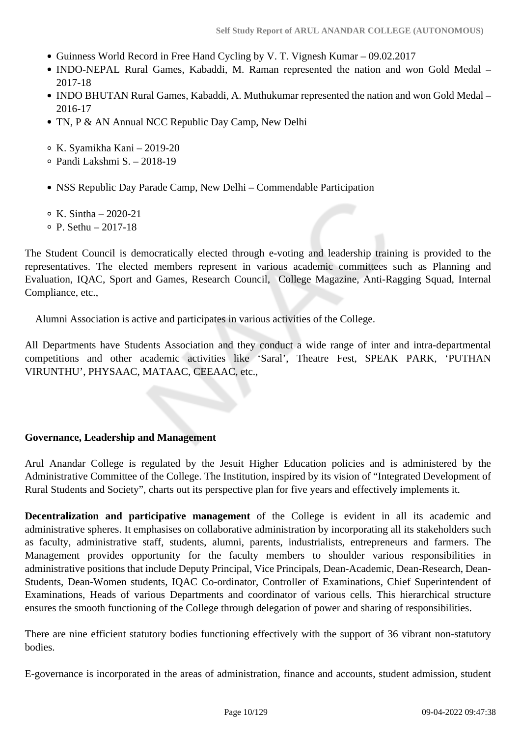- Guinness World Record in Free Hand Cycling by V. T. Vignesh Kumar 09.02.2017
- INDO-NEPAL Rural Games, Kabaddi, M. Raman represented the nation and won Gold Medal 2017-18
- INDO BHUTAN Rural Games, Kabaddi, A. Muthukumar represented the nation and won Gold Medal 2016-17
- TN, P & AN Annual NCC Republic Day Camp, New Delhi
- K. Syamikha Kani 2019-20
- Pandi Lakshmi S. 2018-19
- NSS Republic Day Parade Camp, New Delhi Commendable Participation
- $\circ$  K. Sintha 2020-21
- $\circ$  P. Sethu 2017-18

The Student Council is democratically elected through e-voting and leadership training is provided to the representatives. The elected members represent in various academic committees such as Planning and Evaluation, IQAC, Sport and Games, Research Council, College Magazine, Anti-Ragging Squad, Internal Compliance, etc.,

Alumni Association is active and participates in various activities of the College.

All Departments have Students Association and they conduct a wide range of inter and intra-departmental competitions and other academic activities like 'Saral', Theatre Fest, SPEAK PARK, 'PUTHAN VIRUNTHU', PHYSAAC, MATAAC, CEEAAC, etc.,

#### **Governance, Leadership and Management**

Arul Anandar College is regulated by the Jesuit Higher Education policies and is administered by the Administrative Committee of the College. The Institution, inspired by its vision of "Integrated Development of Rural Students and Society", charts out its perspective plan for five years and effectively implements it.

**Decentralization and participative management** of the College is evident in all its academic and administrative spheres. It emphasises on collaborative administration by incorporating all its stakeholders such as faculty, administrative staff, students, alumni, parents, industrialists, entrepreneurs and farmers. The Management provides opportunity for the faculty members to shoulder various responsibilities in administrative positions that include Deputy Principal, Vice Principals, Dean-Academic, Dean-Research, Dean-Students, Dean-Women students, IQAC Co-ordinator, Controller of Examinations, Chief Superintendent of Examinations, Heads of various Departments and coordinator of various cells. This hierarchical structure ensures the smooth functioning of the College through delegation of power and sharing of responsibilities.

There are nine efficient statutory bodies functioning effectively with the support of 36 vibrant non-statutory bodies.

E-governance is incorporated in the areas of administration, finance and accounts, student admission, student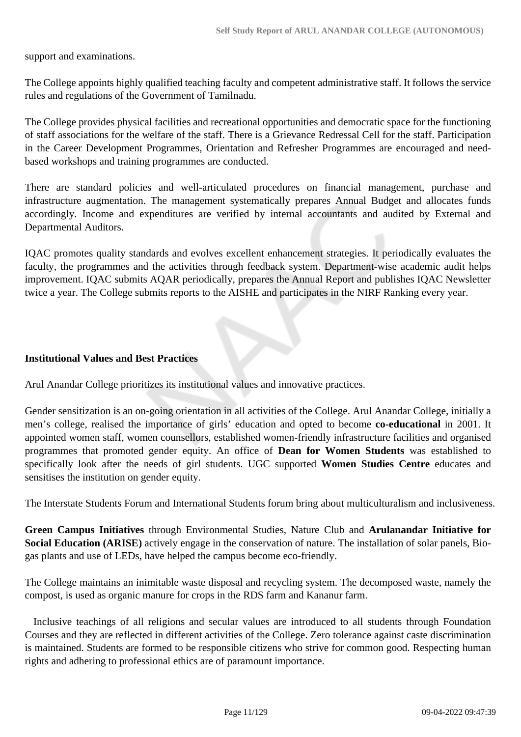support and examinations.

The College appoints highly qualified teaching faculty and competent administrative staff. It follows the service rules and regulations of the Government of Tamilnadu.

The College provides physical facilities and recreational opportunities and democratic space for the functioning of staff associations for the welfare of the staff. There is a Grievance Redressal Cell for the staff. Participation in the Career Development Programmes, Orientation and Refresher Programmes are encouraged and needbased workshops and training programmes are conducted.

There are standard policies and well-articulated procedures on financial management, purchase and infrastructure augmentation. The management systematically prepares Annual Budget and allocates funds accordingly. Income and expenditures are verified by internal accountants and audited by External and Departmental Auditors.

IQAC promotes quality standards and evolves excellent enhancement strategies. It periodically evaluates the faculty, the programmes and the activities through feedback system. Department-wise academic audit helps improvement. IQAC submits AQAR periodically, prepares the Annual Report and publishes IQAC Newsletter twice a year. The College submits reports to the AISHE and participates in the NIRF Ranking every year.

#### **Institutional Values and Best Practices**

Arul Anandar College prioritizes its institutional values and innovative practices.

Gender sensitization is an on-going orientation in all activities of the College. Arul Anandar College, initially a men's college, realised the importance of girls' education and opted to become **co-educational** in 2001. It appointed women staff, women counsellors, established women-friendly infrastructure facilities and organised programmes that promoted gender equity. An office of **Dean for Women Students** was established to specifically look after the needs of girl students. UGC supported **Women Studies Centre** educates and sensitises the institution on gender equity.

The Interstate Students Forum and International Students forum bring about multiculturalism and inclusiveness.

**Green Campus Initiatives** through Environmental Studies, Nature Club and **Arulanandar Initiative for Social Education (ARISE)** actively engage in the conservation of nature. The installation of solar panels, Biogas plants and use of LEDs, have helped the campus become eco-friendly.

The College maintains an inimitable waste disposal and recycling system. The decomposed waste, namely the compost, is used as organic manure for crops in the RDS farm and Kananur farm.

 Inclusive teachings of all religions and secular values are introduced to all students through Foundation Courses and they are reflected in different activities of the College. Zero tolerance against caste discrimination is maintained. Students are formed to be responsible citizens who strive for common good. Respecting human rights and adhering to professional ethics are of paramount importance.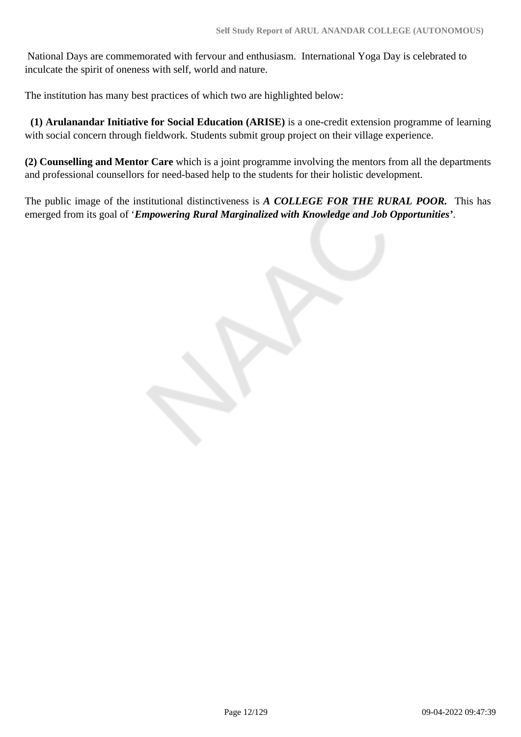National Days are commemorated with fervour and enthusiasm. International Yoga Day is celebrated to inculcate the spirit of oneness with self, world and nature.

The institution has many best practices of which two are highlighted below:

 **(1) Arulanandar Initiative for Social Education (ARISE)** is a one-credit extension programme of learning with social concern through fieldwork. Students submit group project on their village experience.

**(2) Counselling and Mentor Care** which is a joint programme involving the mentors from all the departments and professional counsellors for need-based help to the students for their holistic development.

The public image of the institutional distinctiveness is *A COLLEGE FOR THE RURAL POOR.* This has emerged from its goal of '*Empowering Rural Marginalized with Knowledge and Job Opportunities'*.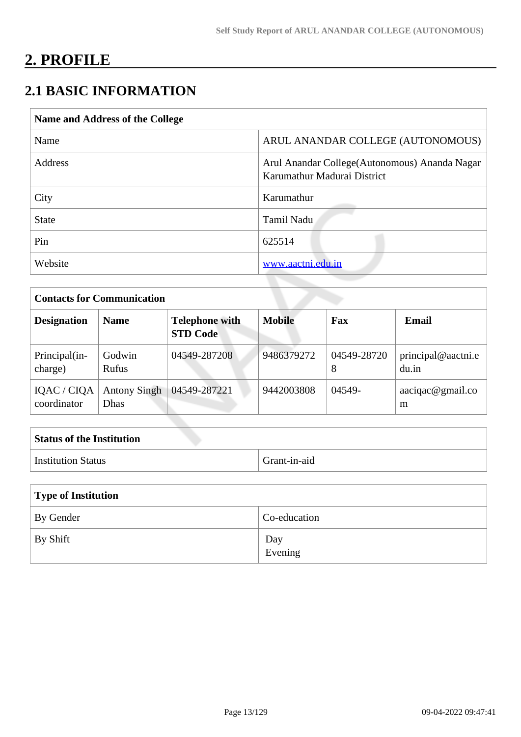# **2. PROFILE**

# **2.1 BASIC INFORMATION**

| Name and Address of the College |                                                                               |
|---------------------------------|-------------------------------------------------------------------------------|
| Name                            | ARUL ANANDAR COLLEGE (AUTONOMOUS)                                             |
| <b>Address</b>                  | Arul Anandar College (Autonomous) Ananda Nagar<br>Karumathur Madurai District |
| City                            | Karumathur                                                                    |
| <b>State</b>                    | Tamil Nadu                                                                    |
| Pin                             | 625514                                                                        |
| Website                         | www.aactni.edu.in                                                             |

| <b>Contacts for Communication</b> |                                    |                                          |               |                  |                             |
|-----------------------------------|------------------------------------|------------------------------------------|---------------|------------------|-----------------------------|
| <b>Designation</b>                | <b>Name</b>                        | <b>Telephone with</b><br><b>STD Code</b> | <b>Mobile</b> | Fax              | Email                       |
| Principal(in-<br>charge)          | Godwin<br><b>Rufus</b>             | 04549-287208                             | 9486379272    | 04549-28720<br>8 | principal@aactni.e<br>du.in |
| IQAC / CIQA<br>coordinator        | <b>Antony Singh</b><br><b>Dhas</b> | 04549-287221                             | 9442003808    | 04549-           | aaciqac@gmail.co<br>m       |

| <b>Status of the Institution</b> |              |
|----------------------------------|--------------|
| Institution Status               | Grant-in-aid |

| Type of Institution |                |  |
|---------------------|----------------|--|
| By Gender           | Co-education   |  |
| By Shift            | Day<br>Evening |  |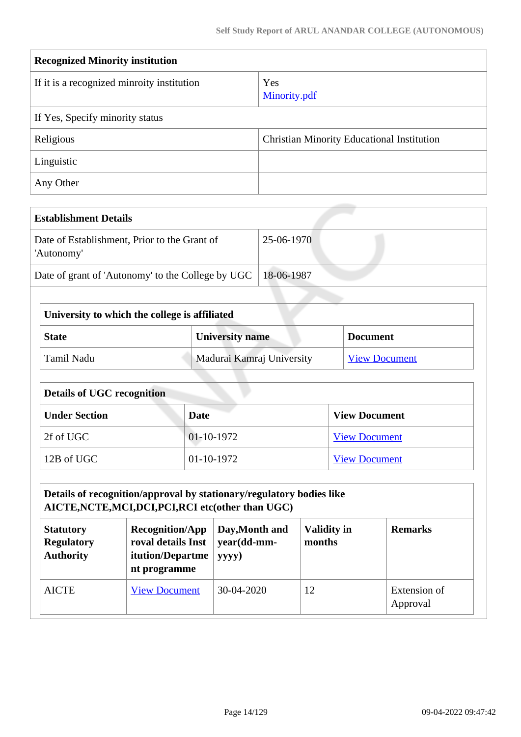| <b>Recognized Minority institution</b>     |                                                   |  |  |  |
|--------------------------------------------|---------------------------------------------------|--|--|--|
| If it is a recognized minroity institution | Yes<br>Minority.pdf                               |  |  |  |
| If Yes, Specify minority status            |                                                   |  |  |  |
| Religious                                  | <b>Christian Minority Educational Institution</b> |  |  |  |
| Linguistic                                 |                                                   |  |  |  |
| Any Other                                  |                                                   |  |  |  |

| <b>Establishment Details</b>                               |            |
|------------------------------------------------------------|------------|
| Date of Establishment, Prior to the Grant of<br>'Autonomy' | 25-06-1970 |
| Date of grant of 'Autonomy' to the College by UGC          | 18-06-1987 |

| University to which the college is affiliated             |                           |                      |  |
|-----------------------------------------------------------|---------------------------|----------------------|--|
| <b>University name</b><br><b>State</b><br><b>Document</b> |                           |                      |  |
| Tamil Nadu                                                | Madurai Kamraj University | <b>View Document</b> |  |

| <b>Details of UGC recognition</b> |              |                      |  |
|-----------------------------------|--------------|----------------------|--|
| <b>Under Section</b>              | Date         | <b>View Document</b> |  |
| 2f of UGC                         | $01-10-1972$ | <b>View Document</b> |  |
| 12B of UGC                        | 01-10-1972   | <b>View Document</b> |  |

| Details of recognition/approval by stationary/regulatory bodies like<br>AICTE, NCTE, MCI, DCI, PCI, RCI etc(other than UGC)                                                                                                               |                      |            |    |                          |  |
|-------------------------------------------------------------------------------------------------------------------------------------------------------------------------------------------------------------------------------------------|----------------------|------------|----|--------------------------|--|
| <b>Validity in</b><br><b>Recognition/App</b><br>Day, Month and<br><b>Remarks</b><br><b>Statutory</b><br>roval details Inst<br>year(dd-mm-<br><b>Regulatory</b><br>months<br><b>Authority</b><br>itution/Departme<br>yyyy)<br>nt programme |                      |            |    |                          |  |
| <b>AICTE</b>                                                                                                                                                                                                                              | <b>View Document</b> | 30-04-2020 | 12 | Extension of<br>Approval |  |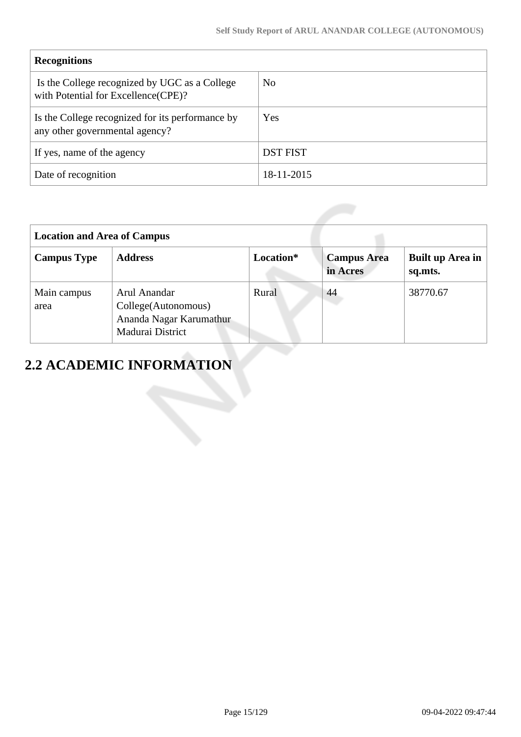| <b>Recognitions</b>                                                                  |                 |
|--------------------------------------------------------------------------------------|-----------------|
| Is the College recognized by UGC as a College<br>with Potential for Excellence(CPE)? | N <sub>0</sub>  |
| Is the College recognized for its performance by<br>any other governmental agency?   | Yes             |
| If yes, name of the agency                                                           | <b>DST FIST</b> |
| Date of recognition                                                                  | 18-11-2015      |

| <b>Location and Area of Campus</b> |                                                                                    |           |                                |                             |  |
|------------------------------------|------------------------------------------------------------------------------------|-----------|--------------------------------|-----------------------------|--|
| <b>Campus Type</b>                 | <b>Address</b>                                                                     | Location* | <b>Campus Area</b><br>in Acres | Built up Area in<br>sq.mts. |  |
| Main campus<br>area                | Arul Anandar<br>College(Autonomous)<br>Ananda Nagar Karumathur<br>Madurai District | Rural     | 44                             | 38770.67                    |  |

# **2.2 ACADEMIC INFORMATION**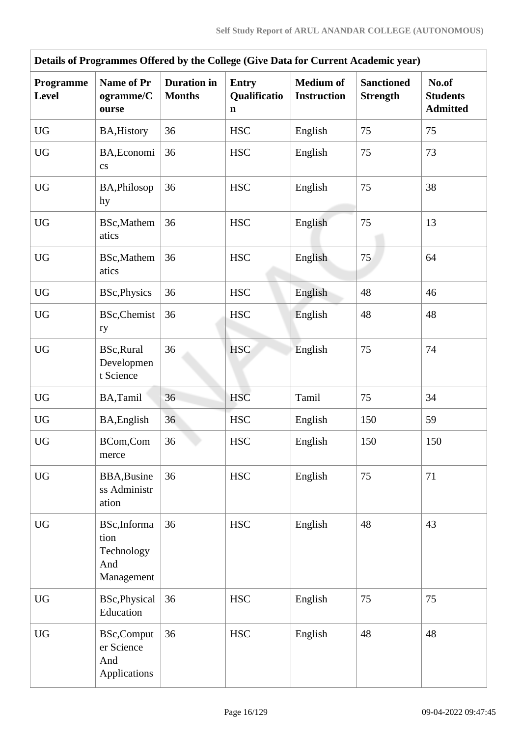| Details of Programmes Offered by the College (Give Data for Current Academic year) |                                                         |                                     |                                   |                                        |                                      |                                             |  |
|------------------------------------------------------------------------------------|---------------------------------------------------------|-------------------------------------|-----------------------------------|----------------------------------------|--------------------------------------|---------------------------------------------|--|
| Programme<br><b>Level</b>                                                          | <b>Name of Pr</b><br>ogramme/C<br>ourse                 | <b>Duration</b> in<br><b>Months</b> | <b>Entry</b><br>Qualificatio<br>n | <b>Medium of</b><br><b>Instruction</b> | <b>Sanctioned</b><br><b>Strength</b> | No.of<br><b>Students</b><br><b>Admitted</b> |  |
| <b>UG</b>                                                                          | <b>BA, History</b>                                      | 36                                  | <b>HSC</b>                        | English                                | 75                                   | 75                                          |  |
| <b>UG</b>                                                                          | BA, Economi<br>$\rm{c}\rm{s}$                           | 36                                  | <b>HSC</b>                        | English                                | 75                                   | 73                                          |  |
| <b>UG</b>                                                                          | BA, Philosop<br>hy                                      | 36                                  | <b>HSC</b>                        | English                                | 75                                   | 38                                          |  |
| <b>UG</b>                                                                          | BSc, Mathem<br>atics                                    | 36                                  | <b>HSC</b>                        | English                                | 75                                   | 13                                          |  |
| <b>UG</b>                                                                          | BSc, Mathem<br>atics                                    | 36                                  | <b>HSC</b>                        | English                                | 75                                   | 64                                          |  |
| <b>UG</b>                                                                          | <b>BSc, Physics</b>                                     | 36                                  | <b>HSC</b>                        | English                                | 48                                   | 46                                          |  |
| <b>UG</b>                                                                          | <b>BSc, Chemist</b><br>ry                               | 36                                  | <b>HSC</b>                        | English                                | 48                                   | 48                                          |  |
| <b>UG</b>                                                                          | BSc, Rural<br>Developmen<br>t Science                   | 36                                  | <b>HSC</b>                        | English                                | 75                                   | 74                                          |  |
| <b>UG</b>                                                                          | BA,Tamil                                                | 36                                  | <b>HSC</b>                        | Tamil                                  | 75                                   | 34                                          |  |
| <b>UG</b>                                                                          | BA, English                                             | 36                                  | <b>HSC</b>                        | English                                | 150                                  | 59                                          |  |
| UG                                                                                 | BCom,Com<br>merce                                       | 36                                  | <b>HSC</b>                        | English                                | 150                                  | 150                                         |  |
| <b>UG</b>                                                                          | <b>BBA, Busine</b><br>ss Administr<br>ation             | 36                                  | $_{\mathrm{HSC}}$                 | English                                | 75                                   | 71                                          |  |
| <b>UG</b>                                                                          | BSc, Informa<br>tion<br>Technology<br>And<br>Management | 36                                  | <b>HSC</b>                        | English                                | 48                                   | 43                                          |  |
| <b>UG</b>                                                                          | BSc, Physical<br>Education                              | 36                                  | <b>HSC</b>                        | English                                | 75                                   | 75                                          |  |
| $\mathbf{U}\mathbf{G}$                                                             | <b>BSc,Comput</b><br>er Science<br>And<br>Applications  | 36                                  | $_{\mathrm{HSC}}$                 | English                                | 48                                   | 48                                          |  |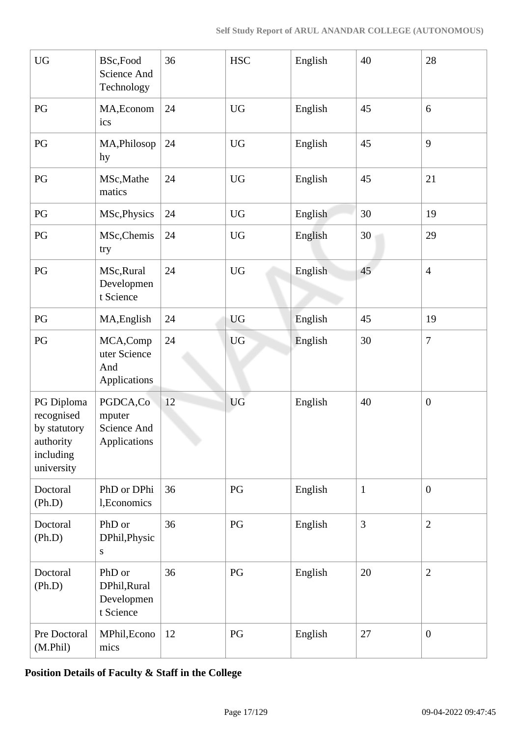| $\mathbf{U}\mathbf{G}$                                                           | BSc,Food<br>Science And<br>Technology             | 36 | $_{\mathrm{HSC}}$ | English | 40           | 28               |
|----------------------------------------------------------------------------------|---------------------------------------------------|----|-------------------|---------|--------------|------------------|
| PG                                                                               | MA, Econom<br>ics                                 | 24 | <b>UG</b>         | English | 45           | 6                |
| $\mathbf{P}\mathbf{G}$                                                           | MA, Philosop<br>hy                                | 24 | <b>UG</b>         | English | 45           | 9                |
| PG                                                                               | MSc, Mathe<br>matics                              | 24 | <b>UG</b>         | English | 45           | 21               |
| PG                                                                               | MSc, Physics                                      | 24 | <b>UG</b>         | English | 30           | 19               |
| $\mathbf{P}\mathbf{G}$                                                           | MSc, Chemis<br>try                                | 24 | <b>UG</b>         | English | 30           | 29               |
| $\mathbf{P}\mathbf{G}$                                                           | MSc, Rural<br>Developmen<br>t Science             | 24 | <b>UG</b>         | English | 45           | $\overline{4}$   |
| PG                                                                               | MA, English                                       | 24 | <b>UG</b>         | English | 45           | 19               |
| PG                                                                               | MCA,Comp<br>uter Science<br>And<br>Applications   | 24 | <b>UG</b>         | English | 30           | $\overline{7}$   |
| PG Diploma<br>recognised<br>by statutory<br>authority<br>including<br>university | PGDCA,Co<br>mputer<br>Science And<br>Applications | 12 | <b>UG</b>         | English | 40           | $\boldsymbol{0}$ |
| Doctoral<br>(Ph.D)                                                               | PhD or DPhi<br>1, Economics                       | 36 | PG                | English | $\mathbf{1}$ | $\overline{0}$   |
| Doctoral<br>(Ph.D)                                                               | PhD or<br>DPhil, Physic<br>${\bf S}$              | 36 | PG                | English | 3            | $\overline{2}$   |
| Doctoral<br>(Ph.D)                                                               | PhD or<br>DPhil, Rural<br>Developmen<br>t Science | 36 | PG                | English | 20           | $\overline{2}$   |
| Pre Doctoral<br>(M.Phil)                                                         | MPhil, Econo<br>mics                              | 12 | PG                | English | 27           | $\boldsymbol{0}$ |

**Position Details of Faculty & Staff in the College**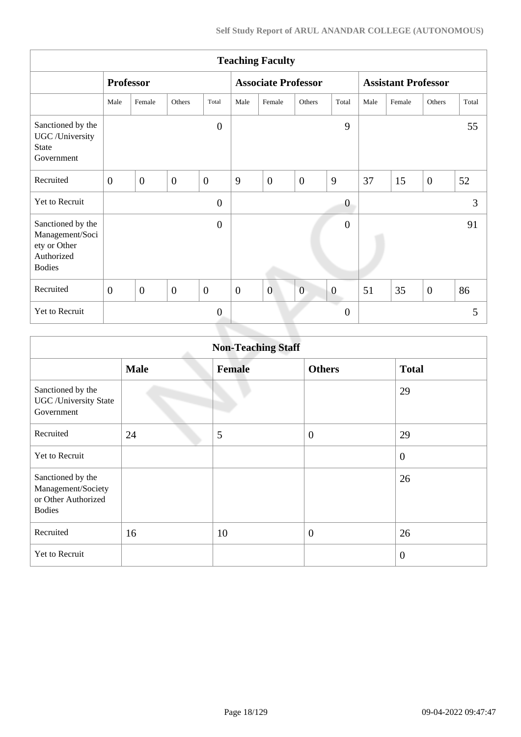|                                                                                     | <b>Teaching Faculty</b> |                |                  |                |                            |                |                |                            |      |        |                |       |
|-------------------------------------------------------------------------------------|-------------------------|----------------|------------------|----------------|----------------------------|----------------|----------------|----------------------------|------|--------|----------------|-------|
|                                                                                     | <b>Professor</b>        |                |                  |                | <b>Associate Professor</b> |                |                | <b>Assistant Professor</b> |      |        |                |       |
|                                                                                     | Male                    | Female         | Others           | Total          | Male                       | Female         | Others         | Total                      | Male | Female | Others         | Total |
| Sanctioned by the<br>UGC /University<br><b>State</b><br>Government                  |                         |                |                  | $\overline{0}$ |                            |                |                | 9                          |      |        |                | 55    |
| Recruited                                                                           | $\overline{0}$          | $\overline{0}$ | $\boldsymbol{0}$ | $\overline{0}$ | 9                          | $\overline{0}$ | $\overline{0}$ | 9                          | 37   | 15     | $\overline{0}$ | 52    |
| Yet to Recruit                                                                      |                         |                |                  | $\overline{0}$ |                            |                |                | $\boldsymbol{0}$           |      |        |                | 3     |
| Sanctioned by the<br>Management/Soci<br>ety or Other<br>Authorized<br><b>Bodies</b> |                         |                |                  | $\theta$       |                            |                |                | $\overline{0}$             |      |        |                | 91    |
| Recruited                                                                           | $\overline{0}$          | $\overline{0}$ | $\overline{0}$   | $\mathbf{0}$   | $\overline{0}$             | $\overline{0}$ | $\overline{0}$ | $\theta$                   | 51   | 35     | $\mathbf{0}$   | 86    |
| Yet to Recruit                                                                      |                         |                |                  | $\mathbf{0}$   |                            |                |                | $\boldsymbol{0}$           |      |        |                | 5     |

| <b>Non-Teaching Staff</b>                                                       |             |               |                  |                |  |  |  |
|---------------------------------------------------------------------------------|-------------|---------------|------------------|----------------|--|--|--|
|                                                                                 | <b>Male</b> | <b>Female</b> | <b>Others</b>    | <b>Total</b>   |  |  |  |
| Sanctioned by the<br><b>UGC</b> / University State<br>Government                |             |               |                  | 29             |  |  |  |
| Recruited                                                                       | 24          | 5             | $\boldsymbol{0}$ | 29             |  |  |  |
| <b>Yet to Recruit</b>                                                           |             |               |                  | $\overline{0}$ |  |  |  |
| Sanctioned by the<br>Management/Society<br>or Other Authorized<br><b>Bodies</b> |             |               |                  | 26             |  |  |  |
| Recruited                                                                       | 16          | 10            | $\boldsymbol{0}$ | 26             |  |  |  |
| Yet to Recruit                                                                  |             |               |                  | $\overline{0}$ |  |  |  |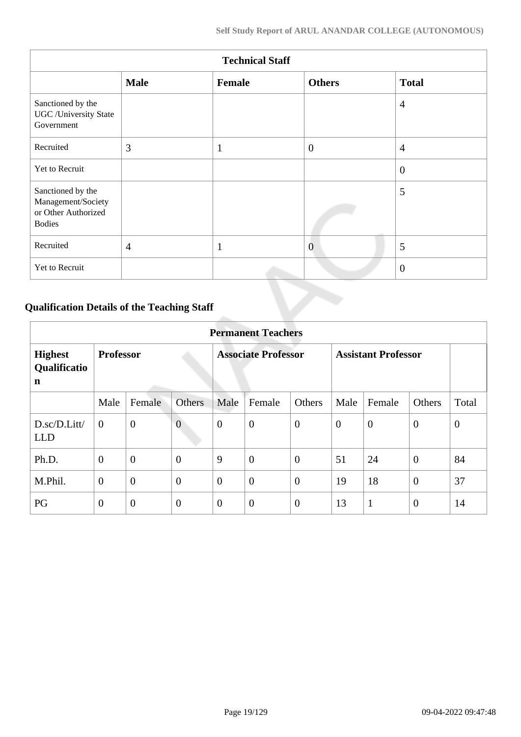| <b>Technical Staff</b>                                                          |                |              |                |                |  |  |  |
|---------------------------------------------------------------------------------|----------------|--------------|----------------|----------------|--|--|--|
|                                                                                 | <b>Male</b>    | Female       | <b>Others</b>  | <b>Total</b>   |  |  |  |
| Sanctioned by the<br><b>UGC</b> / University State<br>Government                |                |              |                | $\overline{4}$ |  |  |  |
| Recruited                                                                       | 3              | $\mathbf{1}$ | $\overline{0}$ | $\overline{4}$ |  |  |  |
| Yet to Recruit                                                                  |                |              |                | $\overline{0}$ |  |  |  |
| Sanctioned by the<br>Management/Society<br>or Other Authorized<br><b>Bodies</b> |                |              |                | 5              |  |  |  |
| Recruited                                                                       | $\overline{4}$ | $\mathbf{1}$ | $\overline{0}$ | 5              |  |  |  |
| Yet to Recruit                                                                  |                |              |                | $\overline{0}$ |  |  |  |

# **Qualification Details of the Teaching Staff**

|                                     | <b>Permanent Teachers</b> |                |                            |                  |                  |                            |                |                |                  |              |
|-------------------------------------|---------------------------|----------------|----------------------------|------------------|------------------|----------------------------|----------------|----------------|------------------|--------------|
| <b>Highest</b><br>Qualificatio<br>n | <b>Professor</b>          |                | <b>Associate Professor</b> |                  |                  | <b>Assistant Professor</b> |                |                |                  |              |
|                                     | Male                      | Female         | <b>Others</b>              | Male             | Female           | Others                     | Male           | Female         | Others           | Total        |
| D.sc/D.Litt/<br><b>LLD</b>          | $\overline{0}$            | $\overline{0}$ | $\overline{0}$             | $\boldsymbol{0}$ | $\boldsymbol{0}$ | $\theta$                   | $\overline{0}$ | $\overline{0}$ | $\overline{0}$   | $\mathbf{0}$ |
| Ph.D.                               | $\theta$                  | $\mathbf{0}$   | $\boldsymbol{0}$           | 9                | $\overline{0}$   | $\overline{0}$             | 51             | 24             | $\overline{0}$   | 84           |
| M.Phil.                             | $\mathbf{0}$              | $\overline{0}$ | $\overline{0}$             | $\overline{0}$   | $\overline{0}$   | $\overline{0}$             | 19             | 18             | $\boldsymbol{0}$ | 37           |
| PG                                  | $\overline{0}$            | $\overline{0}$ | $\overline{0}$             | $\overline{0}$   | $\overline{0}$   | $\boldsymbol{0}$           | 13             | $\mathbf{1}$   | $\overline{0}$   | 14           |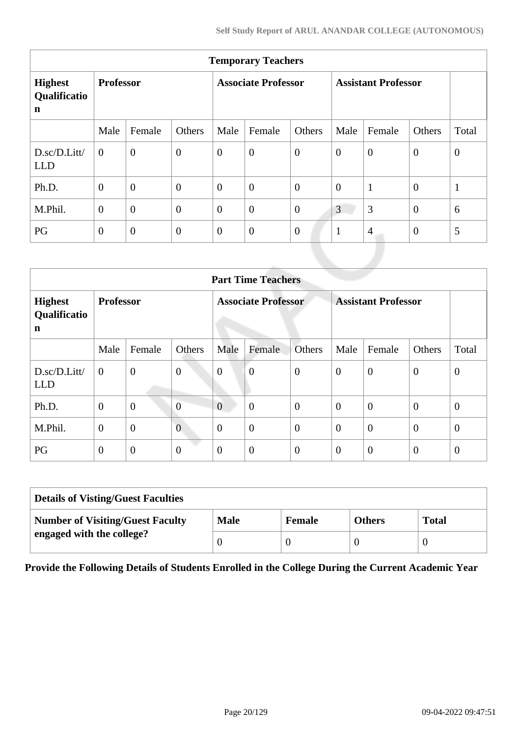| <b>Temporary Teachers</b>                     |                  |                  |                            |                  |                  |                            |                |                |                |              |
|-----------------------------------------------|------------------|------------------|----------------------------|------------------|------------------|----------------------------|----------------|----------------|----------------|--------------|
| <b>Highest</b><br>Qualificatio<br>$\mathbf n$ | <b>Professor</b> |                  | <b>Associate Professor</b> |                  |                  | <b>Assistant Professor</b> |                |                |                |              |
|                                               | Male             | Female           | Others                     | Male             | Female           | Others                     | Male           | Female         | Others         | Total        |
| D.sc/D.Litt/<br><b>LLD</b>                    | $\theta$         | $\overline{0}$   | $\overline{0}$             | $\overline{0}$   | $\overline{0}$   | $\overline{0}$             | $\theta$       | $\theta$       | $\mathbf{0}$   | $\mathbf{0}$ |
| Ph.D.                                         | $\overline{0}$   | $\overline{0}$   | $\overline{0}$             | $\boldsymbol{0}$ | $\overline{0}$   | $\overline{0}$             | $\overline{0}$ | $\mathbf{1}$   | $\overline{0}$ | $\mathbf{1}$ |
| M.Phil.                                       | $\overline{0}$   | $\overline{0}$   | $\overline{0}$             | $\overline{0}$   | $\overline{0}$   | $\overline{0}$             | 3              | 3              | $\overline{0}$ | 6            |
| PG                                            | $\overline{0}$   | $\boldsymbol{0}$ | $\theta$                   | $\boldsymbol{0}$ | $\boldsymbol{0}$ | $\boldsymbol{0}$           | $\mathbf{1}$   | $\overline{4}$ | $\overline{0}$ | 5            |
|                                               |                  |                  |                            |                  |                  |                            |                |                |                |              |

|                                     | <b>Part Time Teachers</b> |                |                            |                |                            |                |                |                  |                  |                |
|-------------------------------------|---------------------------|----------------|----------------------------|----------------|----------------------------|----------------|----------------|------------------|------------------|----------------|
| <b>Highest</b><br>Qualificatio<br>n | <b>Professor</b>          |                | <b>Associate Professor</b> |                | <b>Assistant Professor</b> |                |                |                  |                  |                |
|                                     | Male                      | Female         | Others                     | Male           | Female                     | <b>Others</b>  | Male           | Female           | Others           | Total          |
| D.sc/D.Litt/<br><b>LLD</b>          | $\overline{0}$            | $\overline{0}$ | $\boldsymbol{0}$           | $\overline{0}$ | $\overline{0}$             | $\overline{0}$ | $\overline{0}$ | $\overline{0}$   | $\overline{0}$   | $\mathbf{0}$   |
| Ph.D.                               | $\mathbf{0}$              | $\overline{0}$ | $\overline{0}$             | $\overline{0}$ | $\boldsymbol{0}$           | $\overline{0}$ | $\theta$       | $\boldsymbol{0}$ | $\overline{0}$   | $\overline{0}$ |
| M.Phil.                             | $\mathbf{0}$              | $\overline{0}$ | $\overline{0}$             | $\overline{0}$ | $\overline{0}$             | $\overline{0}$ | $\overline{0}$ | $\overline{0}$   | $\overline{0}$   | $\theta$       |
| PG                                  | $\mathbf{0}$              | $\mathbf{0}$   | $\boldsymbol{0}$           | $\overline{0}$ | $\boldsymbol{0}$           | $\theta$       | $\theta$       | $\overline{0}$   | $\boldsymbol{0}$ | $\theta$       |

| <b>Details of Visting/Guest Faculties</b> |             |               |               |              |  |  |
|-------------------------------------------|-------------|---------------|---------------|--------------|--|--|
| <b>Number of Visiting/Guest Faculty</b>   | <b>Male</b> | <b>Female</b> | <b>Others</b> | <b>Total</b> |  |  |
| engaged with the college?                 |             |               |               |              |  |  |

**Provide the Following Details of Students Enrolled in the College During the Current Academic Year**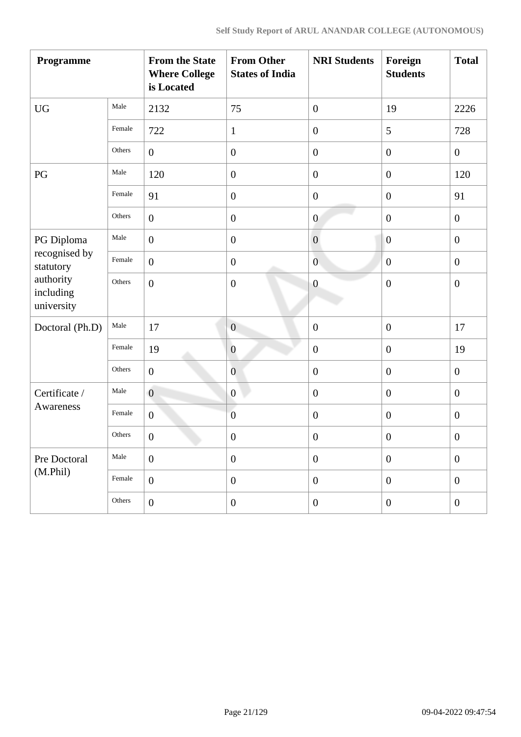| Programme                            |        | <b>From the State</b><br><b>Where College</b><br>is Located | <b>From Other</b><br><b>States of India</b> | <b>NRI Students</b> | Foreign<br><b>Students</b> | <b>Total</b>     |
|--------------------------------------|--------|-------------------------------------------------------------|---------------------------------------------|---------------------|----------------------------|------------------|
| <b>UG</b>                            | Male   | 2132                                                        | 75                                          | $\boldsymbol{0}$    | 19                         | 2226             |
|                                      | Female | 722                                                         | $\mathbf{1}$                                | $\boldsymbol{0}$    | 5                          | 728              |
|                                      | Others | $\boldsymbol{0}$                                            | $\boldsymbol{0}$                            | $\boldsymbol{0}$    | $\boldsymbol{0}$           | $\overline{0}$   |
| PG                                   | Male   | 120                                                         | $\boldsymbol{0}$                            | $\boldsymbol{0}$    | $\boldsymbol{0}$           | 120              |
|                                      | Female | 91                                                          | $\boldsymbol{0}$                            | $\boldsymbol{0}$    | $\boldsymbol{0}$           | 91               |
|                                      | Others | $\overline{0}$                                              | $\boldsymbol{0}$                            | $\boldsymbol{0}$    | $\boldsymbol{0}$           | $\boldsymbol{0}$ |
| PG Diploma                           | Male   | $\boldsymbol{0}$                                            | $\boldsymbol{0}$                            | $\boldsymbol{0}$    | $\boldsymbol{0}$           | $\boldsymbol{0}$ |
| recognised by<br>statutory           | Female | $\mathbf{0}$                                                | $\boldsymbol{0}$                            | $\overline{0}$      | $\boldsymbol{0}$           | $\boldsymbol{0}$ |
| authority<br>including<br>university | Others | $\mathbf{0}$                                                | $\boldsymbol{0}$                            | $\overline{0}$      | $\boldsymbol{0}$           | $\boldsymbol{0}$ |
| Doctoral (Ph.D)                      | Male   | 17                                                          | $\overline{0}$                              | $\boldsymbol{0}$    | $\overline{0}$             | 17               |
|                                      | Female | 19                                                          | $\boldsymbol{0}$                            | $\boldsymbol{0}$    | $\boldsymbol{0}$           | 19               |
|                                      | Others | $\boldsymbol{0}$                                            | $\overline{0}$                              | $\boldsymbol{0}$    | $\boldsymbol{0}$           | $\boldsymbol{0}$ |
| Certificate /                        | Male   | $\overline{0}$                                              | $\boldsymbol{0}$                            | $\boldsymbol{0}$    | $\boldsymbol{0}$           | $\boldsymbol{0}$ |
| Awareness                            | Female | $\boldsymbol{0}$                                            | $\boldsymbol{0}$                            | $\boldsymbol{0}$    | $\boldsymbol{0}$           | $\boldsymbol{0}$ |
|                                      | Others | $\boldsymbol{0}$                                            | $\boldsymbol{0}$                            | $\boldsymbol{0}$    | $\boldsymbol{0}$           | $\boldsymbol{0}$ |
| Pre Doctoral                         | Male   | $\mathbf{0}$                                                | $\boldsymbol{0}$                            | $\boldsymbol{0}$    | $\boldsymbol{0}$           | $\mathbf{0}$     |
| (M.Phil)                             | Female | $\overline{0}$                                              | $\boldsymbol{0}$                            | $\boldsymbol{0}$    | $\boldsymbol{0}$           | $\overline{0}$   |
|                                      | Others | $\overline{0}$                                              | $\boldsymbol{0}$                            | $\boldsymbol{0}$    | $\boldsymbol{0}$           | $\boldsymbol{0}$ |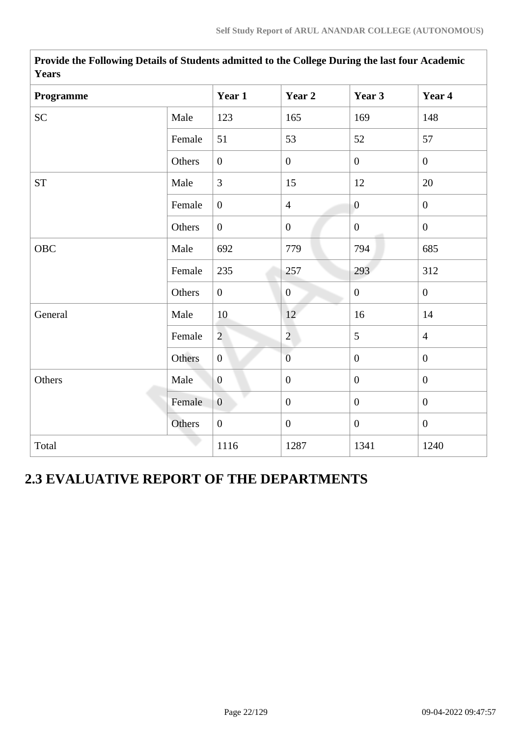| Programme          |        | Year 1           | Year 2           | Year 3           | Year 4         |
|--------------------|--------|------------------|------------------|------------------|----------------|
|                    |        |                  |                  |                  |                |
| SC                 | Male   | 123              | 165              | 169              | 148            |
|                    | Female | 51               | 53               | 52               | 57             |
|                    | Others | $\boldsymbol{0}$ | $\boldsymbol{0}$ | $\boldsymbol{0}$ | $\overline{0}$ |
| ${\cal S}{\cal T}$ | Male   | $\overline{3}$   | 15               | 12               | 20             |
|                    | Female | $\overline{0}$   | $\overline{4}$   | $\overline{0}$   | $\overline{0}$ |
|                    | Others | $\overline{0}$   | $\boldsymbol{0}$ | $\overline{0}$   | $\overline{0}$ |
| OBC                | Male   | 692              | 779              | 794              | 685            |
|                    | Female | 235              | 257              | 293              | 312            |
|                    | Others | $\overline{0}$   | $\mathbf{0}$     | $\boldsymbol{0}$ | $\overline{0}$ |
| General            | Male   | 10               | 12               | 16               | 14             |
|                    | Female | $\overline{2}$   | $\overline{2}$   | 5                | $\overline{4}$ |
|                    | Others | $\overline{0}$   | $\overline{0}$   | $\overline{0}$   | $\overline{0}$ |
| Others             | Male   | $\boldsymbol{0}$ | $\overline{0}$   | $\overline{0}$   | $\overline{0}$ |
|                    | Female | $\overline{0}$   | $\boldsymbol{0}$ | $\overline{0}$   | $\overline{0}$ |
|                    | Others | $\boldsymbol{0}$ | $\boldsymbol{0}$ | $\overline{0}$   | $\overline{0}$ |
| Total              |        | 1116             | 1287             | 1341             | 1240           |

**Provide the Following Details of Students admitted to the College During the last four Academic Years**

# **2.3 EVALUATIVE REPORT OF THE DEPARTMENTS**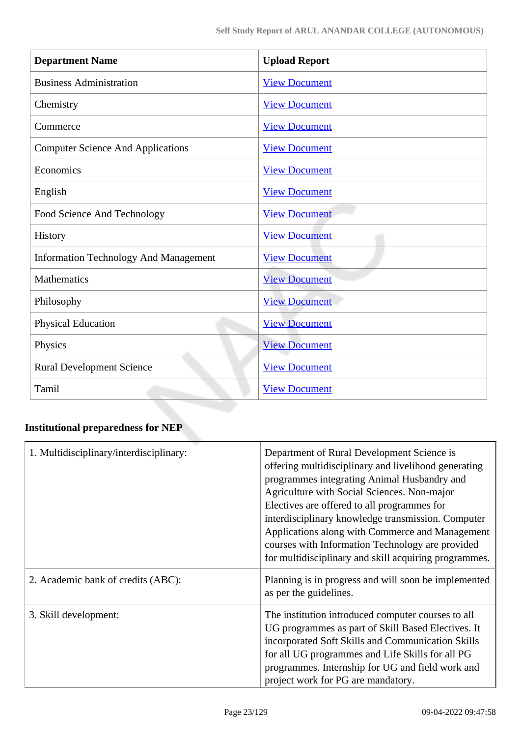| <b>Department Name</b>                       | <b>Upload Report</b> |
|----------------------------------------------|----------------------|
| <b>Business Administration</b>               | <b>View Document</b> |
| Chemistry                                    | <b>View Document</b> |
| Commerce                                     | <b>View Document</b> |
| <b>Computer Science And Applications</b>     | <b>View Document</b> |
| Economics                                    | <b>View Document</b> |
| English                                      | <b>View Document</b> |
| Food Science And Technology                  | <b>View Document</b> |
| History                                      | <b>View Document</b> |
| <b>Information Technology And Management</b> | <b>View Document</b> |
| <b>Mathematics</b>                           | <b>View Document</b> |
| Philosophy                                   | <b>View Document</b> |
| <b>Physical Education</b>                    | <b>View Document</b> |
| Physics                                      | <b>View Document</b> |
| <b>Rural Development Science</b>             | <b>View Document</b> |
| Tamil                                        | <b>View Document</b> |

# **Institutional preparedness for NEP**

| 1. Multidisciplinary/interdisciplinary: | Department of Rural Development Science is<br>offering multidisciplinary and livelihood generating<br>programmes integrating Animal Husbandry and<br>Agriculture with Social Sciences. Non-major<br>Electives are offered to all programmes for<br>interdisciplinary knowledge transmission. Computer<br>Applications along with Commerce and Management<br>courses with Information Technology are provided<br>for multidisciplinary and skill acquiring programmes. |
|-----------------------------------------|-----------------------------------------------------------------------------------------------------------------------------------------------------------------------------------------------------------------------------------------------------------------------------------------------------------------------------------------------------------------------------------------------------------------------------------------------------------------------|
| 2. Academic bank of credits (ABC):      | Planning is in progress and will soon be implemented<br>as per the guidelines.                                                                                                                                                                                                                                                                                                                                                                                        |
| 3. Skill development:                   | The institution introduced computer courses to all<br>UG programmes as part of Skill Based Electives. It<br>incorporated Soft Skills and Communication Skills<br>for all UG programmes and Life Skills for all PG<br>programmes. Internship for UG and field work and<br>project work for PG are mandatory.                                                                                                                                                           |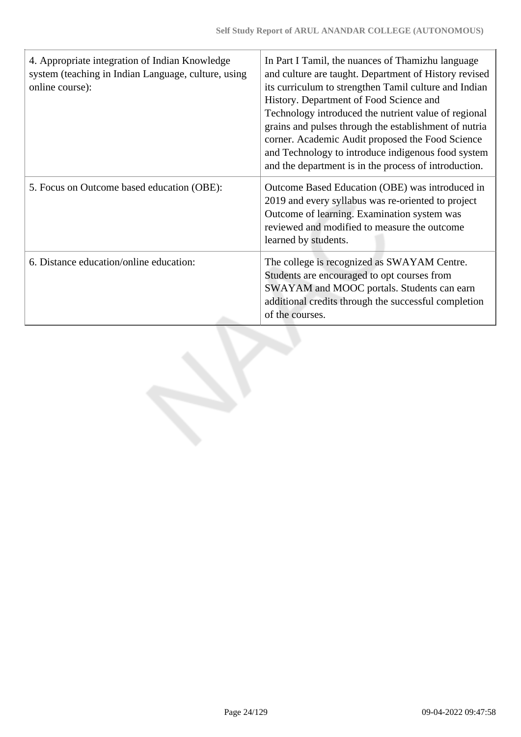| 4. Appropriate integration of Indian Knowledge<br>system (teaching in Indian Language, culture, using<br>online course): | In Part I Tamil, the nuances of Thamizhu language<br>and culture are taught. Department of History revised<br>its curriculum to strengthen Tamil culture and Indian<br>History. Department of Food Science and<br>Technology introduced the nutrient value of regional<br>grains and pulses through the establishment of nutria<br>corner. Academic Audit proposed the Food Science<br>and Technology to introduce indigenous food system<br>and the department is in the process of introduction. |
|--------------------------------------------------------------------------------------------------------------------------|----------------------------------------------------------------------------------------------------------------------------------------------------------------------------------------------------------------------------------------------------------------------------------------------------------------------------------------------------------------------------------------------------------------------------------------------------------------------------------------------------|
| 5. Focus on Outcome based education (OBE):                                                                               | Outcome Based Education (OBE) was introduced in<br>2019 and every syllabus was re-oriented to project<br>Outcome of learning. Examination system was<br>reviewed and modified to measure the outcome<br>learned by students.                                                                                                                                                                                                                                                                       |
| 6. Distance education/online education:                                                                                  | The college is recognized as SWAYAM Centre.<br>Students are encouraged to opt courses from<br>SWAYAM and MOOC portals. Students can earn<br>additional credits through the successful completion<br>of the courses.                                                                                                                                                                                                                                                                                |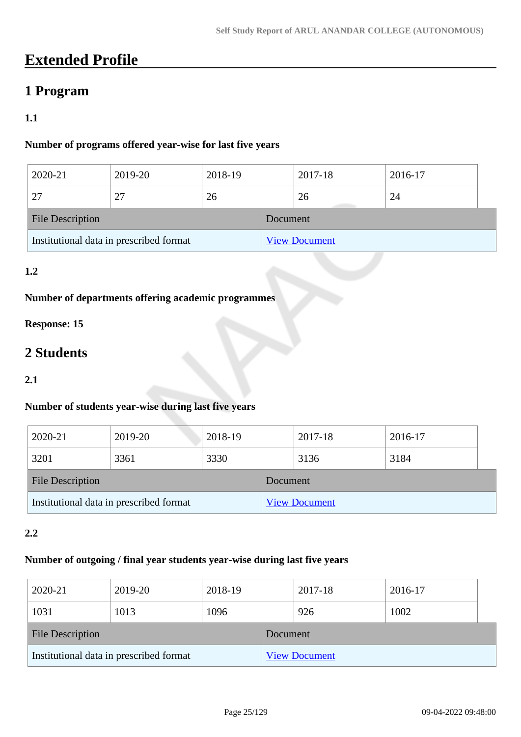# **Extended Profile**

# **1 Program**

# **1.1**

# **Number of programs offered year-wise for last five years**

| 2020-21                                 | 2019-20 | 2018-19 |          | 2017-18              | 2016-17 |  |
|-----------------------------------------|---------|---------|----------|----------------------|---------|--|
| 27                                      | 27      | 26      |          | 26                   | 24      |  |
| <b>File Description</b>                 |         |         | Document |                      |         |  |
| Institutional data in prescribed format |         |         |          | <b>View Document</b> |         |  |

# **1.2**

# **Number of departments offering academic programmes**

# **Response: 15**

# **2 Students**

#### **2.1**

# **Number of students year-wise during last five years**

| 2020-21                                 | 2019-20 | 2018-19 |          | 2017-18              | 2016-17 |  |
|-----------------------------------------|---------|---------|----------|----------------------|---------|--|
| 3201                                    | 3361    | 3330    |          | 3136                 | 3184    |  |
| File Description                        |         |         | Document |                      |         |  |
| Institutional data in prescribed format |         |         |          | <b>View Document</b> |         |  |

## **2.2**

### **Number of outgoing / final year students year-wise during last five years**

| 2020-21                                 | 2019-20 | 2018-19 |          | 2017-18              | 2016-17 |  |
|-----------------------------------------|---------|---------|----------|----------------------|---------|--|
| 1031                                    | 1013    | 1096    |          | 926                  | 1002    |  |
| <b>File Description</b>                 |         |         | Document |                      |         |  |
| Institutional data in prescribed format |         |         |          | <b>View Document</b> |         |  |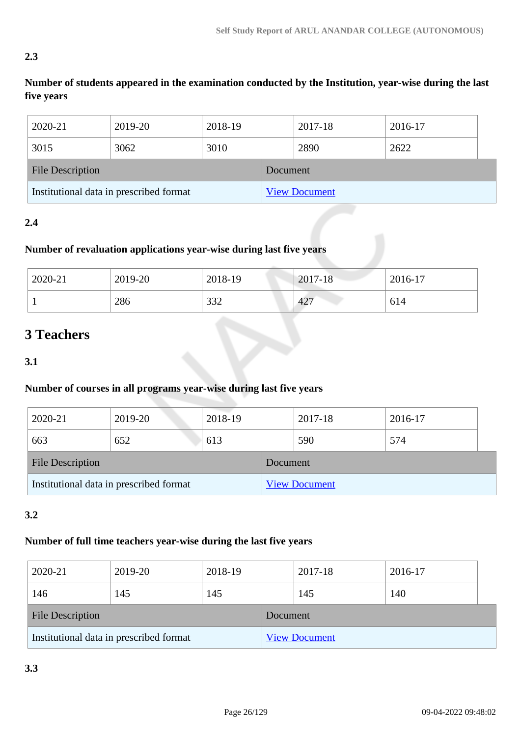# **2.3**

**Number of students appeared in the examination conducted by the Institution, year-wise during the last five years**

| 2020-21                                 | 2019-20 | 2018-19 |          | 2017-18              | 2016-17 |
|-----------------------------------------|---------|---------|----------|----------------------|---------|
| 3015                                    | 3062    | 3010    |          | 2890                 | 2622    |
| <b>File Description</b>                 |         |         | Document |                      |         |
| Institutional data in prescribed format |         |         |          | <b>View Document</b> |         |

# **2.4**

# **Number of revaluation applications year-wise during last five years**

| 2020-21 | 2019-20 | 2018-19 | 2017-18         | 2016-17 |
|---------|---------|---------|-----------------|---------|
|         | 286     | 332     | 42 <sup>7</sup> | 614     |

# **3 Teachers**

**3.1**

# **Number of courses in all programs year-wise during last five years**

| 2020-21                                 | 2019-20 | 2018-19 |                      | 2017-18 | 2016-17 |
|-----------------------------------------|---------|---------|----------------------|---------|---------|
| 663                                     | 652     | 613     |                      | 590     | 574     |
| <b>File Description</b>                 |         |         | Document             |         |         |
| Institutional data in prescribed format |         |         | <b>View Document</b> |         |         |

# **3.2**

# **Number of full time teachers year-wise during the last five years**

| 2020-21                                 | 2019-20 | 2018-19 |                      | 2017-18 | 2016-17 |  |
|-----------------------------------------|---------|---------|----------------------|---------|---------|--|
| 146                                     | 145     | 145     |                      | 145     | 140     |  |
| <b>File Description</b>                 |         |         | Document             |         |         |  |
| Institutional data in prescribed format |         |         | <b>View Document</b> |         |         |  |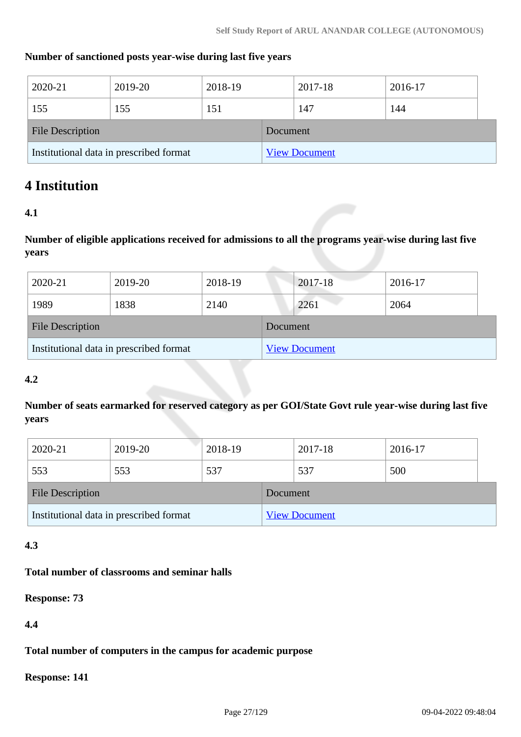### **Number of sanctioned posts year-wise during last five years**

| 2020-21                                 | 2019-20 | 2018-19 |          | 2017-18              | 2016-17 |  |
|-----------------------------------------|---------|---------|----------|----------------------|---------|--|
| 155                                     | 155     | 151     |          | 147                  | 144     |  |
| <b>File Description</b>                 |         |         | Document |                      |         |  |
| Institutional data in prescribed format |         |         |          | <b>View Document</b> |         |  |

# **4 Institution**

### **4.1**

**Number of eligible applications received for admissions to all the programs year-wise during last five years**

| 2020-21                                 | 2019-20 | 2018-19  |                      | 2017-18 | 2016-17 |
|-----------------------------------------|---------|----------|----------------------|---------|---------|
| 1989                                    | 1838    | 2140     |                      | 2261    | 2064    |
| <b>File Description</b>                 |         | Document |                      |         |         |
| Institutional data in prescribed format |         |          | <b>View Document</b> |         |         |

#### **4.2**

**Number of seats earmarked for reserved category as per GOI/State Govt rule year-wise during last five years**

| 2020-21                                 | 2019-20 | 2018-19  |  | 2017-18              | 2016-17 |  |
|-----------------------------------------|---------|----------|--|----------------------|---------|--|
| 553                                     | 553     | 537      |  | 537                  | 500     |  |
| <b>File Description</b>                 |         | Document |  |                      |         |  |
| Institutional data in prescribed format |         |          |  | <b>View Document</b> |         |  |

# **4.3**

### **Total number of classrooms and seminar halls**

**Response: 73**

**4.4**

**Total number of computers in the campus for academic purpose**

**Response: 141**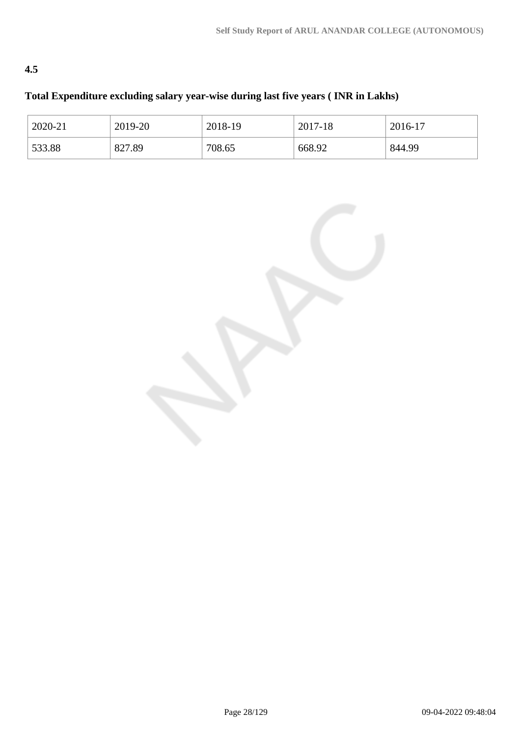# **4.5**

# **Total Expenditure excluding salary year-wise during last five years ( INR in Lakhs)**

| 2020-21 | 2019-20 | 2018-19 | 2017-18 | 2016-17 |
|---------|---------|---------|---------|---------|
| 533.88  | 827.89  | 708.65  | 668.92  | 844.99  |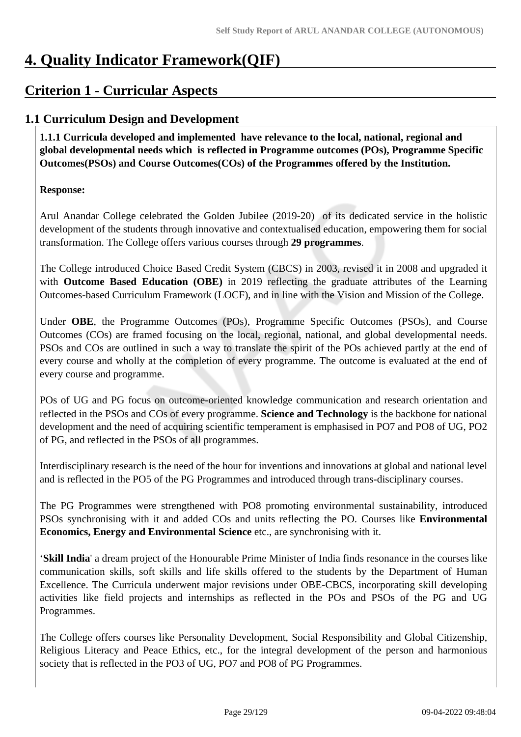# **4. Quality Indicator Framework(QIF)**

# **Criterion 1 - Curricular Aspects**

# **1.1 Curriculum Design and Development**

 **1.1.1 Curricula developed and implemented have relevance to the local, national, regional and global developmental needs which is reflected in Programme outcomes (POs), Programme Specific Outcomes(PSOs) and Course Outcomes(COs) of the Programmes offered by the Institution.**

# **Response:**

Arul Anandar College celebrated the Golden Jubilee (2019-20) of its dedicated service in the holistic development of the students through innovative and contextualised education, empowering them for social transformation. The College offers various courses through **29 programmes**.

The College introduced Choice Based Credit System (CBCS) in 2003, revised it in 2008 and upgraded it with **Outcome Based Education (OBE)** in 2019 reflecting the graduate attributes of the Learning Outcomes-based Curriculum Framework (LOCF), and in line with the Vision and Mission of the College.

Under **OBE**, the Programme Outcomes (POs), Programme Specific Outcomes (PSOs), and Course Outcomes (COs) are framed focusing on the local, regional, national, and global developmental needs. PSOs and COs are outlined in such a way to translate the spirit of the POs achieved partly at the end of every course and wholly at the completion of every programme. The outcome is evaluated at the end of every course and programme.

POs of UG and PG focus on outcome-oriented knowledge communication and research orientation and reflected in the PSOs and COs of every programme. **Science and Technology** is the backbone for national development and the need of acquiring scientific temperament is emphasised in PO7 and PO8 of UG, PO2 of PG, and reflected in the PSOs of all programmes.

Interdisciplinary research is the need of the hour for inventions and innovations at global and national level and is reflected in the PO5 of the PG Programmes and introduced through trans-disciplinary courses.

The PG Programmes were strengthened with PO8 promoting environmental sustainability, introduced PSOs synchronising with it and added COs and units reflecting the PO. Courses like **Environmental Economics, Energy and Environmental Science** etc., are synchronising with it.

'**Skill India**' a dream project of the Honourable Prime Minister of India finds resonance in the courses like communication skills, soft skills and life skills offered to the students by the Department of Human Excellence. The Curricula underwent major revisions under OBE-CBCS, incorporating skill developing activities like field projects and internships as reflected in the POs and PSOs of the PG and UG Programmes.

The College offers courses like Personality Development, Social Responsibility and Global Citizenship, Religious Literacy and Peace Ethics, etc., for the integral development of the person and harmonious society that is reflected in the PO3 of UG, PO7 and PO8 of PG Programmes.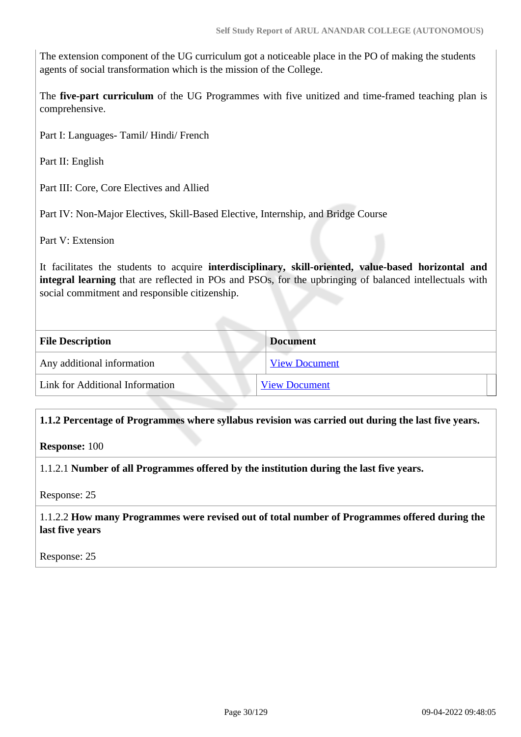The extension component of the UG curriculum got a noticeable place in the PO of making the students agents of social transformation which is the mission of the College.

The **five-part curriculum** of the UG Programmes with five unitized and time-framed teaching plan is comprehensive.

Part I: Languages- Tamil/ Hindi/ French

Part II: English

Part III: Core, Core Electives and Allied

Part IV: Non-Major Electives, Skill-Based Elective, Internship, and Bridge Course

Part V: Extension

It facilitates the students to acquire **interdisciplinary, skill-oriented, value-based horizontal and integral learning** that are reflected in POs and PSOs, for the upbringing of balanced intellectuals with social commitment and responsible citizenship.

| <b>File Description</b>         | <b>Document</b>      |  |
|---------------------------------|----------------------|--|
| Any additional information      | <b>View Document</b> |  |
| Link for Additional Information | <b>View Document</b> |  |

#### **1.1.2 Percentage of Programmes where syllabus revision was carried out during the last five years.**

**Response:** 100

1.1.2.1 **Number of all Programmes offered by the institution during the last five years.**

Response: 25

#### 1.1.2.2 **How many Programmes were revised out of total number of Programmes offered during the last five years**

Response: 25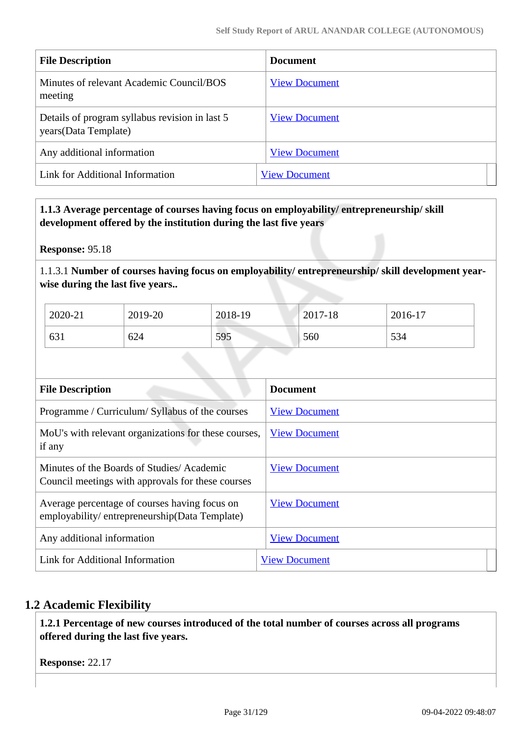| <b>File Description</b>                                                 | <b>Document</b>      |
|-------------------------------------------------------------------------|----------------------|
| Minutes of relevant Academic Council/BOS<br>meeting                     | <b>View Document</b> |
| Details of program syllabus revision in last 5<br>years (Data Template) | <b>View Document</b> |
| Any additional information                                              | <b>View Document</b> |
| Link for Additional Information                                         | <b>View Document</b> |

 **1.1.3 Average percentage of courses having focus on employability/ entrepreneurship/ skill development offered by the institution during the last five years**

**Response:** 95.18

1.1.3.1 **Number of courses having focus on employability/ entrepreneurship/ skill development yearwise during the last five years..**

| 2020-21 | 2019-20 | 2018-19 | 2017-18 | 2016-17 |
|---------|---------|---------|---------|---------|
| 631     | 624     | 595     | 560     | 534     |

| <b>File Description</b>                                                                        | <b>Document</b>      |
|------------------------------------------------------------------------------------------------|----------------------|
| Programme / Curriculum/ Syllabus of the courses                                                | <b>View Document</b> |
| MoU's with relevant organizations for these courses,<br>if any                                 | <b>View Document</b> |
| Minutes of the Boards of Studies/Academic<br>Council meetings with approvals for these courses | <b>View Document</b> |
| Average percentage of courses having focus on<br>employability/entrepreneurship(Data Template) | <b>View Document</b> |
| Any additional information                                                                     | <b>View Document</b> |
| Link for Additional Information                                                                | <b>View Document</b> |

# **1.2 Academic Flexibility**

 **1.2.1 Percentage of new courses introduced of the total number of courses across all programs offered during the last five years.**

**Response:** 22.17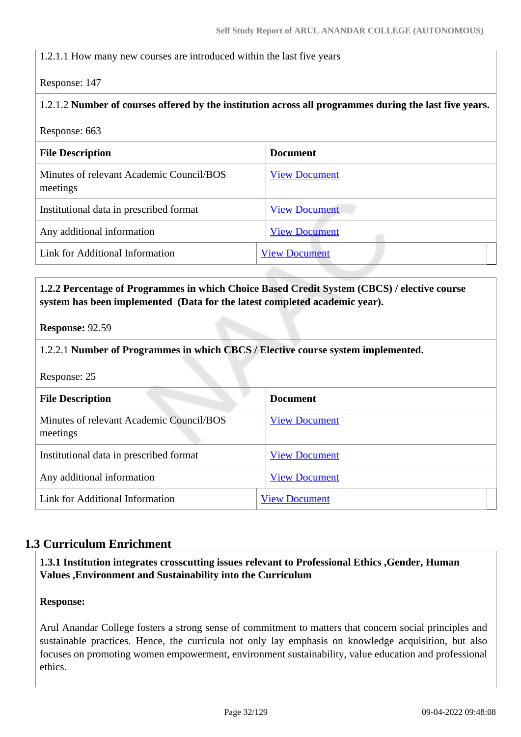### 1.2.1.1 How many new courses are introduced within the last five years

Response: 147

### 1.2.1.2 **Number of courses offered by the institution across all programmes during the last five years.**

Response: 663

| <b>File Description</b>                              | <b>Document</b>      |
|------------------------------------------------------|----------------------|
| Minutes of relevant Academic Council/BOS<br>meetings | <b>View Document</b> |
| Institutional data in prescribed format              | <b>View Document</b> |
| Any additional information                           | <b>View Document</b> |
| Link for Additional Information                      | <b>View Document</b> |

### **1.2.2 Percentage of Programmes in which Choice Based Credit System (CBCS) / elective course system has been implemented (Data for the latest completed academic year).**

**Response:** 92.59

### 1.2.2.1 **Number of Programmes in which CBCS / Elective course system implemented.**

Response: 25

| <b>File Description</b>                              | <b>Document</b>      |
|------------------------------------------------------|----------------------|
| Minutes of relevant Academic Council/BOS<br>meetings | <b>View Document</b> |
| Institutional data in prescribed format              | <b>View Document</b> |
| Any additional information                           | <b>View Document</b> |
| Link for Additional Information                      | <b>View Document</b> |

# **1.3 Curriculum Enrichment**

 **1.3.1 Institution integrates crosscutting issues relevant to Professional Ethics ,Gender, Human Values ,Environment and Sustainability into the Curriculum**

#### **Response:**

Arul Anandar College fosters a strong sense of commitment to matters that concern social principles and sustainable practices. Hence, the curricula not only lay emphasis on knowledge acquisition, but also focuses on promoting women empowerment, environment sustainability, value education and professional ethics.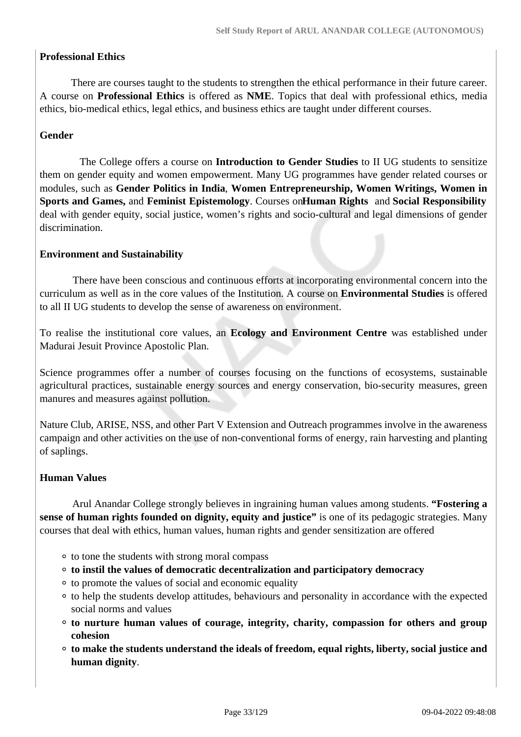### **Professional Ethics**

 There are courses taught to the students to strengthen the ethical performance in their future career. A course on **Professional Ethics** is offered as **NME**. Topics that deal with professional ethics, media ethics, bio-medical ethics, legal ethics, and business ethics are taught under different courses.

### **Gender**

 The College offers a course on **Introduction to Gender Studies** to II UG students to sensitize them on gender equity and women empowerment. Many UG programmes have gender related courses or modules, such as **Gender Politics in India**, **Women Entrepreneurship, Women Writings, Women in Sports and Games,** and **Feminist Epistemology**. Courses on **Human Rights** and **Social Responsibility** deal with gender equity, social justice, women's rights and socio-cultural and legal dimensions of gender discrimination.

#### **Environment and Sustainability**

 There have been conscious and continuous efforts at incorporating environmental concern into the curriculum as well as in the core values of the Institution. A course on **Environmental Studies** is offered to all II UG students to develop the sense of awareness on environment.

To realise the institutional core values, an **Ecology and Environment Centre** was established under Madurai Jesuit Province Apostolic Plan.

Science programmes offer a number of courses focusing on the functions of ecosystems, sustainable agricultural practices, sustainable energy sources and energy conservation, bio-security measures, green manures and measures against pollution.

Nature Club, ARISE, NSS, and other Part V Extension and Outreach programmes involve in the awareness campaign and other activities on the use of non-conventional forms of energy, rain harvesting and planting of saplings.

#### **Human Values**

 Arul Anandar College strongly believes in ingraining human values among students. **"Fostering a sense of human rights founded on dignity, equity and justice"** is one of its pedagogic strategies. Many courses that deal with ethics, human values, human rights and gender sensitization are offered

- to tone the students with strong moral compass
- **to instil the values of democratic decentralization and participatory democracy**
- to promote the values of social and economic equality
- to help the students develop attitudes, behaviours and personality in accordance with the expected social norms and values
- **to nurture human values of courage, integrity, charity, compassion for others and group cohesion**
- **to make the students understand the ideals of freedom, equal rights, liberty, social justice and human dignity**.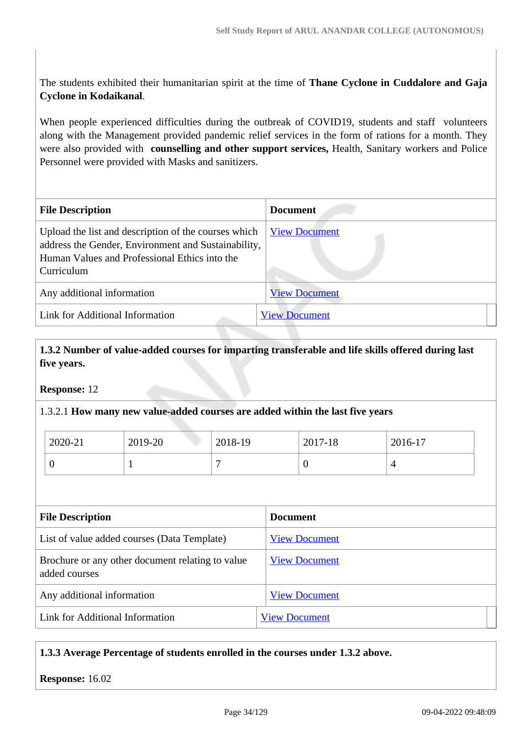The students exhibited their humanitarian spirit at the time of **Thane Cyclone in Cuddalore and Gaja Cyclone in Kodaikanal**.

When people experienced difficulties during the outbreak of COVID19, students and staff volunteers along with the Management provided pandemic relief services in the form of rations for a month. They were also provided with **counselling and other support services,** Health, Sanitary workers and Police Personnel were provided with Masks and sanitizers.

| <b>File Description</b>                                                                                                                                                    | <b>Document</b>      |
|----------------------------------------------------------------------------------------------------------------------------------------------------------------------------|----------------------|
| Upload the list and description of the courses which<br>address the Gender, Environment and Sustainability,<br>Human Values and Professional Ethics into the<br>Curriculum | <b>View Document</b> |
| Any additional information                                                                                                                                                 | <b>View Document</b> |
| Link for Additional Information                                                                                                                                            | <b>View Document</b> |

 **1.3.2 Number of value-added courses for imparting transferable and life skills offered during last five years.**

**Response:** 12

#### 1.3.2.1 **How many new value-added courses are added within the last five years**

| 2020-21 | 2019-20 | 2018-19 | 2017-18 | 2016-17 |
|---------|---------|---------|---------|---------|
|         |         |         | ν       |         |

| <b>File Description</b>                                           | <b>Document</b>      |
|-------------------------------------------------------------------|----------------------|
| List of value added courses (Data Template)                       | <b>View Document</b> |
| Brochure or any other document relating to value<br>added courses | <b>View Document</b> |
| Any additional information                                        | <b>View Document</b> |
| Link for Additional Information                                   | <b>View Document</b> |

# **1.3.3 Average Percentage of students enrolled in the courses under 1.3.2 above.**

**Response:** 16.02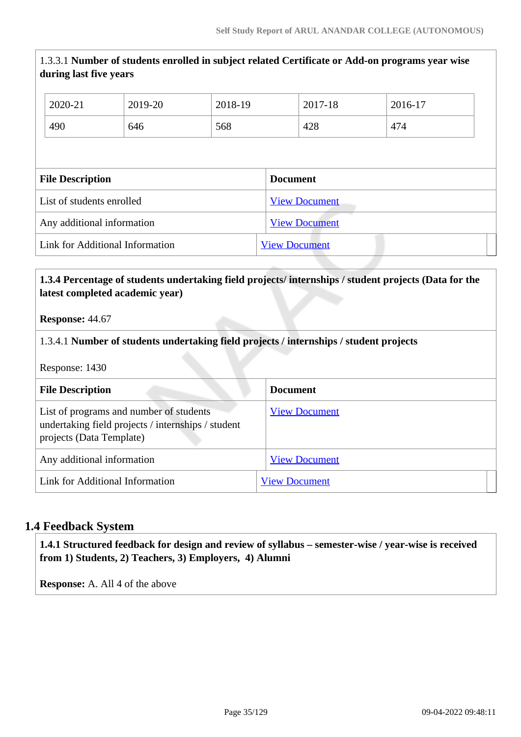# 1.3.3.1 **Number of students enrolled in subject related Certificate or Add-on programs year wise during last five years**

| 2020-21                    | 2019-20 | 2018-19              |  | 2017-18 | 2016-17 |
|----------------------------|---------|----------------------|--|---------|---------|
| 490                        | 646     | 568                  |  | 428     | 474     |
|                            |         |                      |  |         |         |
| <b>File Description</b>    |         | <b>Document</b>      |  |         |         |
| List of students enrolled  |         | <b>View Document</b> |  |         |         |
| Any additional information |         | <b>View Document</b> |  |         |         |
|                            |         |                      |  |         |         |

### **1.3.4 Percentage of students undertaking field projects/ internships / student projects (Data for the latest completed academic year)**

**Response:** 44.67

#### 1.3.4.1 **Number of students undertaking field projects / internships / student projects**

Response: 1430

| <b>File Description</b>                                                                                                   | <b>Document</b>      |
|---------------------------------------------------------------------------------------------------------------------------|----------------------|
| List of programs and number of students<br>undertaking field projects / internships / student<br>projects (Data Template) | <b>View Document</b> |
| Any additional information                                                                                                | <b>View Document</b> |
| Link for Additional Information                                                                                           | <b>View Document</b> |

#### **1.4 Feedback System**

 **1.4.1 Structured feedback for design and review of syllabus – semester-wise / year-wise is received from 1) Students, 2) Teachers, 3) Employers, 4) Alumni**

**Response:** A. All 4 of the above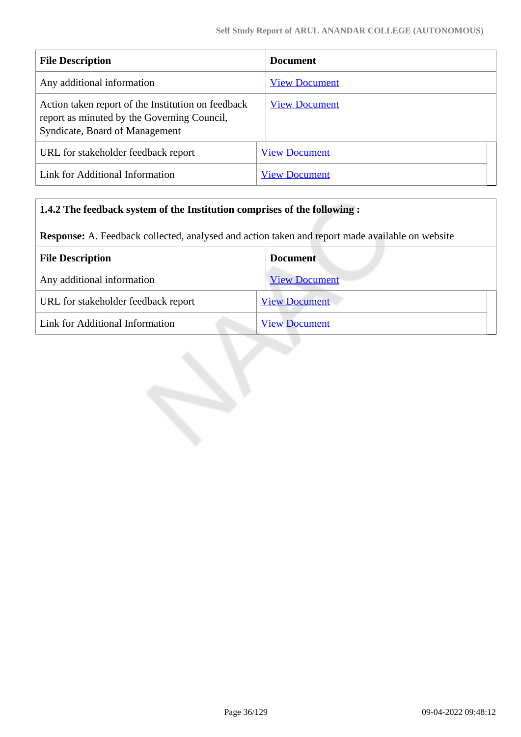| <b>File Description</b>                                                                                                             | <b>Document</b>      |
|-------------------------------------------------------------------------------------------------------------------------------------|----------------------|
| Any additional information                                                                                                          | <b>View Document</b> |
| Action taken report of the Institution on feedback<br>report as minuted by the Governing Council,<br>Syndicate, Board of Management | <b>View Document</b> |
| URL for stakeholder feedback report                                                                                                 | <b>View Document</b> |
| Link for Additional Information                                                                                                     | <b>View Document</b> |

# **1.4.2 The feedback system of the Institution comprises of the following :**

**Response:** A. Feedback collected, analysed and action taken and report made available on website

| <b>File Description</b>             | <b>Document</b>      |
|-------------------------------------|----------------------|
| Any additional information          | <b>View Document</b> |
| URL for stakeholder feedback report | <b>View Document</b> |
| Link for Additional Information     | <b>View Document</b> |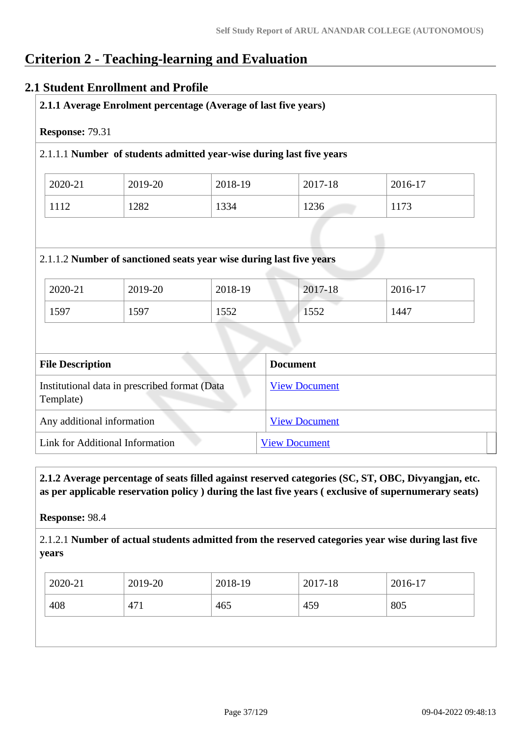# **Criterion 2 - Teaching-learning and Evaluation**

## **2.1 Student Enrollment and Profile**

| 2.1.1 Average Enrolment percentage (Average of last five years) |                 |                                                                      |                 |                 |  |
|-----------------------------------------------------------------|-----------------|----------------------------------------------------------------------|-----------------|-----------------|--|
| Response: 79.31                                                 |                 |                                                                      |                 |                 |  |
|                                                                 |                 | 2.1.1.1 Number of students admitted year-wise during last five years |                 |                 |  |
| 2020-21                                                         | 2019-20         | 2018-19                                                              | 2017-18         | 2016-17         |  |
| 1112                                                            | 1282            | 1334                                                                 | 1236            | 1173            |  |
|                                                                 |                 | 2.1.1.2 Number of sanctioned seats year wise during last five years  |                 |                 |  |
|                                                                 |                 |                                                                      |                 |                 |  |
| 2020-21<br>1597                                                 | 2019-20<br>1597 | 2018-19<br>1552                                                      | 2017-18<br>1552 | 2016-17<br>1447 |  |
|                                                                 |                 |                                                                      |                 |                 |  |
| <b>File Description</b>                                         |                 |                                                                      | <b>Document</b> |                 |  |

| Institutional data in prescribed format (Data<br>Template) | <b>View Document</b> |
|------------------------------------------------------------|----------------------|
| Any additional information                                 | <b>View Document</b> |
| Link for Additional Information                            | <b>View Document</b> |

 **2.1.2 Average percentage of seats filled against reserved categories (SC, ST, OBC, Divyangjan, etc. as per applicable reservation policy ) during the last five years ( exclusive of supernumerary seats)**

**Response:** 98.4

2.1.2.1 **Number of actual students admitted from the reserved categories year wise during last five years**

|                                 | 2019-20<br>2020-21<br>2017-18<br>2018-19 | 2016-17 |
|---------------------------------|------------------------------------------|---------|
| 408<br>805<br>459<br>471<br>465 |                                          |         |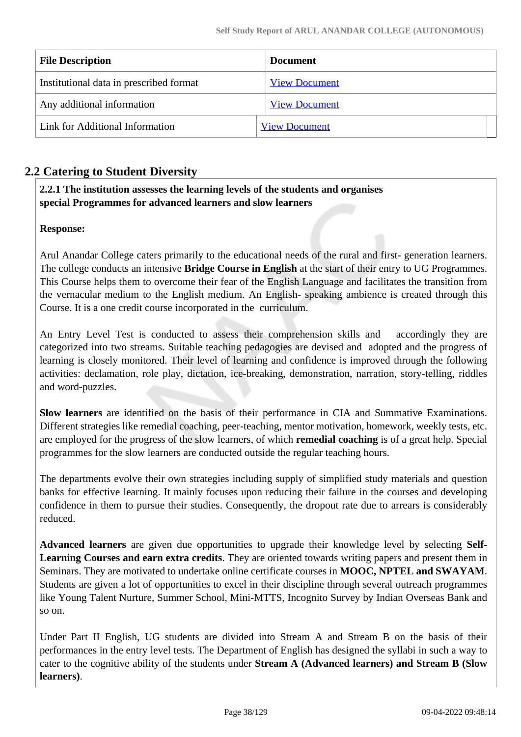| <b>File Description</b>                 | <b>Document</b>      |
|-----------------------------------------|----------------------|
| Institutional data in prescribed format | <b>View Document</b> |
| Any additional information              | <b>View Document</b> |
| Link for Additional Information         | <b>View Document</b> |

## **2.2 Catering to Student Diversity**

## **2.2.1 The institution assesses the learning levels of the students and organises special Programmes for advanced learners and slow learners**

## **Response:**

Arul Anandar College caters primarily to the educational needs of the rural and first- generation learners. The college conducts an intensive **Bridge Course in English** at the start of their entry to UG Programmes. This Course helps them to overcome their fear of the English Language and facilitates the transition from the vernacular medium to the English medium. An English- speaking ambience is created through this Course. It is a one credit course incorporated in the curriculum.

An Entry Level Test is conducted to assess their comprehension skills and accordingly they are categorized into two streams. Suitable teaching pedagogies are devised and adopted and the progress of learning is closely monitored. Their level of learning and confidence is improved through the following activities: declamation, role play, dictation, ice-breaking, demonstration, narration, story-telling, riddles and word-puzzles.

**Slow learners** are identified on the basis of their performance in CIA and Summative Examinations. Different strategies like remedial coaching, peer-teaching, mentor motivation, homework, weekly tests, etc. are employed for the progress of the slow learners, of which **remedial coaching** is of a great help. Special programmes for the slow learners are conducted outside the regular teaching hours.

The departments evolve their own strategies including supply of simplified study materials and question banks for effective learning. It mainly focuses upon reducing their failure in the courses and developing confidence in them to pursue their studies. Consequently, the dropout rate due to arrears is considerably reduced.

**Advanced learners** are given due opportunities to upgrade their knowledge level by selecting **Self-Learning Courses and earn extra credits**. They are oriented towards writing papers and present them in Seminars. They are motivated to undertake online certificate courses in **MOOC, NPTEL and SWAYAM**. Students are given a lot of opportunities to excel in their discipline through several outreach programmes like Young Talent Nurture, Summer School, Mini-MTTS, Incognito Survey by Indian Overseas Bank and so on.

Under Part II English, UG students are divided into Stream A and Stream B on the basis of their performances in the entry level tests. The Department of English has designed the syllabi in such a way to cater to the cognitive ability of the students under **Stream A (Advanced learners) and Stream B (Slow learners)**.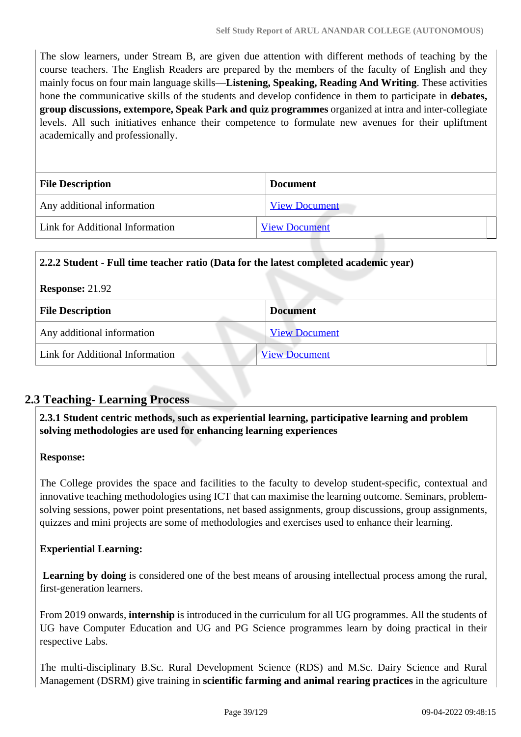The slow learners, under Stream B, are given due attention with different methods of teaching by the course teachers. The English Readers are prepared by the members of the faculty of English and they mainly focus on four main language skills—**Listening, Speaking, Reading And Writing**. These activities hone the communicative skills of the students and develop confidence in them to participate in **debates, group discussions, extempore, Speak Park and quiz programmes** organized at intra and inter-collegiate levels. All such initiatives enhance their competence to formulate new avenues for their upliftment academically and professionally.

| <b>File Description</b>         | <b>Document</b>      |  |
|---------------------------------|----------------------|--|
| Any additional information      | <b>View Document</b> |  |
| Link for Additional Information | <b>View Document</b> |  |

| 2.2.2 Student - Full time teacher ratio (Data for the latest completed academic year) |                      |  |
|---------------------------------------------------------------------------------------|----------------------|--|
| <b>Response: 21.92</b>                                                                |                      |  |
| <b>File Description</b>                                                               | <b>Document</b>      |  |
| Any additional information                                                            | <b>View Document</b> |  |
| Link for Additional Information                                                       | <b>View Document</b> |  |

## **2.3 Teaching- Learning Process**

 **2.3.1 Student centric methods, such as experiential learning, participative learning and problem solving methodologies are used for enhancing learning experiences**

## **Response:**

The College provides the space and facilities to the faculty to develop student-specific, contextual and innovative teaching methodologies using ICT that can maximise the learning outcome. Seminars, problemsolving sessions, power point presentations, net based assignments, group discussions, group assignments, quizzes and mini projects are some of methodologies and exercises used to enhance their learning.

## **Experiential Learning:**

**Learning by doing** is considered one of the best means of arousing intellectual process among the rural, first-generation learners.

From 2019 onwards, **internship** is introduced in the curriculum for all UG programmes. All the students of UG have Computer Education and UG and PG Science programmes learn by doing practical in their respective Labs.

The multi-disciplinary B.Sc. Rural Development Science (RDS) and M.Sc. Dairy Science and Rural Management (DSRM) give training in **scientific farming and animal rearing practices** in the agriculture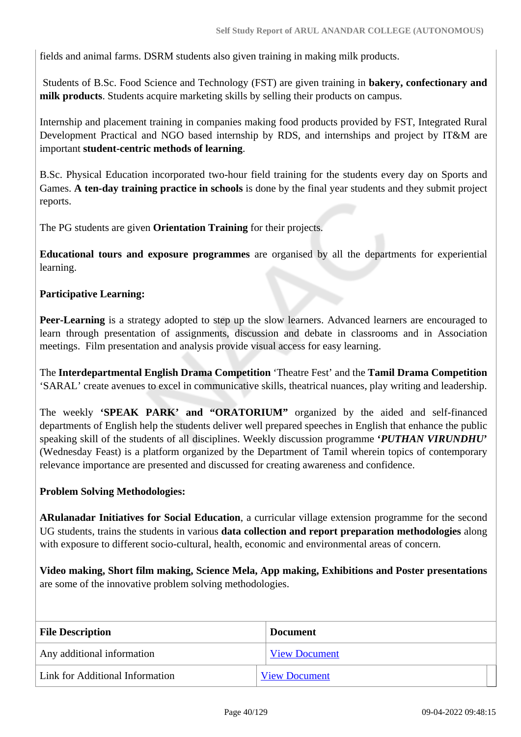fields and animal farms. DSRM students also given training in making milk products.

 Students of B.Sc. Food Science and Technology (FST) are given training in **bakery, confectionary and milk products**. Students acquire marketing skills by selling their products on campus.

Internship and placement training in companies making food products provided by FST, Integrated Rural Development Practical and NGO based internship by RDS, and internships and project by IT&M are important **student-centric methods of learning**.

B.Sc. Physical Education incorporated two-hour field training for the students every day on Sports and Games. **A ten-day training practice in schools** is done by the final year students and they submit project reports.

The PG students are given **Orientation Training** for their projects.

**Educational tours and exposure programmes** are organised by all the departments for experiential learning.

## **Participative Learning:**

**Peer-Learning** is a strategy adopted to step up the slow learners. Advanced learners are encouraged to learn through presentation of assignments, discussion and debate in classrooms and in Association meetings. Film presentation and analysis provide visual access for easy learning.

The **Interdepartmental English Drama Competition** 'Theatre Fest' and the **Tamil Drama Competition** 'SARAL' create avenues to excel in communicative skills, theatrical nuances, play writing and leadership.

The weekly **'SPEAK PARK' and "ORATORIUM"** organized by the aided and self-financed departments of English help the students deliver well prepared speeches in English that enhance the public speaking skill of the students of all disciplines. Weekly discussion programme **'***PUTHAN VIRUNDHU***'** (Wednesday Feast) is a platform organized by the Department of Tamil wherein topics of contemporary relevance importance are presented and discussed for creating awareness and confidence.

## **Problem Solving Methodologies:**

**ARulanadar Initiatives for Social Education**, a curricular village extension programme for the second UG students, trains the students in various **data collection and report preparation methodologies** along with exposure to different socio-cultural, health, economic and environmental areas of concern.

**Video making, Short film making, Science Mela, App making, Exhibitions and Poster presentations** are some of the innovative problem solving methodologies.

| <b>File Description</b>         | <b>Document</b>      |
|---------------------------------|----------------------|
| Any additional information      | <b>View Document</b> |
| Link for Additional Information | <b>View Document</b> |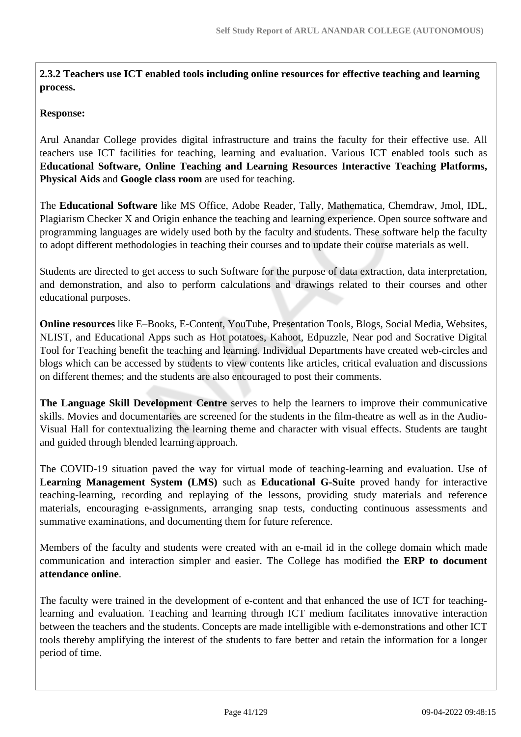**2.3.2 Teachers use ICT enabled tools including online resources for effective teaching and learning process.** 

## **Response:**

Arul Anandar College provides digital infrastructure and trains the faculty for their effective use. All teachers use ICT facilities for teaching, learning and evaluation. Various ICT enabled tools such as **Educational Software, Online Teaching and Learning Resources Interactive Teaching Platforms, Physical Aids** and **Google class room** are used for teaching.

The **Educational Software** like MS Office, Adobe Reader, Tally, Mathematica, Chemdraw, Jmol, IDL, Plagiarism Checker X and Origin enhance the teaching and learning experience. Open source software and programming languages are widely used both by the faculty and students. These software help the faculty to adopt different methodologies in teaching their courses and to update their course materials as well.

Students are directed to get access to such Software for the purpose of data extraction, data interpretation, and demonstration, and also to perform calculations and drawings related to their courses and other educational purposes.

**Online resources** like E–Books, E-Content, YouTube, Presentation Tools, Blogs, Social Media, Websites, NLIST, and Educational Apps such as Hot potatoes, Kahoot, Edpuzzle, Near pod and Socrative Digital Tool for Teaching benefit the teaching and learning. Individual Departments have created web-circles and blogs which can be accessed by students to view contents like articles, critical evaluation and discussions on different themes; and the students are also encouraged to post their comments.

**The Language Skill Development Centre** serves to help the learners to improve their communicative skills. Movies and documentaries are screened for the students in the film-theatre as well as in the Audio-Visual Hall for contextualizing the learning theme and character with visual effects. Students are taught and guided through blended learning approach.

The COVID-19 situation paved the way for virtual mode of teaching-learning and evaluation. Use of **Learning Management System (LMS)** such as **Educational G-Suite** proved handy for interactive teaching-learning, recording and replaying of the lessons, providing study materials and reference materials, encouraging e-assignments, arranging snap tests, conducting continuous assessments and summative examinations, and documenting them for future reference.

Members of the faculty and students were created with an e-mail id in the college domain which made communication and interaction simpler and easier. The College has modified the **ERP to document attendance online**.

The faculty were trained in the development of e-content and that enhanced the use of ICT for teachinglearning and evaluation. Teaching and learning through ICT medium facilitates innovative interaction between the teachers and the students. Concepts are made intelligible with e-demonstrations and other ICT tools thereby amplifying the interest of the students to fare better and retain the information for a longer period of time.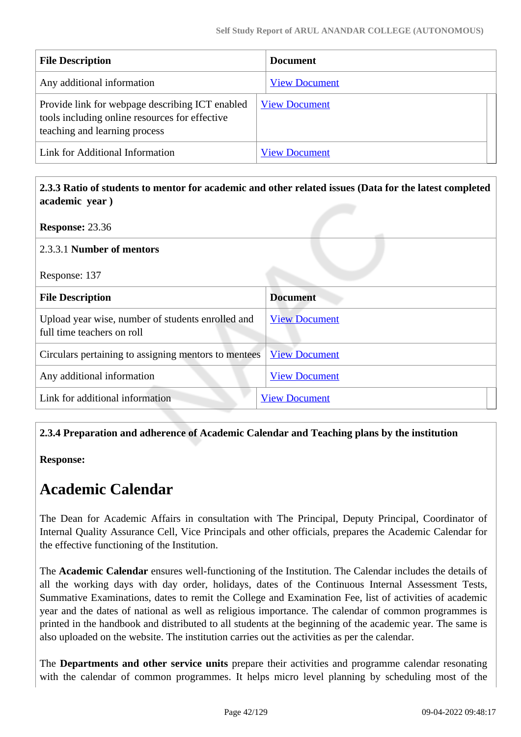| <b>File Description</b>                                                                                                            | <b>Document</b>      |
|------------------------------------------------------------------------------------------------------------------------------------|----------------------|
| Any additional information                                                                                                         | <b>View Document</b> |
| Provide link for webpage describing ICT enabled<br>tools including online resources for effective<br>teaching and learning process | <b>View Document</b> |
| Link for Additional Information                                                                                                    | <b>View Document</b> |

 **2.3.3 Ratio of students to mentor for academic and other related issues (Data for the latest completed academic year )**

**Response:** 23.36

## 2.3.3.1 **Number of mentors**

Response: 137

| <b>File Description</b>                                                         | <b>Document</b>      |
|---------------------------------------------------------------------------------|----------------------|
| Upload year wise, number of students enrolled and<br>full time teachers on roll | <b>View Document</b> |
| Circulars pertaining to assigning mentors to mentees                            | <b>View Document</b> |
| Any additional information                                                      | <b>View Document</b> |
| Link for additional information                                                 | <b>View Document</b> |

## **2.3.4 Preparation and adherence of Academic Calendar and Teaching plans by the institution**

**Response:** 

# **Academic Calendar**

The Dean for Academic Affairs in consultation with The Principal, Deputy Principal, Coordinator of Internal Quality Assurance Cell, Vice Principals and other officials, prepares the Academic Calendar for the effective functioning of the Institution.

The **Academic Calendar** ensures well-functioning of the Institution. The Calendar includes the details of all the working days with day order, holidays, dates of the Continuous Internal Assessment Tests, Summative Examinations, dates to remit the College and Examination Fee, list of activities of academic year and the dates of national as well as religious importance. The calendar of common programmes is printed in the handbook and distributed to all students at the beginning of the academic year. The same is also uploaded on the website. The institution carries out the activities as per the calendar.

The **Departments and other service units** prepare their activities and programme calendar resonating with the calendar of common programmes. It helps micro level planning by scheduling most of the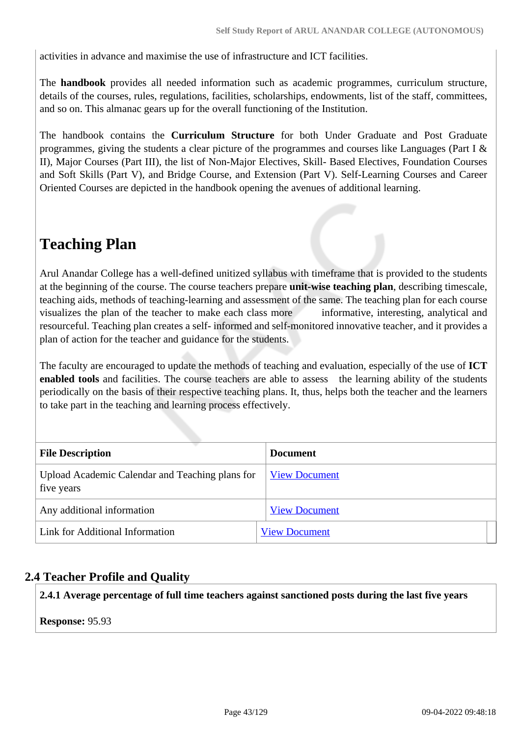activities in advance and maximise the use of infrastructure and ICT facilities.

The **handbook** provides all needed information such as academic programmes, curriculum structure, details of the courses, rules, regulations, facilities, scholarships, endowments, list of the staff, committees, and so on. This almanac gears up for the overall functioning of the Institution.

The handbook contains the **Curriculum Structure** for both Under Graduate and Post Graduate programmes, giving the students a clear picture of the programmes and courses like Languages (Part I & II), Major Courses (Part III), the list of Non-Major Electives, Skill- Based Electives, Foundation Courses and Soft Skills (Part V), and Bridge Course, and Extension (Part V). Self-Learning Courses and Career Oriented Courses are depicted in the handbook opening the avenues of additional learning.

# **Teaching Plan**

Arul Anandar College has a well-defined unitized syllabus with timeframe that is provided to the students at the beginning of the course. The course teachers prepare **unit-wise teaching plan**, describing timescale, teaching aids, methods of teaching-learning and assessment of the same. The teaching plan for each course visualizes the plan of the teacher to make each class more informative, interesting, analytical and resourceful. Teaching plan creates a self- informed and self-monitored innovative teacher, and it provides a plan of action for the teacher and guidance for the students.

The faculty are encouraged to update the methods of teaching and evaluation, especially of the use of **ICT enabled tools** and facilities. The course teachers are able to assess the learning ability of the students periodically on the basis of their respective teaching plans. It, thus, helps both the teacher and the learners to take part in the teaching and learning process effectively.

| <b>File Description</b>                                       | <b>Document</b>      |  |
|---------------------------------------------------------------|----------------------|--|
| Upload Academic Calendar and Teaching plans for<br>five years | <b>View Document</b> |  |
| Any additional information                                    | <b>View Document</b> |  |
| Link for Additional Information                               | <b>View Document</b> |  |

## **2.4 Teacher Profile and Quality**

**2.4.1 Average percentage of full time teachers against sanctioned posts during the last five years**

**Response:** 95.93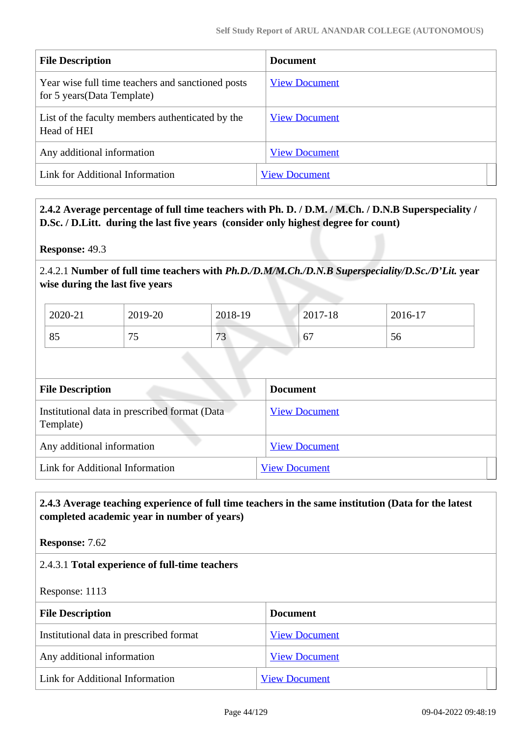| <b>File Description</b>                                                          | <b>Document</b>      |
|----------------------------------------------------------------------------------|----------------------|
| Year wise full time teachers and sanctioned posts<br>for 5 years (Data Template) | <b>View Document</b> |
| List of the faculty members authenticated by the<br>Head of HEI                  | <b>View Document</b> |
| Any additional information                                                       | <b>View Document</b> |
| Link for Additional Information                                                  | <b>View Document</b> |

## **2.4.2 Average percentage of full time teachers with Ph. D. / D.M. / M.Ch. / D.N.B Superspeciality / D.Sc. / D.Litt. during the last five years (consider only highest degree for count)**

**Response:** 49.3

2.4.2.1 **Number of full time teachers with** *Ph.D./D.M/M.Ch./D.N.B Superspeciality/D.Sc./D'Lit.* **year wise during the last five years**

| 2020-21 | 2019-20  | 2018-19  | 2017-18                                 | 2016-17 |
|---------|----------|----------|-----------------------------------------|---------|
| 85      | 7c<br>ັບ | 72<br>ັບ | $\overline{\phantom{a}}$<br>$\mathbf b$ | 56      |

| <b>File Description</b>                                    | <b>Document</b>      |
|------------------------------------------------------------|----------------------|
| Institutional data in prescribed format (Data<br>Template) | <b>View Document</b> |
| Any additional information                                 | <b>View Document</b> |
| Link for Additional Information                            | <b>View Document</b> |

## **2.4.3 Average teaching experience of full time teachers in the same institution (Data for the latest completed academic year in number of years)**

**Response:** 7.62

## 2.4.3.1 **Total experience of full-time teachers**

Response: 1113

| <b>File Description</b>                 | <b>Document</b>      |
|-----------------------------------------|----------------------|
| Institutional data in prescribed format | <b>View Document</b> |
| Any additional information              | <b>View Document</b> |
| Link for Additional Information         | <b>View Document</b> |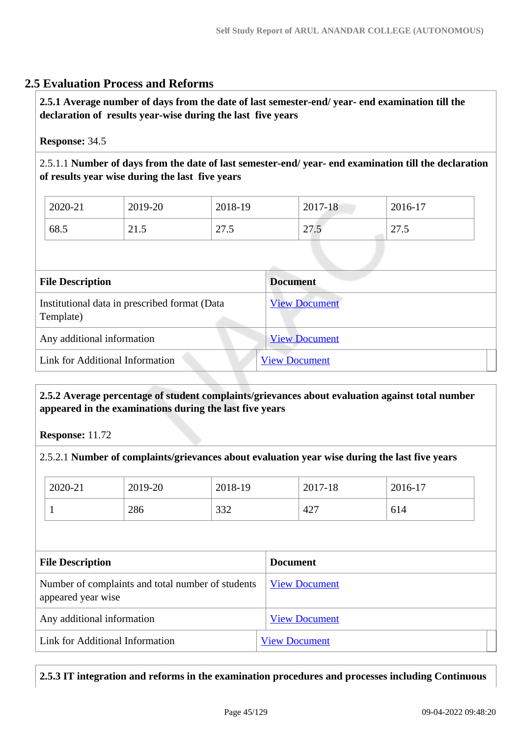## **2.5 Evaluation Process and Reforms**

 **2.5.1 Average number of days from the date of last semester-end/ year- end examination till the declaration of results year-wise during the last five years**

## **Response:** 34.5

2.5.1.1 **Number of days from the date of last semester-end/ year- end examination till the declaration of results year wise during the last five years** 

| 2020-21 | 2019-20                       | 2018-19                             | $\bigcap$ 17<br>7-18<br>2011 | 2016-17                                 |
|---------|-------------------------------|-------------------------------------|------------------------------|-----------------------------------------|
| 68.5    | $\mathbf{\Omega}$<br>-<br>4.0 | $\mathcal{L}$<br>-<br>$\sim$ $\sim$ | $\sim$<br>$\sim$ $\sim$      | 27.<br>$\overline{\phantom{0}}$<br>ن ري |

| <b>File Description</b>                                    | <b>Document</b>      |
|------------------------------------------------------------|----------------------|
| Institutional data in prescribed format (Data<br>Template) | <b>View Document</b> |
| Any additional information                                 | <b>View Document</b> |
| Link for Additional Information                            | <b>View Document</b> |

## **2.5.2 Average percentage of student complaints/grievances about evaluation against total number appeared in the examinations during the last five years**

**Response:** 11.72

2.5.2.1 **Number of complaints/grievances about evaluation year wise during the last five years** 

| 2020-21 | 2019-20 | 2018-19 | 2017-18 | 2016-17 |
|---------|---------|---------|---------|---------|
|         | 286     | 332     | 427     | 614     |

| <b>File Description</b>                                                 | <b>Document</b>      |
|-------------------------------------------------------------------------|----------------------|
| Number of complaints and total number of students<br>appeared year wise | <b>View Document</b> |
| Any additional information                                              | <b>View Document</b> |
| Link for Additional Information                                         | <b>View Document</b> |

**2.5.3 IT integration and reforms in the examination procedures and processes including Continuous**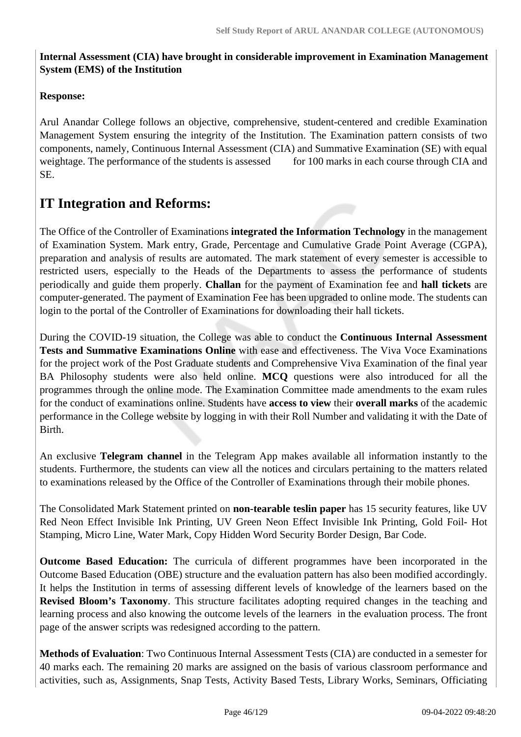## **Internal Assessment (CIA) have brought in considerable improvement in Examination Management System (EMS) of the Institution**

## **Response:**

Arul Anandar College follows an objective, comprehensive, student-centered and credible Examination Management System ensuring the integrity of the Institution. The Examination pattern consists of two components, namely, Continuous Internal Assessment (CIA) and Summative Examination (SE) with equal weightage. The performance of the students is assessed for 100 marks in each course through CIA and SE.

# **IT Integration and Reforms:**

The Office of the Controller of Examinations **integrated the Information Technology** in the management of Examination System. Mark entry, Grade, Percentage and Cumulative Grade Point Average (CGPA), preparation and analysis of results are automated. The mark statement of every semester is accessible to restricted users, especially to the Heads of the Departments to assess the performance of students periodically and guide them properly. **Challan** for the payment of Examination fee and **hall tickets** are computer-generated. The payment of Examination Fee has been upgraded to online mode. The students can login to the portal of the Controller of Examinations for downloading their hall tickets.

During the COVID-19 situation, the College was able to conduct the **Continuous Internal Assessment Tests and Summative Examinations Online** with ease and effectiveness. The Viva Voce Examinations for the project work of the Post Graduate students and Comprehensive Viva Examination of the final year BA Philosophy students were also held online. **MCQ** questions were also introduced for all the programmes through the online mode. The Examination Committee made amendments to the exam rules for the conduct of examinations online. Students have **access to view** their **overall marks** of the academic performance in the College website by logging in with their Roll Number and validating it with the Date of Birth.

An exclusive **Telegram channel** in the Telegram App makes available all information instantly to the students. Furthermore, the students can view all the notices and circulars pertaining to the matters related to examinations released by the Office of the Controller of Examinations through their mobile phones.

The Consolidated Mark Statement printed on **non-tearable teslin paper** has 15 security features, like UV Red Neon Effect Invisible Ink Printing, UV Green Neon Effect Invisible Ink Printing, Gold Foil- Hot Stamping, Micro Line, Water Mark, Copy Hidden Word Security Border Design, Bar Code.

**Outcome Based Education:** The curricula of different programmes have been incorporated in the Outcome Based Education (OBE) structure and the evaluation pattern has also been modified accordingly. It helps the Institution in terms of assessing different levels of knowledge of the learners based on the **Revised Bloom's Taxonomy**. This structure facilitates adopting required changes in the teaching and learning process and also knowing the outcome levels of the learners in the evaluation process. The front page of the answer scripts was redesigned according to the pattern.

**Methods of Evaluation**: Two Continuous Internal Assessment Tests (CIA) are conducted in a semester for 40 marks each. The remaining 20 marks are assigned on the basis of various classroom performance and activities, such as, Assignments, Snap Tests, Activity Based Tests, Library Works, Seminars, Officiating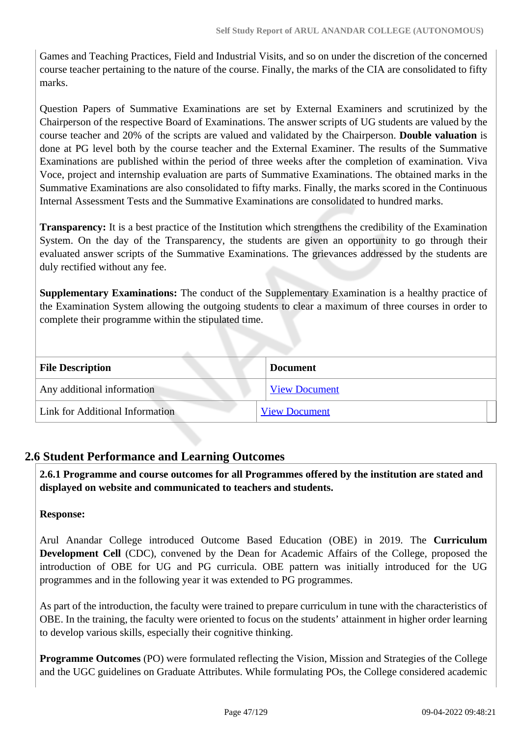Games and Teaching Practices, Field and Industrial Visits, and so on under the discretion of the concerned course teacher pertaining to the nature of the course. Finally, the marks of the CIA are consolidated to fifty marks.

Question Papers of Summative Examinations are set by External Examiners and scrutinized by the Chairperson of the respective Board of Examinations. The answer scripts of UG students are valued by the course teacher and 20% of the scripts are valued and validated by the Chairperson. **Double valuation** is done at PG level both by the course teacher and the External Examiner. The results of the Summative Examinations are published within the period of three weeks after the completion of examination. Viva Voce, project and internship evaluation are parts of Summative Examinations. The obtained marks in the Summative Examinations are also consolidated to fifty marks. Finally, the marks scored in the Continuous Internal Assessment Tests and the Summative Examinations are consolidated to hundred marks.

**Transparency:** It is a best practice of the Institution which strengthens the credibility of the Examination System. On the day of the Transparency, the students are given an opportunity to go through their evaluated answer scripts of the Summative Examinations. The grievances addressed by the students are duly rectified without any fee.

**Supplementary Examinations:** The conduct of the Supplementary Examination is a healthy practice of the Examination System allowing the outgoing students to clear a maximum of three courses in order to complete their programme within the stipulated time.

| <b>File Description</b>         | <b>Document</b>      |
|---------------------------------|----------------------|
| Any additional information      | <b>View Document</b> |
| Link for Additional Information | <b>View Document</b> |

## **2.6 Student Performance and Learning Outcomes**

 **2.6.1 Programme and course outcomes for all Programmes offered by the institution are stated and displayed on website and communicated to teachers and students.**

## **Response:**

Arul Anandar College introduced Outcome Based Education (OBE) in 2019. The **Curriculum Development Cell** (CDC), convened by the Dean for Academic Affairs of the College, proposed the introduction of OBE for UG and PG curricula. OBE pattern was initially introduced for the UG programmes and in the following year it was extended to PG programmes.

As part of the introduction, the faculty were trained to prepare curriculum in tune with the characteristics of OBE. In the training, the faculty were oriented to focus on the students' attainment in higher order learning to develop various skills, especially their cognitive thinking.

**Programme Outcomes** (PO) were formulated reflecting the Vision, Mission and Strategies of the College and the UGC guidelines on Graduate Attributes. While formulating POs, the College considered academic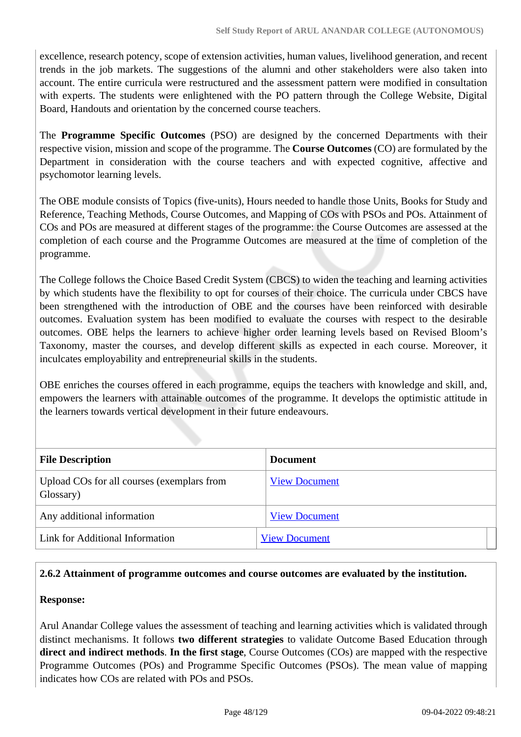excellence, research potency, scope of extension activities, human values, livelihood generation, and recent trends in the job markets. The suggestions of the alumni and other stakeholders were also taken into account. The entire curricula were restructured and the assessment pattern were modified in consultation with experts. The students were enlightened with the PO pattern through the College Website, Digital Board, Handouts and orientation by the concerned course teachers.

The **Programme Specific Outcomes** (PSO) are designed by the concerned Departments with their respective vision, mission and scope of the programme. The **Course Outcomes** (CO) are formulated by the Department in consideration with the course teachers and with expected cognitive, affective and psychomotor learning levels.

The OBE module consists of Topics (five-units), Hours needed to handle those Units, Books for Study and Reference, Teaching Methods, Course Outcomes, and Mapping of COs with PSOs and POs. Attainment of COs and POs are measured at different stages of the programme: the Course Outcomes are assessed at the completion of each course and the Programme Outcomes are measured at the time of completion of the programme.

The College follows the Choice Based Credit System (CBCS) to widen the teaching and learning activities by which students have the flexibility to opt for courses of their choice. The curricula under CBCS have been strengthened with the introduction of OBE and the courses have been reinforced with desirable outcomes. Evaluation system has been modified to evaluate the courses with respect to the desirable outcomes. OBE helps the learners to achieve higher order learning levels based on Revised Bloom's Taxonomy, master the courses, and develop different skills as expected in each course. Moreover, it inculcates employability and entrepreneurial skills in the students.

OBE enriches the courses offered in each programme, equips the teachers with knowledge and skill, and, empowers the learners with attainable outcomes of the programme. It develops the optimistic attitude in the learners towards vertical development in their future endeavours.

| <b>File Description</b>                                 | Document             |
|---------------------------------------------------------|----------------------|
| Upload COs for all courses (exemplars from<br>Glossary) | <b>View Document</b> |
| Any additional information                              | <b>View Document</b> |
| Link for Additional Information                         | <b>View Document</b> |

## **2.6.2 Attainment of programme outcomes and course outcomes are evaluated by the institution.**

## **Response:**

Arul Anandar College values the assessment of teaching and learning activities which is validated through distinct mechanisms. It follows **two different strategies** to validate Outcome Based Education through **direct and indirect methods**. **In the first stage**, Course Outcomes (COs) are mapped with the respective Programme Outcomes (POs) and Programme Specific Outcomes (PSOs). The mean value of mapping indicates how COs are related with POs and PSOs.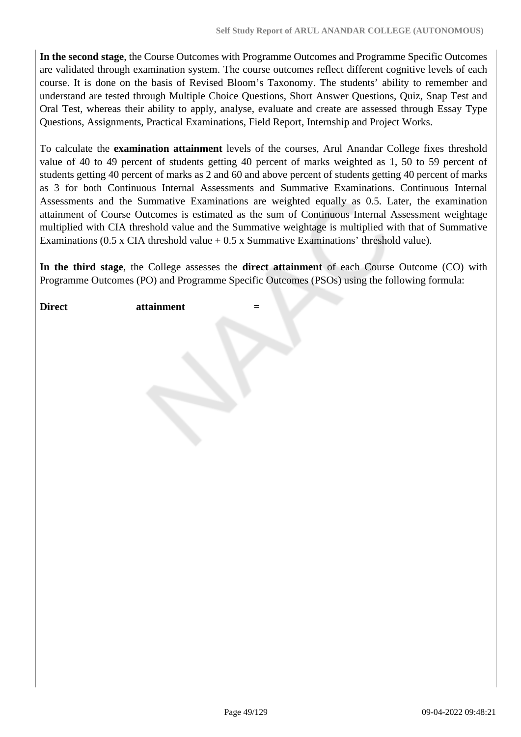**In the second stage**, the Course Outcomes with Programme Outcomes and Programme Specific Outcomes are validated through examination system. The course outcomes reflect different cognitive levels of each course. It is done on the basis of Revised Bloom's Taxonomy. The students' ability to remember and understand are tested through Multiple Choice Questions, Short Answer Questions, Quiz, Snap Test and Oral Test, whereas their ability to apply, analyse, evaluate and create are assessed through Essay Type Questions, Assignments, Practical Examinations, Field Report, Internship and Project Works.

To calculate the **examination attainment** levels of the courses, Arul Anandar College fixes threshold value of 40 to 49 percent of students getting 40 percent of marks weighted as 1, 50 to 59 percent of students getting 40 percent of marks as 2 and 60 and above percent of students getting 40 percent of marks as 3 for both Continuous Internal Assessments and Summative Examinations. Continuous Internal Assessments and the Summative Examinations are weighted equally as 0.5. Later, the examination attainment of Course Outcomes is estimated as the sum of Continuous Internal Assessment weightage multiplied with CIA threshold value and the Summative weightage is multiplied with that of Summative Examinations (0.5 x CIA threshold value  $+$  0.5 x Summative Examinations' threshold value).

**In the third stage**, the College assesses the **direct attainment** of each Course Outcome (CO) with Programme Outcomes (PO) and Programme Specific Outcomes (PSOs) using the following formula:

**Direct** attainment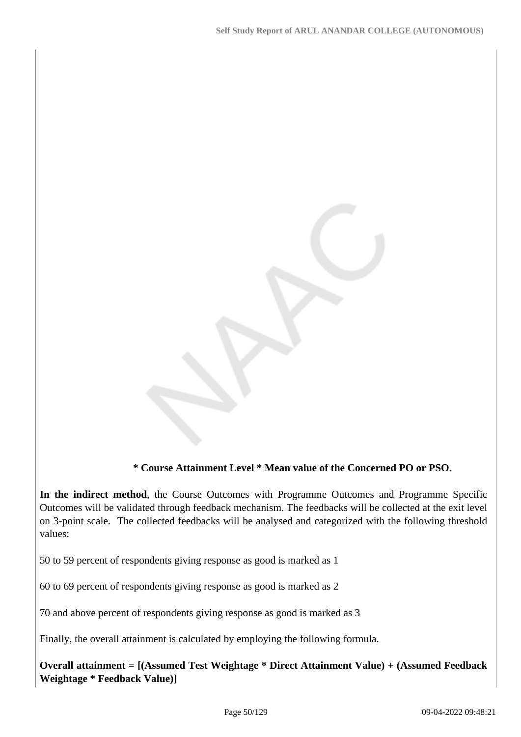## **\* Course Attainment Level \* Mean value of the Concerned PO or PSO.**

**In the indirect method**, the Course Outcomes with Programme Outcomes and Programme Specific Outcomes will be validated through feedback mechanism. The feedbacks will be collected at the exit level on 3-point scale. The collected feedbacks will be analysed and categorized with the following threshold values:

50 to 59 percent of respondents giving response as good is marked as 1

60 to 69 percent of respondents giving response as good is marked as 2

70 and above percent of respondents giving response as good is marked as 3

Finally, the overall attainment is calculated by employing the following formula.

**Overall attainment = [(Assumed Test Weightage \* Direct Attainment Value) + (Assumed Feedback Weightage \* Feedback Value)]**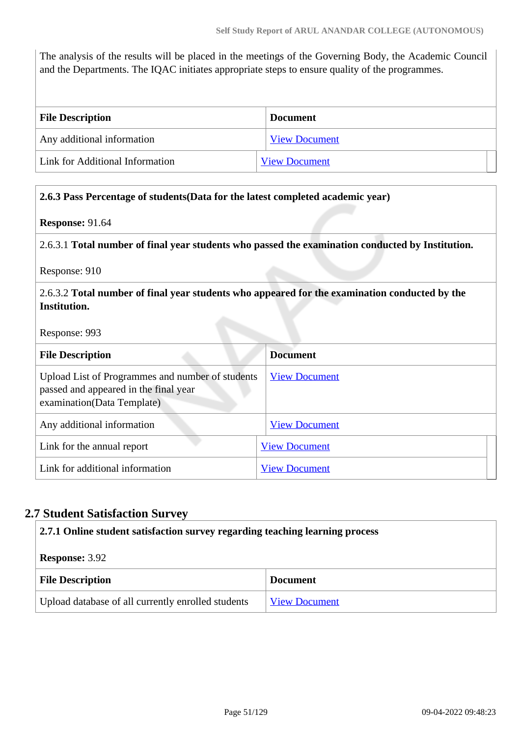The analysis of the results will be placed in the meetings of the Governing Body, the Academic Council and the Departments. The IQAC initiates appropriate steps to ensure quality of the programmes.

| <b>File Description</b>         | <b>Document</b>      |
|---------------------------------|----------------------|
| Any additional information      | <b>View Document</b> |
| Link for Additional Information | <b>View Document</b> |

#### **2.6.3 Pass Percentage of students(Data for the latest completed academic year)**

#### **Response:** 91.64

2.6.3.1 **Total number of final year students who passed the examination conducted by Institution.**

Response: 910

#### 2.6.3.2 **Total number of final year students who appeared for the examination conducted by the Institution.**

Response: 993

| <b>File Description</b>                                                                                                 | <b>Document</b>      |
|-------------------------------------------------------------------------------------------------------------------------|----------------------|
| Upload List of Programmes and number of students<br>passed and appeared in the final year<br>examination(Data Template) | <b>View Document</b> |
| Any additional information                                                                                              | <b>View Document</b> |
| Link for the annual report                                                                                              | <b>View Document</b> |
| Link for additional information                                                                                         | <b>View Document</b> |

## **2.7 Student Satisfaction Survey**

| 2.7.1 Online student satisfaction survey regarding teaching learning process |                      |  |
|------------------------------------------------------------------------------|----------------------|--|
| <b>Response: 3.92</b>                                                        |                      |  |
| <b>File Description</b>                                                      | <b>Document</b>      |  |
| Upload database of all currently enrolled students                           | <b>View Document</b> |  |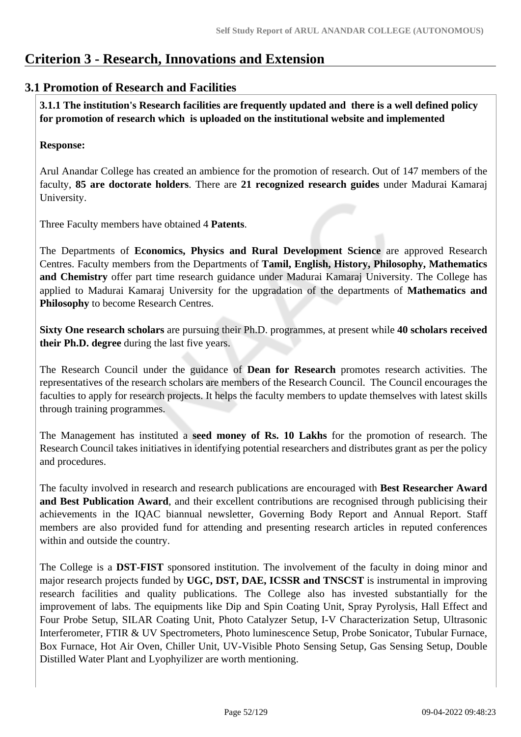## **Criterion 3 - Research, Innovations and Extension**

## **3.1 Promotion of Research and Facilities**

 **3.1.1 The institution's Research facilities are frequently updated and there is a well defined policy for promotion of research which is uploaded on the institutional website and implemented**

## **Response:**

Arul Anandar College has created an ambience for the promotion of research. Out of 147 members of the faculty, **85 are doctorate holders**. There are **21 recognized research guides** under Madurai Kamaraj University.

Three Faculty members have obtained 4 **Patents**.

The Departments of **Economics, Physics and Rural Development Science** are approved Research Centres. Faculty members from the Departments of **Tamil, English, History, Philosophy, Mathematics and Chemistry** offer part time research guidance under Madurai Kamaraj University. The College has applied to Madurai Kamaraj University for the upgradation of the departments of **Mathematics and Philosophy** to become Research Centres.

**Sixty One research scholars** are pursuing their Ph.D. programmes, at present while **40 scholars received their Ph.D. degree** during the last five years.

The Research Council under the guidance of **Dean for Research** promotes research activities. The representatives of the research scholars are members of the Research Council. The Council encourages the faculties to apply for research projects. It helps the faculty members to update themselves with latest skills through training programmes.

The Management has instituted a **seed money of Rs. 10 Lakhs** for the promotion of research. The Research Council takes initiatives in identifying potential researchers and distributes grant as per the policy and procedures.

The faculty involved in research and research publications are encouraged with **Best Researcher Award and Best Publication Award**, and their excellent contributions are recognised through publicising their achievements in the IQAC biannual newsletter, Governing Body Report and Annual Report. Staff members are also provided fund for attending and presenting research articles in reputed conferences within and outside the country.

The College is a **DST-FIST** sponsored institution. The involvement of the faculty in doing minor and major research projects funded by **UGC, DST, DAE, ICSSR and TNSCST** is instrumental in improving research facilities and quality publications. The College also has invested substantially for the improvement of labs. The equipments like Dip and Spin Coating Unit, Spray Pyrolysis, Hall Effect and Four Probe Setup, SILAR Coating Unit, Photo Catalyzer Setup, I-V Characterization Setup, Ultrasonic Interferometer, FTIR & UV Spectrometers, Photo luminescence Setup, Probe Sonicator, Tubular Furnace, Box Furnace, Hot Air Oven, Chiller Unit, UV-Visible Photo Sensing Setup, Gas Sensing Setup, Double Distilled Water Plant and Lyophyilizer are worth mentioning.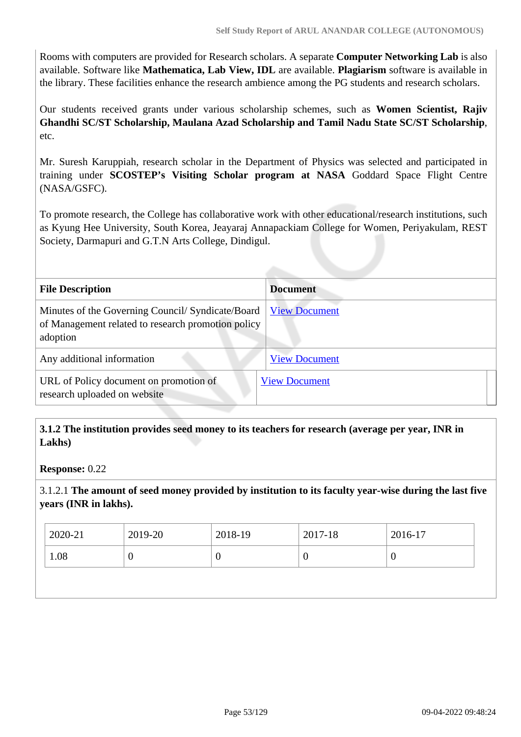Rooms with computers are provided for Research scholars. A separate **Computer Networking Lab** is also available. Software like **Mathematica, Lab View, IDL** are available. **Plagiarism** software is available in the library. These facilities enhance the research ambience among the PG students and research scholars.

Our students received grants under various scholarship schemes, such as **Women Scientist, Rajiv Ghandhi SC/ST Scholarship, Maulana Azad Scholarship and Tamil Nadu State SC/ST Scholarship**, etc.

Mr. Suresh Karuppiah, research scholar in the Department of Physics was selected and participated in training under **SCOSTEP's Visiting Scholar program at NASA** Goddard Space Flight Centre (NASA/GSFC).

To promote research, the College has collaborative work with other educational/research institutions, such as Kyung Hee University, South Korea, Jeayaraj Annapackiam College for Women, Periyakulam, REST Society, Darmapuri and G.T.N Arts College, Dindigul.

| <b>File Description</b>                                                                                             | <b>Document</b>      |
|---------------------------------------------------------------------------------------------------------------------|----------------------|
| Minutes of the Governing Council/ Syndicate/Board<br>of Management related to research promotion policy<br>adoption | <b>View Document</b> |
| Any additional information                                                                                          | <b>View Document</b> |
| URL of Policy document on promotion of<br>research uploaded on website                                              | <b>View Document</b> |

## **3.1.2 The institution provides seed money to its teachers for research (average per year, INR in Lakhs)**

**Response:** 0.22

3.1.2.1 **The amount of seed money provided by institution to its faculty year-wise during the last five years (INR in lakhs).**

| $12020 - 21$<br>2019-20<br>2018-19<br>2017-18 | 2016-17       |
|-----------------------------------------------|---------------|
| 1.08<br>0<br>ν                                | $\mathcal{C}$ |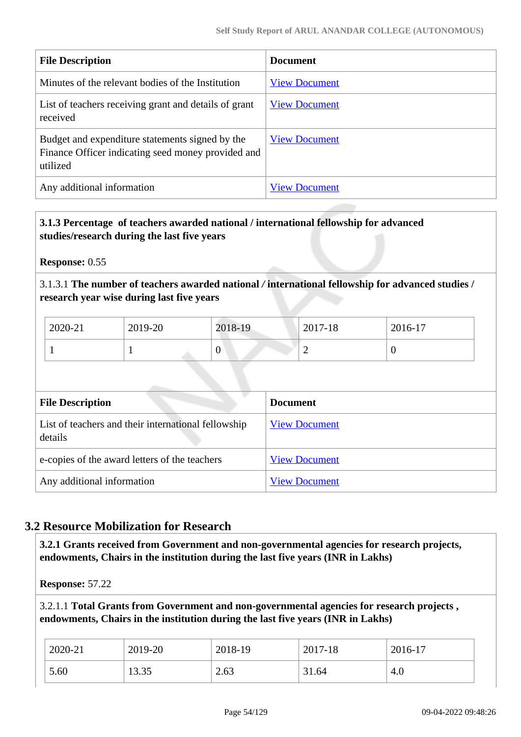| <b>File Description</b>                                                                                           | <b>Document</b>      |
|-------------------------------------------------------------------------------------------------------------------|----------------------|
| Minutes of the relevant bodies of the Institution                                                                 | <b>View Document</b> |
| List of teachers receiving grant and details of grant<br>received                                                 | <b>View Document</b> |
| Budget and expenditure statements signed by the<br>Finance Officer indicating seed money provided and<br>utilized | <b>View Document</b> |
| Any additional information                                                                                        | <b>View Document</b> |

## **3.1.3 Percentage of teachers awarded national / international fellowship for advanced studies/research during the last five years**

**Response:** 0.55

3.1.3.1 **The number of teachers awarded national** */* **international fellowship for advanced studies / research year wise during last five years**

| 2020-21 | 2019-20 | 2018-19 | 2017-18 | 2016-17 |
|---------|---------|---------|---------|---------|
|         |         |         | ∼       |         |

| <b>File Description</b>                                        | <b>Document</b>      |
|----------------------------------------------------------------|----------------------|
| List of teachers and their international fellowship<br>details | <b>View Document</b> |
| e-copies of the award letters of the teachers                  | <b>View Document</b> |
| Any additional information                                     | <b>View Document</b> |

## **3.2 Resource Mobilization for Research**

 **3.2.1 Grants received from Government and non-governmental agencies for research projects, endowments, Chairs in the institution during the last five years (INR in Lakhs)** 

**Response:** 57.22

3.2.1.1 **Total Grants from Government and non-governmental agencies for research projects , endowments, Chairs in the institution during the last five years (INR in Lakhs)**

| 2020-21 | 2019-20 | 2018-19 | 2017-18 | 2016-17 |
|---------|---------|---------|---------|---------|
| 5.60    | 13.35   | 2.63    | 31.64   | 4.0     |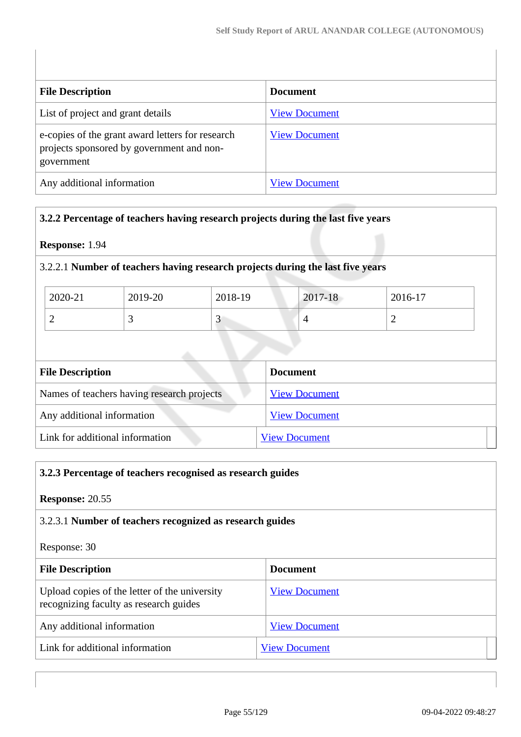| <b>File Description</b>                                                                                     | <b>Document</b>      |
|-------------------------------------------------------------------------------------------------------------|----------------------|
| List of project and grant details                                                                           | <b>View Document</b> |
| e-copies of the grant award letters for research<br>projects sponsored by government and non-<br>government | <b>View Document</b> |
| Any additional information                                                                                  | <b>View Document</b> |

## **3.2.2 Percentage of teachers having research projects during the last five years**

## **Response:** 1.94

## 3.2.2.1 **Number of teachers having research projects during the last five years**

| 2020-21 | 2019-20 | 2018-19 | 2017-18 | 2016-17 |
|---------|---------|---------|---------|---------|
|         |         | ີ       |         | -       |

| <b>File Description</b>                    | <b>Document</b>      |
|--------------------------------------------|----------------------|
| Names of teachers having research projects | <b>View Document</b> |
| Any additional information                 | <b>View Document</b> |
| Link for additional information            | <b>View Document</b> |

# **3.2.3 Percentage of teachers recognised as research guides Response:** 20.55 3.2.3.1 **Number of teachers recognized as research guides** Response: 30 **File Description Document** Upload copies of the letter of the university recognizing faculty as research guides [View Document](https://assessmentonline.naac.gov.in/storage/app/hei/SSR/105343/3.2.3_1639834817_6767.pdf) Any additional information [View Document](https://assessmentonline.naac.gov.in/storage/app/hei/SSR/105343/3.2.3_1639834839_6767.pdf) Link for additional information [View Document](https://www.aactni.edu.in/naac_new/criterion_3/support/c_3_2/c_3_2_3/3_2_3_research_guide.pdf)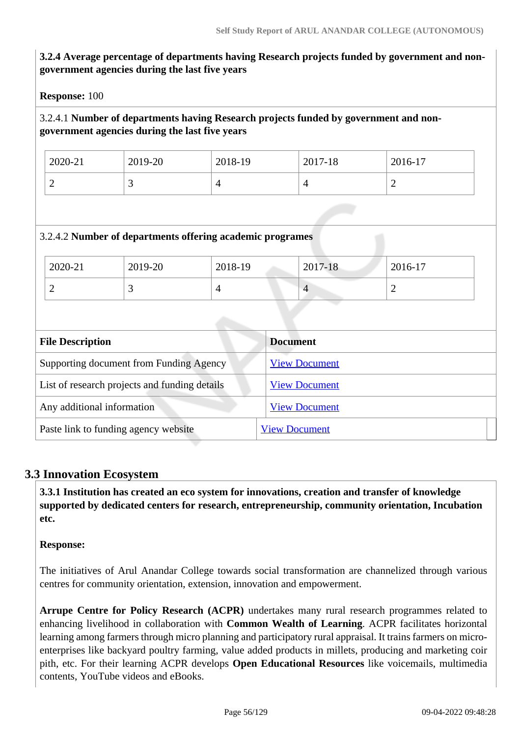## **3.2.4 Average percentage of departments having Research projects funded by government and nongovernment agencies during the last five years**

**Response:** 100

## 3.2.4.1 **Number of departments having Research projects funded by government and nongovernment agencies during the last five years**

| 2020-21                  | 2019-20 | 2018-19 | 2017-18 | 2016-17 |
|--------------------------|---------|---------|---------|---------|
| $\overline{\phantom{0}}$ | ັ       |         |         | ∽       |

## 3.2.4.2 **Number of departments offering academic programes**

| 2020-21 | 2019-20 | 2018-19 | 2017-18    | 2016-17 |
|---------|---------|---------|------------|---------|
| ∼       | ~       |         | $\sqrt{ }$ | ∼       |

| <b>File Description</b>                       | <b>Document</b>      |
|-----------------------------------------------|----------------------|
| Supporting document from Funding Agency       | <b>View Document</b> |
| List of research projects and funding details | <b>View Document</b> |
| Any additional information                    | <b>View Document</b> |
| Paste link to funding agency website          | <b>View Document</b> |

## **3.3 Innovation Ecosystem**

 **3.3.1 Institution has created an eco system for innovations, creation and transfer of knowledge supported by dedicated centers for research, entrepreneurship, community orientation, Incubation etc.**

#### **Response:**

The initiatives of Arul Anandar College towards social transformation are channelized through various centres for community orientation, extension, innovation and empowerment.

**Arrupe Centre for Policy Research (ACPR)** undertakes many rural research programmes related to enhancing livelihood in collaboration with **Common Wealth of Learning**. ACPR facilitates horizontal learning among farmers through micro planning and participatory rural appraisal. It trains farmers on microenterprises like backyard poultry farming, value added products in millets, producing and marketing coir pith, etc. For their learning ACPR develops **Open Educational Resources** like voicemails, multimedia contents, YouTube videos and eBooks.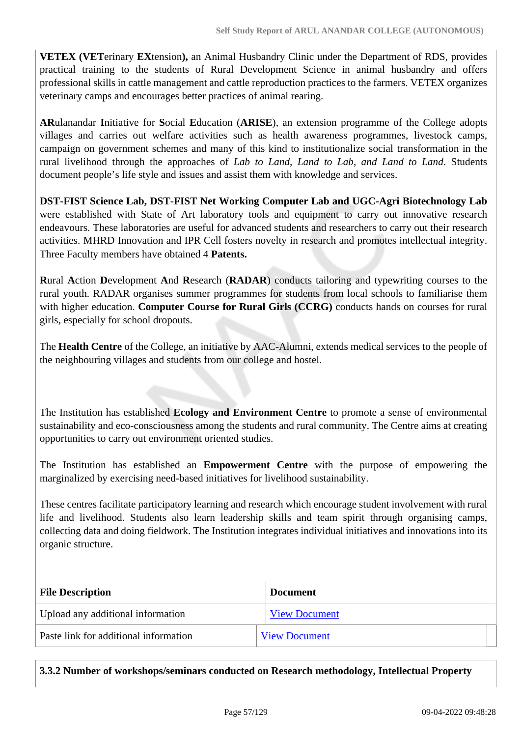**VETEX (VET**erinary **EX**tension**),** an Animal Husbandry Clinic under the Department of RDS, provides practical training to the students of Rural Development Science in animal husbandry and offers professional skills in cattle management and cattle reproduction practices to the farmers. VETEX organizes veterinary camps and encourages better practices of animal rearing.

**AR**ulanandar **I**nitiative for **S**ocial **E**ducation (**ARISE**), an extension programme of the College adopts villages and carries out welfare activities such as health awareness programmes, livestock camps, campaign on government schemes and many of this kind to institutionalize social transformation in the rural livelihood through the approaches of *Lab to Land, Land to Lab, and Land to Land*. Students document people's life style and issues and assist them with knowledge and services.

**DST-FIST Science Lab, DST-FIST Net Working Computer Lab and UGC-Agri Biotechnology Lab** were established with State of Art laboratory tools and equipment to carry out innovative research endeavours. These laboratories are useful for advanced students and researchers to carry out their research activities. MHRD Innovation and IPR Cell fosters novelty in research and promotes intellectual integrity. Three Faculty members have obtained 4 **Patents.**

**R**ural **A**ction **D**evelopment **A**nd **R**esearch (**RADAR**) conducts tailoring and typewriting courses to the rural youth. RADAR organises summer programmes for students from local schools to familiarise them with higher education. **Computer Course for Rural Girls (CCRG)** conducts hands on courses for rural girls, especially for school dropouts.

The **Health Centre** of the College, an initiative by AAC-Alumni, extends medical services to the people of the neighbouring villages and students from our college and hostel.

The Institution has established **Ecology and Environment Centre** to promote a sense of environmental sustainability and eco-consciousness among the students and rural community. The Centre aims at creating opportunities to carry out environment oriented studies.

The Institution has established an **Empowerment Centre** with the purpose of empowering the marginalized by exercising need-based initiatives for livelihood sustainability.

These centres facilitate participatory learning and research which encourage student involvement with rural life and livelihood. Students also learn leadership skills and team spirit through organising camps, collecting data and doing fieldwork. The Institution integrates individual initiatives and innovations into its organic structure.

| <b>File Description</b>               | <b>Document</b>      |
|---------------------------------------|----------------------|
| Upload any additional information     | <b>View Document</b> |
| Paste link for additional information | <b>View Document</b> |

**3.3.2 Number of workshops/seminars conducted on Research methodology, Intellectual Property**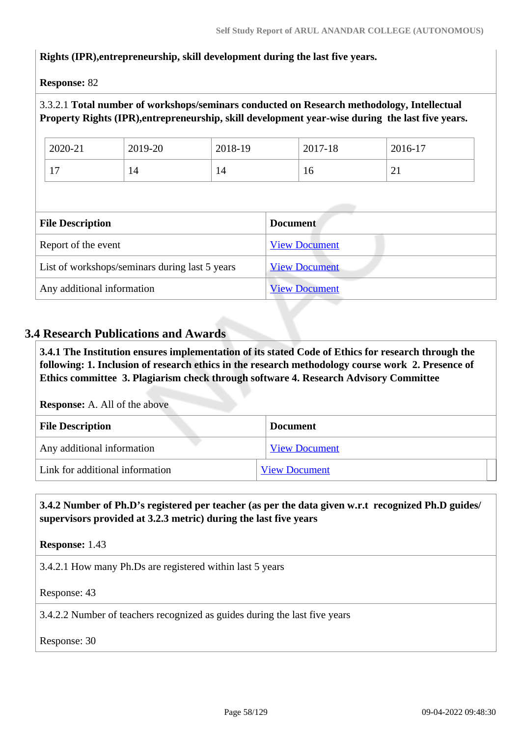## **Rights (IPR),entrepreneurship, skill development during the last five years.**

**Response:** 82

## 3.3.2.1 **Total number of workshops/seminars conducted on Research methodology, Intellectual Property Rights (IPR),entrepreneurship, skill development year-wise during the last five years.**

| 2020-21                   | 2019-20 | 2018-19 | 2017-18 | 2016-17  |
|---------------------------|---------|---------|---------|----------|
| $\overline{ }$<br>$\pm$ 1 | 14      | 14      | 10      | $\sim$ 1 |

| <b>File Description</b>                        | <b>Document</b>      |
|------------------------------------------------|----------------------|
| Report of the event                            | <b>View Document</b> |
| List of workshops/seminars during last 5 years | <b>View Document</b> |
| Any additional information                     | <b>View Document</b> |

## **3.4 Research Publications and Awards**

 **3.4.1 The Institution ensures implementation of its stated Code of Ethics for research through the following: 1. Inclusion of research ethics in the research methodology course work 2. Presence of Ethics committee 3. Plagiarism check through software 4. Research Advisory Committee**

**Response:** A. All of the above

| <b>File Description</b>         | <b>Document</b>      |
|---------------------------------|----------------------|
| Any additional information      | <b>View Document</b> |
| Link for additional information | <b>View Document</b> |

## **3.4.2 Number of Ph.D's registered per teacher (as per the data given w.r.t recognized Ph.D guides/ supervisors provided at 3.2.3 metric) during the last five years**

**Response:** 1.43

3.4.2.1 How many Ph.Ds are registered within last 5 years

Response: 43

3.4.2.2 Number of teachers recognized as guides during the last five years

Response: 30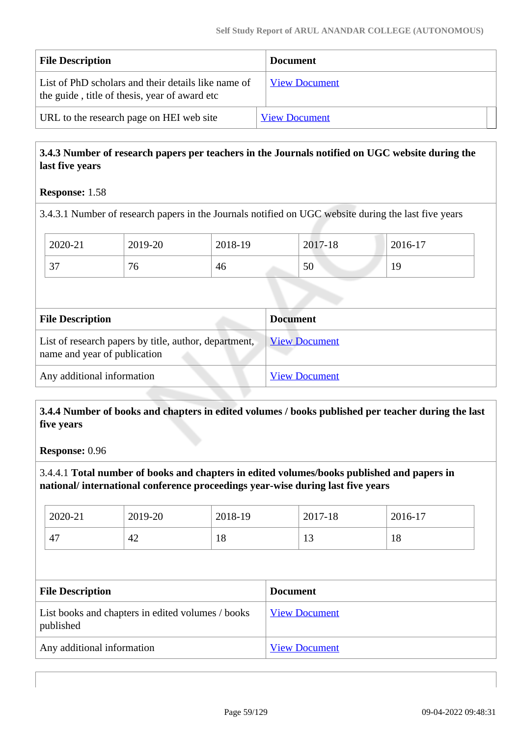| <b>File Description</b>                                                                              | <b>Document</b>      |
|------------------------------------------------------------------------------------------------------|----------------------|
| List of PhD scholars and their details like name of<br>the guide, title of thesis, year of award etc | <b>View Document</b> |
| URL to the research page on HEI web site                                                             | <b>View Document</b> |

## **3.4.3 Number of research papers per teachers in the Journals notified on UGC website during the last five years**

## **Response:** 1.58

3.4.3.1 Number of research papers in the Journals notified on UGC website during the last five years

| 2020-21                    | 2019-20 | 2018-19 | 2017-18 | 2016-17         |
|----------------------------|---------|---------|---------|-----------------|
| $\overline{ }$<br>$\cup$ . | ~<br>'0 | 46      | 50      | ╰<br><b>*</b> ノ |

| <b>File Description</b>                                                               | <b>Document</b>      |
|---------------------------------------------------------------------------------------|----------------------|
| List of research papers by title, author, department,<br>name and year of publication | <b>View Document</b> |
| Any additional information                                                            | <b>View Document</b> |

## **3.4.4 Number of books and chapters in edited volumes / books published per teacher during the last five years**

**Response:** 0.96

3.4.4.1 **Total number of books and chapters in edited volumes/books published and papers in national/ international conference proceedings year-wise during last five years**

| 2020-21 | 2019-20 | 2018-19   | 2017-18 | 2016-17   |
|---------|---------|-----------|---------|-----------|
| 47      | 42      | - 0<br>10 | ⊥ J     | 1 Q<br>10 |

| <b>File Description</b>                                        | <b>Document</b>      |
|----------------------------------------------------------------|----------------------|
| List books and chapters in edited volumes / books<br>published | <b>View Document</b> |
| Any additional information                                     | <b>View Document</b> |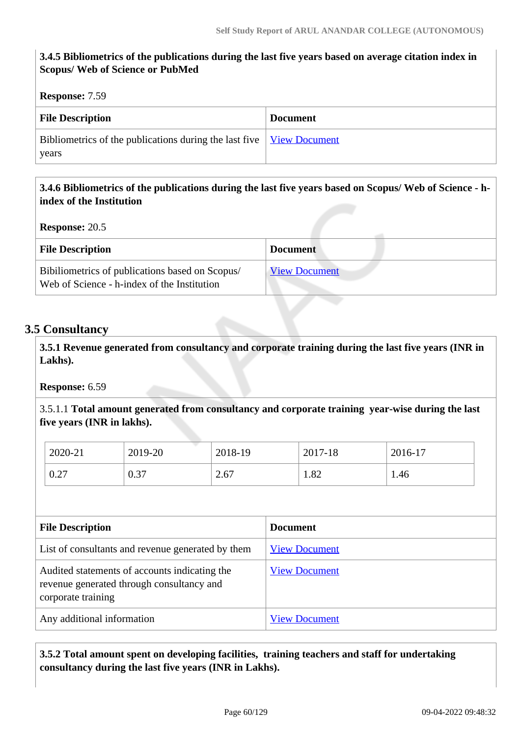## **3.4.5 Bibliometrics of the publications during the last five years based on average citation index in Scopus/ Web of Science or PubMed**

#### **Response:** 7.59

| <b>File Description</b>                                                                               | <b>Document</b> |
|-------------------------------------------------------------------------------------------------------|-----------------|
| Bibliometrics of the publications during the last five $\sqrt{\frac{V_{\text{icW}}}{V_{\text{icW}}}}$ |                 |
| years                                                                                                 |                 |

## **3.4.6 Bibliometrics of the publications during the last five years based on Scopus/ Web of Science - hindex of the Institution**

**Response:** 20.5

| <b>File Description</b>                                                                        | <b>Document</b>      |
|------------------------------------------------------------------------------------------------|----------------------|
| Bibiliometrics of publications based on Scopus/<br>Web of Science - h-index of the Institution | <b>View Document</b> |

## **3.5 Consultancy**

 **3.5.1 Revenue generated from consultancy and corporate training during the last five years (INR in Lakhs).**

**Response:** 6.59

3.5.1.1 **Total amount generated from consultancy and corporate training year-wise during the last five years (INR in lakhs).**

| 2020-21     | 2019-20 | 2018-19 | 2017-18 | 2016-17 |
|-------------|---------|---------|---------|---------|
| 0.27<br>0.2 | 0.37    | 2.67    | 1.82    | 1.46    |

| <b>File Description</b>                                                                                          | <b>Document</b>      |
|------------------------------------------------------------------------------------------------------------------|----------------------|
| List of consultants and revenue generated by them                                                                | <b>View Document</b> |
| Audited statements of accounts indicating the<br>revenue generated through consultancy and<br>corporate training | <b>View Document</b> |
| Any additional information                                                                                       | <b>View Document</b> |

## **3.5.2 Total amount spent on developing facilities, training teachers and staff for undertaking consultancy during the last five years (INR in Lakhs).**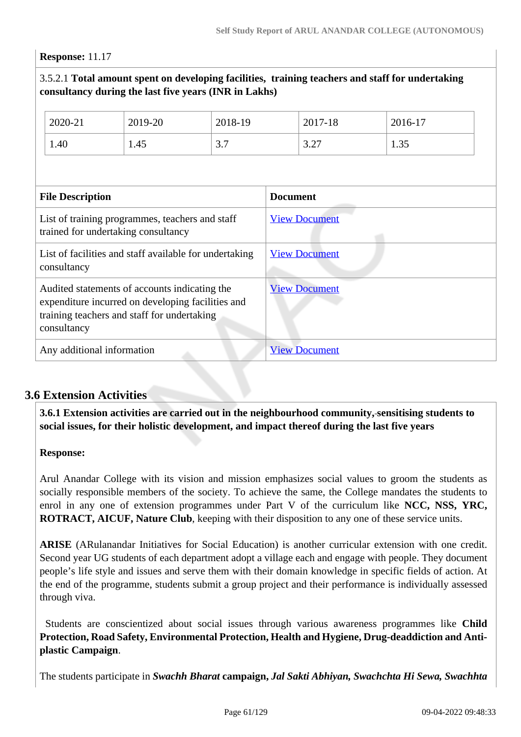#### **Response:** 11.17

## 3.5.2.1 **Total amount spent on developing facilities, training teachers and staff for undertaking consultancy during the last five years (INR in Lakhs)**

|                                                                                                                                                                  | 2020-21 | 2019-20 | 2018-19              |                      | 2017-18 | 2016-17 |
|------------------------------------------------------------------------------------------------------------------------------------------------------------------|---------|---------|----------------------|----------------------|---------|---------|
|                                                                                                                                                                  | 1.40    | 1.45    | 3.7                  |                      | 3.27    | 1.35    |
|                                                                                                                                                                  |         |         |                      |                      |         |         |
| <b>File Description</b>                                                                                                                                          |         |         | <b>Document</b>      |                      |         |         |
| List of training programmes, teachers and staff<br>trained for undertaking consultancy                                                                           |         |         | <b>View Document</b> |                      |         |         |
| List of facilities and staff available for undertaking<br>consultancy                                                                                            |         |         |                      | <b>View Document</b> |         |         |
| Audited statements of accounts indicating the<br>expenditure incurred on developing facilities and<br>training teachers and staff for undertaking<br>consultancy |         |         |                      | <b>View Document</b> |         |         |
| Any additional information                                                                                                                                       |         |         |                      | <b>View Document</b> |         |         |

## **3.6 Extension Activities**

 **3.6.1 Extension activities are carried out in the neighbourhood community, sensitising students to social issues, for their holistic development, and impact thereof during the last five years**

#### **Response:**

Arul Anandar College with its vision and mission emphasizes social values to groom the students as socially responsible members of the society. To achieve the same, the College mandates the students to enrol in any one of extension programmes under Part V of the curriculum like **NCC, NSS, YRC, ROTRACT, AICUF, Nature Club**, keeping with their disposition to any one of these service units.

**ARISE** (ARulanandar Initiatives for Social Education) is another curricular extension with one credit. Second year UG students of each department adopt a village each and engage with people. They document people's life style and issues and serve them with their domain knowledge in specific fields of action. At the end of the programme, students submit a group project and their performance is individually assessed through viva.

 Students are conscientized about social issues through various awareness programmes like **Child Protection, Road Safety, Environmental Protection, Health and Hygiene, Drug-deaddiction and Antiplastic Campaign**.

The students participate in *Swachh Bharat* **campaign,** *Jal Sakti Abhiyan, Swachchta Hi Sewa, Swachhta*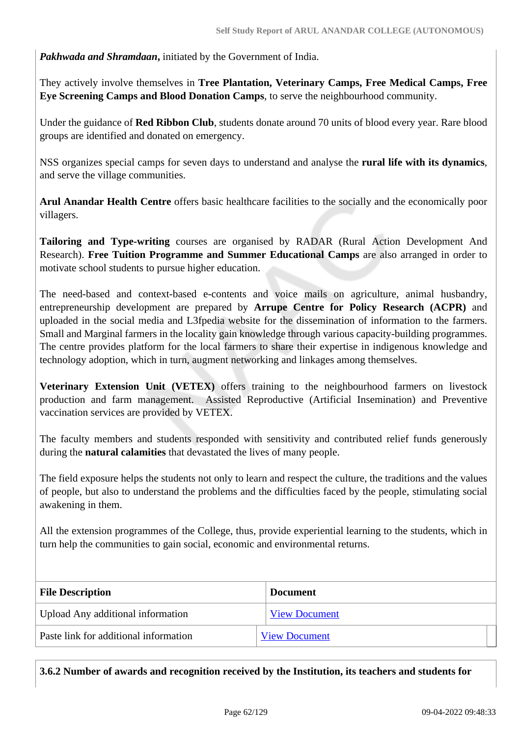*Pakhwada and Shramdaan***,** initiated by the Government of India.

They actively involve themselves in **Tree Plantation, Veterinary Camps, Free Medical Camps, Free Eye Screening Camps and Blood Donation Camps**, to serve the neighbourhood community.

Under the guidance of **Red Ribbon Club**, students donate around 70 units of blood every year. Rare blood groups are identified and donated on emergency.

NSS organizes special camps for seven days to understand and analyse the **rural life with its dynamics**, and serve the village communities.

**Arul Anandar Health Centre** offers basic healthcare facilities to the socially and the economically poor villagers.

**Tailoring and Type-writing** courses are organised by RADAR (Rural Action Development And Research). **Free Tuition Programme and Summer Educational Camps** are also arranged in order to motivate school students to pursue higher education.

The need-based and context-based e-contents and voice mails on agriculture, animal husbandry, entrepreneurship development are prepared by **Arrupe Centre for Policy Research (ACPR)** and uploaded in the social media and L3fpedia website for the dissemination of information to the farmers. Small and Marginal farmers in the locality gain knowledge through various capacity-building programmes. The centre provides platform for the local farmers to share their expertise in indigenous knowledge and technology adoption, which in turn, augment networking and linkages among themselves.

**Veterinary Extension Unit (VETEX)** offers training to the neighbourhood farmers on livestock production and farm management. Assisted Reproductive (Artificial Insemination) and Preventive vaccination services are provided by VETEX.

The faculty members and students responded with sensitivity and contributed relief funds generously during the **natural calamities** that devastated the lives of many people.

The field exposure helps the students not only to learn and respect the culture, the traditions and the values of people, but also to understand the problems and the difficulties faced by the people, stimulating social awakening in them.

All the extension programmes of the College, thus, provide experiential learning to the students, which in turn help the communities to gain social, economic and environmental returns.

| <b>File Description</b>               | <b>Document</b>      |
|---------------------------------------|----------------------|
| Upload Any additional information     | <b>View Document</b> |
| Paste link for additional information | <b>View Document</b> |

**3.6.2 Number of awards and recognition received by the Institution, its teachers and students for**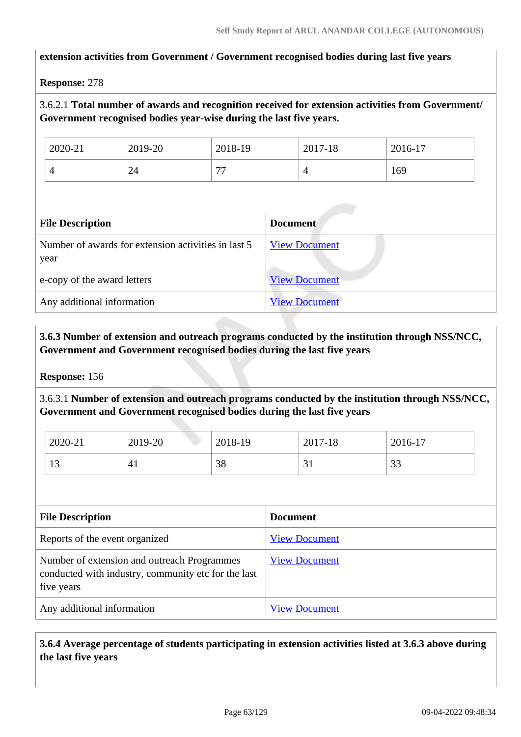## **extension activities from Government / Government recognised bodies during last five years**

#### **Response:** 278

## 3.6.2.1 **Total number of awards and recognition received for extension activities from Government/ Government recognised bodies year-wise during the last five years.**

| 2020-21 | 2019-20 | 2018-19      | 2017-18                  | 2016-17 |
|---------|---------|--------------|--------------------------|---------|
| ≖       | 24      | $\mathbf{H}$ | $\overline{\phantom{0}}$ | 169     |

| <b>File Description</b>                                     | <b>Document</b>      |  |  |  |  |
|-------------------------------------------------------------|----------------------|--|--|--|--|
| Number of awards for extension activities in last 5<br>year | <b>View Document</b> |  |  |  |  |
| e-copy of the award letters                                 | <b>View Document</b> |  |  |  |  |
| Any additional information                                  | <b>View Document</b> |  |  |  |  |

## **3.6.3 Number of extension and outreach programs conducted by the institution through NSS/NCC, Government and Government recognised bodies during the last five years**

#### **Response:** 156

3.6.3.1 **Number of extension and outreach programs conducted by the institution through NSS/NCC, Government and Government recognised bodies during the last five years**

| 2020-21              | 2019-20 | 2018-19 | 2017-18 | 2016-17       |
|----------------------|---------|---------|---------|---------------|
| 1 <sub>2</sub><br>IJ | $4_{1}$ | 38      | ◡▴      | $\cap$<br>ر ر |

| <b>File Description</b>                                                                                          | <b>Document</b>      |
|------------------------------------------------------------------------------------------------------------------|----------------------|
| Reports of the event organized                                                                                   | <b>View Document</b> |
| Number of extension and outreach Programmes<br>conducted with industry, community etc for the last<br>five years | <b>View Document</b> |
| Any additional information                                                                                       | <b>View Document</b> |

 **3.6.4 Average percentage of students participating in extension activities listed at 3.6.3 above during the last five years**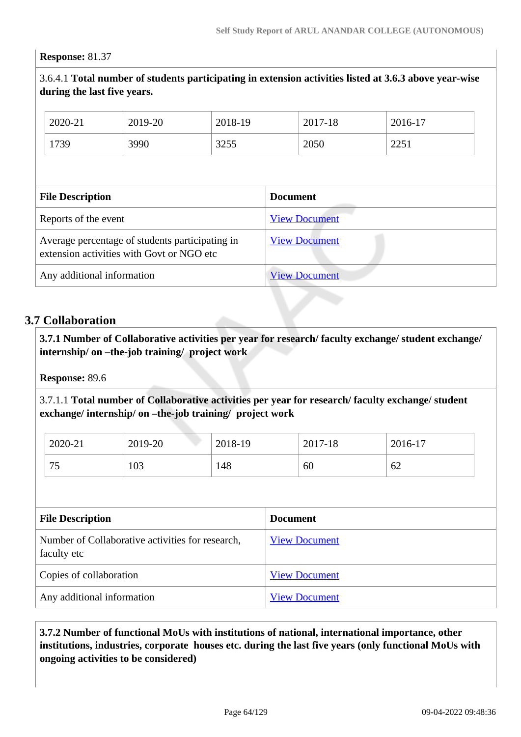#### **Response:** 81.37

3.6.4.1 **Total number of students participating in extension activities listed at 3.6.3 above year-wise during the last five years.**

| 2020-21                                                                                      | 2019-20 | 2018-19 |                      | 2017-18              | 2016-17 |  |
|----------------------------------------------------------------------------------------------|---------|---------|----------------------|----------------------|---------|--|
| 1739                                                                                         | 3990    | 3255    |                      | 2050                 | 2251    |  |
|                                                                                              |         |         |                      |                      |         |  |
| <b>File Description</b>                                                                      |         |         |                      | <b>Document</b>      |         |  |
| Reports of the event                                                                         |         |         |                      | <b>View Document</b> |         |  |
| Average percentage of students participating in<br>extension activities with Govt or NGO etc |         |         | <b>View Document</b> |                      |         |  |
| Any additional information                                                                   |         |         |                      | <b>View Document</b> |         |  |

## **3.7 Collaboration**

 **3.7.1 Number of Collaborative activities per year for research/ faculty exchange/ student exchange/ internship/ on –the-job training/ project work** 

**Response:** 89.6

3.7.1.1 **Total number of Collaborative activities per year for research/ faculty exchange/ student exchange/ internship/ on –the-job training/ project work** 

| 2020-21   | 2019-20 | 2018-19 | 2017-18 | 2016-17 |  |
|-----------|---------|---------|---------|---------|--|
| 75<br>ر ا | 103     | 148     | 60      | 62      |  |

| <b>File Description</b>                                         | <b>Document</b>      |
|-----------------------------------------------------------------|----------------------|
| Number of Collaborative activities for research,<br>faculty etc | <b>View Document</b> |
| Copies of collaboration                                         | <b>View Document</b> |
| Any additional information                                      | <b>View Document</b> |

 **3.7.2 Number of functional MoUs with institutions of national, international importance, other institutions, industries, corporate houses etc. during the last five years (only functional MoUs with ongoing activities to be considered)**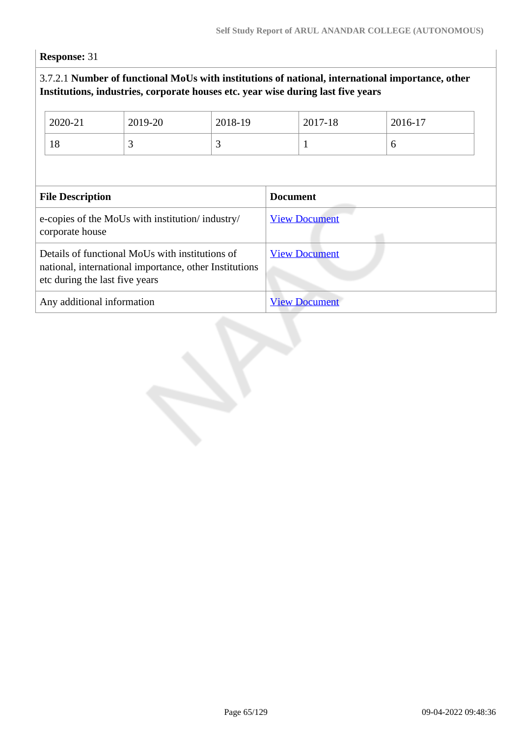**Response:** 31

## 3.7.2.1 **Number of functional MoUs with institutions of national, international importance, other Institutions, industries, corporate houses etc. year wise during last five years**

| 2020-21                                                                                                                                     | 2019-20 | 2018-19 |                 | 2017-18              | 2016-17 |  |
|---------------------------------------------------------------------------------------------------------------------------------------------|---------|---------|-----------------|----------------------|---------|--|
| 18                                                                                                                                          | 3       | 3       |                 |                      | 6       |  |
|                                                                                                                                             |         |         |                 |                      |         |  |
| <b>File Description</b>                                                                                                                     |         |         | <b>Document</b> |                      |         |  |
| e-copies of the MoUs with institution/industry/<br>corporate house                                                                          |         |         |                 | <b>View Document</b> |         |  |
| Details of functional MoUs with institutions of<br>national, international importance, other Institutions<br>etc during the last five years |         |         |                 | <b>View Document</b> |         |  |
| Any additional information                                                                                                                  |         |         |                 | <b>View Document</b> |         |  |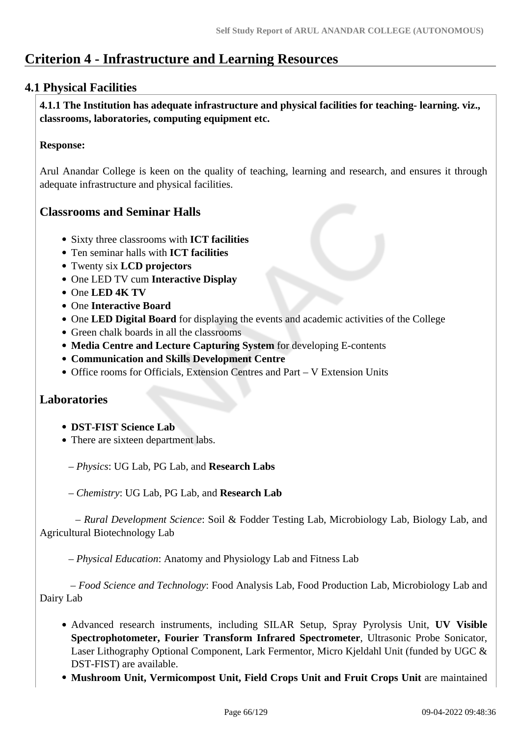# **Criterion 4 - Infrastructure and Learning Resources**

## **4.1 Physical Facilities**

 **4.1.1 The Institution has adequate infrastructure and physical facilities for teaching- learning. viz., classrooms, laboratories, computing equipment etc.** 

## **Response:**

Arul Anandar College is keen on the quality of teaching, learning and research, and ensures it through adequate infrastructure and physical facilities.

## **Classrooms and Seminar Halls**

- Sixty three classrooms with **ICT facilities**
- Ten seminar halls with **ICT facilities**
- Twenty six **LCD projectors**
- One LED TV cum **Interactive Display**
- One **LED 4K TV**
- One **Interactive Board**
- One **LED Digital Board** for displaying the events and academic activities of the College
- Green chalk boards in all the classrooms
- **Media Centre and Lecture Capturing System** for developing E-contents
- **Communication and Skills Development Centre**
- Office rooms for Officials, Extension Centres and Part V Extension Units

## **Laboratories**

- **DST-FIST Science Lab**
- There are sixteen department labs.

– *Physics*: UG Lab, PG Lab, and **Research Labs**

– *Chemistry*: UG Lab, PG Lab, and **Research Lab**

 – *Rural Development Science*: Soil & Fodder Testing Lab, Microbiology Lab, Biology Lab, and Agricultural Biotechnology Lab

– *Physical Education*: Anatomy and Physiology Lab and Fitness Lab

 – *Food Science and Technology*: Food Analysis Lab, Food Production Lab, Microbiology Lab and Dairy Lab

- Advanced research instruments, including SILAR Setup, Spray Pyrolysis Unit, **UV Visible Spectrophotometer, Fourier Transform Infrared Spectrometer**, Ultrasonic Probe Sonicator, Laser Lithography Optional Component, Lark Fermentor, Micro Kjeldahl Unit (funded by UGC & DST-FIST) are available.
- **Mushroom Unit, Vermicompost Unit, Field Crops Unit and Fruit Crops Unit** are maintained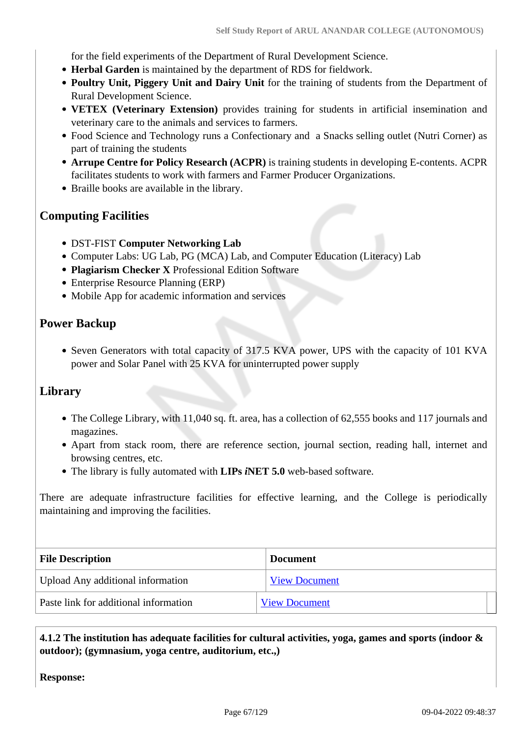for the field experiments of the Department of Rural Development Science.

- **Herbal Garden** is maintained by the department of RDS for fieldwork.
- **Poultry Unit, Piggery Unit and Dairy Unit** for the training of students from the Department of Rural Development Science.
- **VETEX (Veterinary Extension)** provides training for students in artificial insemination and veterinary care to the animals and services to farmers.
- Food Science and Technology runs a Confectionary and a Snacks selling outlet (Nutri Corner) as part of training the students
- **Arrupe Centre for Policy Research (ACPR)** is training students in developing E-contents. ACPR facilitates students to work with farmers and Farmer Producer Organizations.
- Braille books are available in the library.

## **Computing Facilities**

- DST-FIST **Computer Networking Lab**
- Computer Labs: UG Lab, PG (MCA) Lab, and Computer Education (Literacy) Lab
- **Plagiarism Checker X** Professional Edition Software
- Enterprise Resource Planning (ERP)
- Mobile App for academic information and services

## **Power Backup**

• Seven Generators with total capacity of 317.5 KVA power, UPS with the capacity of 101 KVA power and Solar Panel with 25 KVA for uninterrupted power supply

## **Library**

- The College Library, with 11,040 sq. ft. area, has a collection of 62,555 books and 117 journals and magazines.
- Apart from stack room, there are reference section, journal section, reading hall, internet and browsing centres, etc.
- The library is fully automated with **LIPs** *i***NET 5.0** web-based software.

There are adequate infrastructure facilities for effective learning, and the College is periodically maintaining and improving the facilities.

| <b>File Description</b>               | <b>Document</b>      |  |
|---------------------------------------|----------------------|--|
| Upload Any additional information     | <b>View Document</b> |  |
| Paste link for additional information | <b>View Document</b> |  |

## **4.1.2 The institution has adequate facilities for cultural activities, yoga, games and sports (indoor & outdoor); (gymnasium, yoga centre, auditorium, etc.,)**

**Response:**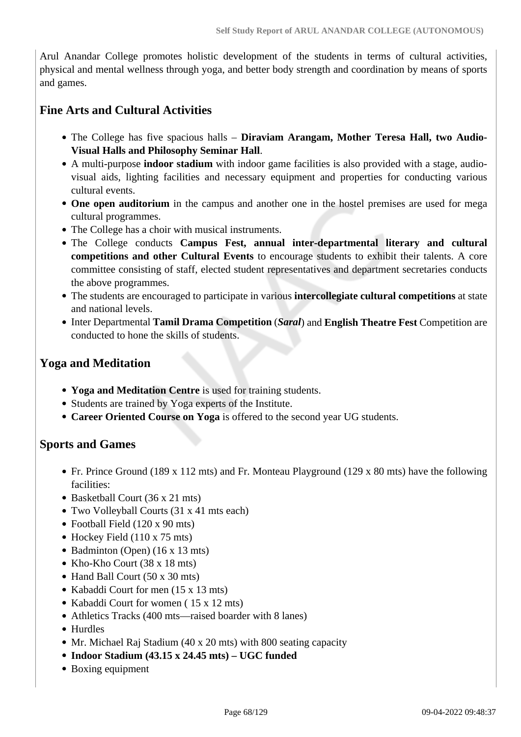Arul Anandar College promotes holistic development of the students in terms of cultural activities, physical and mental wellness through yoga, and better body strength and coordination by means of sports and games.

## **Fine Arts and Cultural Activities**

- The College has five spacious halls **Diraviam Arangam, Mother Teresa Hall, two Audio-Visual Halls and Philosophy Seminar Hall**.
- A multi-purpose **indoor stadium** with indoor game facilities is also provided with a stage, audiovisual aids, lighting facilities and necessary equipment and properties for conducting various cultural events.
- **One open auditorium** in the campus and another one in the hostel premises are used for mega cultural programmes.
- The College has a choir with musical instruments.
- The College conducts **Campus Fest, annual inter-departmental literary and cultural competitions and other Cultural Events** to encourage students to exhibit their talents. A core committee consisting of staff, elected student representatives and department secretaries conducts the above programmes.
- The students are encouraged to participate in various **intercollegiate cultural competitions** at state and national levels.
- Inter Departmental **Tamil Drama Competition** (*Saral*) and **English Theatre Fest** Competition are conducted to hone the skills of students.

## **Yoga and Meditation**

- **Yoga and Meditation Centre** is used for training students.
- Students are trained by Yoga experts of the Institute.
- **Career Oriented Course on Yoga** is offered to the second year UG students.

## **Sports and Games**

- Fr. Prince Ground (189 x 112 mts) and Fr. Monteau Playground (129 x 80 mts) have the following facilities:
- Basketball Court (36 x 21 mts)
- Two Volleyball Courts (31 x 41 mts each)
- Football Field (120 x 90 mts)
- Hockey Field (110 x 75 mts)
- Badminton (Open) (16 x 13 mts)
- Kho-Kho Court (38 x 18 mts)
- Hand Ball Court (50 x 30 mts)
- Kabaddi Court for men (15 x 13 mts)
- Kabaddi Court for women (15 x 12 mts)
- Athletics Tracks (400 mts—raised boarder with 8 lanes)
- Hurdles
- Mr. Michael Raj Stadium (40 x 20 mts) with 800 seating capacity
- **Indoor Stadium (43.15 x 24.45 mts) UGC funded**
- Boxing equipment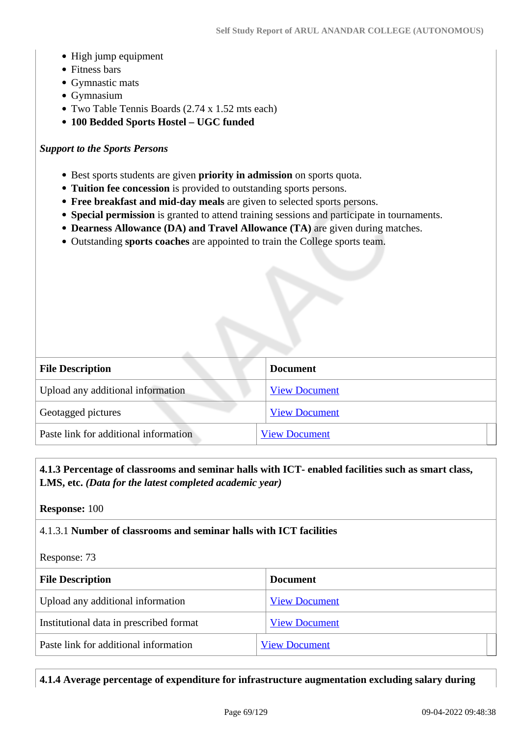- High jump equipment
- Fitness bars
- Gymnastic mats
- Gymnasium
- Two Table Tennis Boards (2.74 x 1.52 mts each)
- **100 Bedded Sports Hostel UGC funded**

#### *Support to the Sports Persons*

- Best sports students are given **priority in admission** on sports quota.
- **Tuition fee concession** is provided to outstanding sports persons.
- **Free breakfast and mid-day meals** are given to selected sports persons.
- **Special permission** is granted to attend training sessions and participate in tournaments.
- **Dearness Allowance (DA) and Travel Allowance (TA)** are given during matches.
- Outstanding **sports coaches** are appointed to train the College sports team.

| <b>File Description</b>               | <b>Document</b>      |
|---------------------------------------|----------------------|
| Upload any additional information     | <b>View Document</b> |
| Geotagged pictures                    | <b>View Document</b> |
| Paste link for additional information | <b>View Document</b> |

## **4.1.3 Percentage of classrooms and seminar halls with ICT- enabled facilities such as smart class, LMS, etc.** *(Data for the latest completed academic year)*

**Response:** 100

## 4.1.3.1 **Number of classrooms and seminar halls with ICT facilities**

Response: 73

| <b>File Description</b>                 | <b>Document</b>      |
|-----------------------------------------|----------------------|
| Upload any additional information       | <b>View Document</b> |
| Institutional data in prescribed format | <b>View Document</b> |
| Paste link for additional information   | <b>View Document</b> |

**4.1.4 Average percentage of expenditure for infrastructure augmentation excluding salary during**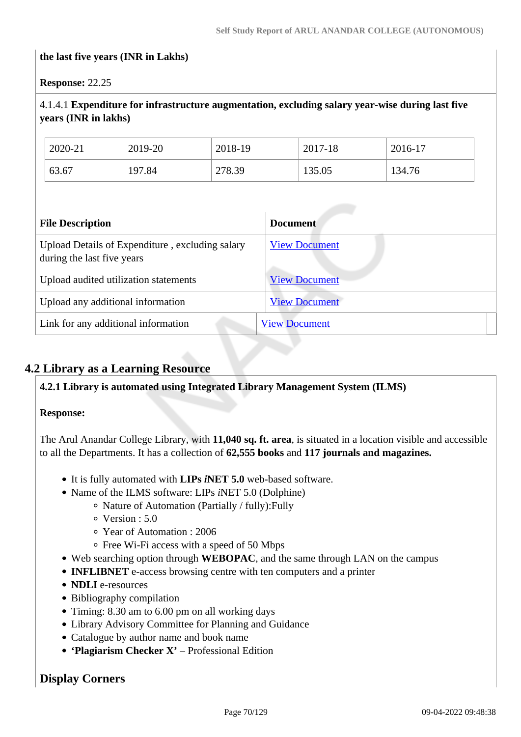#### **the last five years (INR in Lakhs)**

#### **Response:** 22.25

## 4.1.4.1 **Expenditure for infrastructure augmentation, excluding salary year-wise during last five years (INR in lakhs)**

| 2020-21 | 2019-20 | 2018-19 | 2017-18 | 2016-17 |
|---------|---------|---------|---------|---------|
| 63.67   | 197.84  | 278.39  | 135.05  | 134.76  |

| <b>File Description</b>                                                       | <b>Document</b>      |  |
|-------------------------------------------------------------------------------|----------------------|--|
| Upload Details of Expenditure, excluding salary<br>during the last five years | <b>View Document</b> |  |
| Upload audited utilization statements                                         | <b>View Document</b> |  |
| Upload any additional information                                             | <b>View Document</b> |  |
| Link for any additional information                                           | <b>View Document</b> |  |

## **4.2 Library as a Learning Resource**

## **4.2.1 Library is automated using Integrated Library Management System (ILMS)**

#### **Response:**

The Arul Anandar College Library, with **11,040 sq. ft. area**, is situated in a location visible and accessible to all the Departments. It has a collection of **62,555 books** and **117 journals and magazines.**

- It is fully automated with **LIPs** *i***NET 5.0** web-based software.
- Name of the ILMS software: LIPs *iNET* 5.0 (Dolphine)
	- Nature of Automation (Partially / fully):Fully
	- Version : 5.0
	- Year of Automation : 2006
	- Free Wi-Fi access with a speed of 50 Mbps
- Web searching option through **WEBOPAC**, and the same through LAN on the campus
- **INFLIBNET** e-access browsing centre with ten computers and a printer
- **NDLI** e-resources
- Bibliography compilation
- Timing: 8.30 am to 6.00 pm on all working days
- Library Advisory Committee for Planning and Guidance
- Catalogue by author name and book name
- **'Plagiarism Checker X'** Professional Edition

## **Display Corners**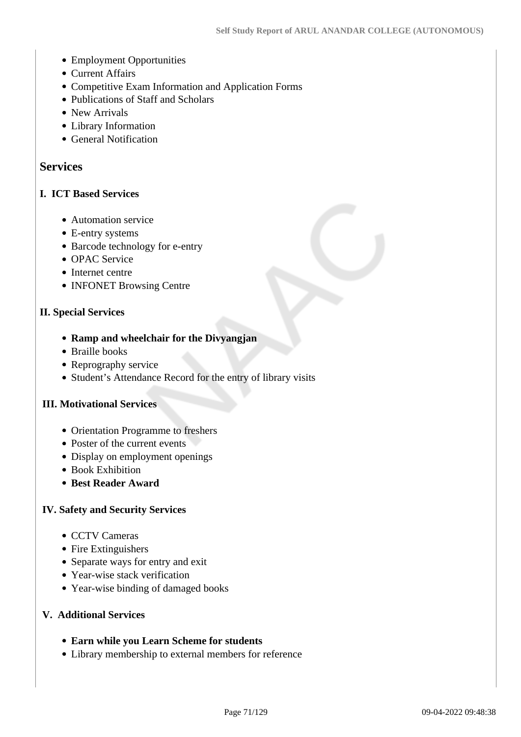- Employment Opportunities
- Current Affairs
- Competitive Exam Information and Application Forms
- Publications of Staff and Scholars
- New Arrivals
- Library Information
- General Notification

## **Services**

## **I. ICT Based Services**

- Automation service
- E-entry systems
- Barcode technology for e-entry
- OPAC Service
- Internet centre
- INFONET Browsing Centre

## **II. Special Services**

- **Ramp and wheelchair for the Divyangjan**
- Braille books
- Reprography service
- Student's Attendance Record for the entry of library visits

## **III. Motivational Services**

- Orientation Programme to freshers
- Poster of the current events
- Display on employment openings
- Book Exhibition
- **Best Reader Award**

## **IV. Safety and Security Services**

- CCTV Cameras
- Fire Extinguishers
- Separate ways for entry and exit
- Year-wise stack verification
- Year-wise binding of damaged books

## **V. Additional Services**

- **Earn while you Learn Scheme for students**
- Library membership to external members for reference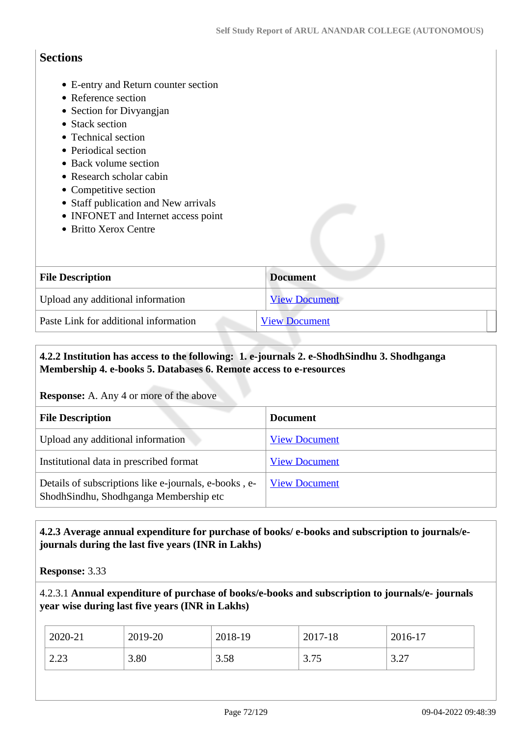## **Sections**

- E-entry and Return counter section
- Reference section
- Section for Divyangian
- Stack section
- Technical section
- Periodical section
- Back volume section
- Research scholar cabin
- Competitive section
- Staff publication and New arrivals
- INFONET and Internet access point
- Britto Xerox Centre

| <b>File Description</b>               | <b>Document</b>      |  |
|---------------------------------------|----------------------|--|
| Upload any additional information     | <b>View Document</b> |  |
| Paste Link for additional information | <b>View Document</b> |  |

## **4.2.2 Institution has access to the following: 1. e-journals 2. e-ShodhSindhu 3. Shodhganga Membership 4. e-books 5. Databases 6. Remote access to e-resources**

**Response:** A. Any 4 or more of the above

| <b>File Description</b>                                                                         | <b>Document</b>      |
|-------------------------------------------------------------------------------------------------|----------------------|
| Upload any additional information                                                               | <b>View Document</b> |
| Institutional data in prescribed format                                                         | <b>View Document</b> |
| Details of subscriptions like e-journals, e-books, e-<br>ShodhSindhu, Shodhganga Membership etc | <b>View Document</b> |

## **4.2.3 Average annual expenditure for purchase of books/ e-books and subscription to journals/ejournals during the last five years (INR in Lakhs)**

**Response:** 3.33

## 4.2.3.1 **Annual expenditure of purchase of books/e-books and subscription to journals/e- journals year wise during last five years (INR in Lakhs)**

| 2020-21    | 2019-20 | 2018-19 | 2017-18      | $2016-17$       |
|------------|---------|---------|--------------|-----------------|
| 22<br>ل∟…∠ | 3.80    | 3.58    | 2.75<br>3.13 | 3.77<br>ا ہے، پ |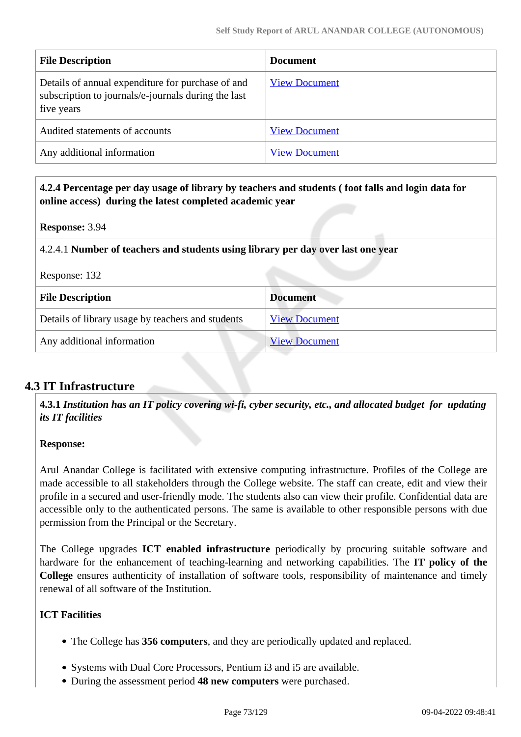| <b>File Description</b>                                                                                                | <b>Document</b>      |
|------------------------------------------------------------------------------------------------------------------------|----------------------|
| Details of annual expenditure for purchase of and<br>subscription to journals/e-journals during the last<br>five years | <b>View Document</b> |
| Audited statements of accounts                                                                                         | <b>View Document</b> |
| Any additional information                                                                                             | <b>View Document</b> |

 **4.2.4 Percentage per day usage of library by teachers and students ( foot falls and login data for online access) during the latest completed academic year**

#### **Response:** 3.94

#### 4.2.4.1 **Number of teachers and students using library per day over last one year**

| Response: 132 |  |
|---------------|--|
|---------------|--|

| <b>File Description</b>                           | <b>Document</b>      |  |
|---------------------------------------------------|----------------------|--|
| Details of library usage by teachers and students | <b>View Document</b> |  |
| Any additional information                        | <b>View Document</b> |  |

## **4.3 IT Infrastructure**

 **4.3.1** *Institution has an IT policy covering wi-fi, cyber security, etc., and allocated budget for updating its IT facilities* 

#### **Response:**

Arul Anandar College is facilitated with extensive computing infrastructure. Profiles of the College are made accessible to all stakeholders through the College website. The staff can create, edit and view their profile in a secured and user-friendly mode. The students also can view their profile. Confidential data are accessible only to the authenticated persons. The same is available to other responsible persons with due permission from the Principal or the Secretary.

The College upgrades **ICT enabled infrastructure** periodically by procuring suitable software and hardware for the enhancement of teaching-learning and networking capabilities. The **IT policy of the College** ensures authenticity of installation of software tools, responsibility of maintenance and timely renewal of all software of the Institution.

## **ICT Facilities**

- The College has **356 computers**, and they are periodically updated and replaced.
- Systems with Dual Core Processors, Pentium i3 and i5 are available.
- During the assessment period **48 new computers** were purchased.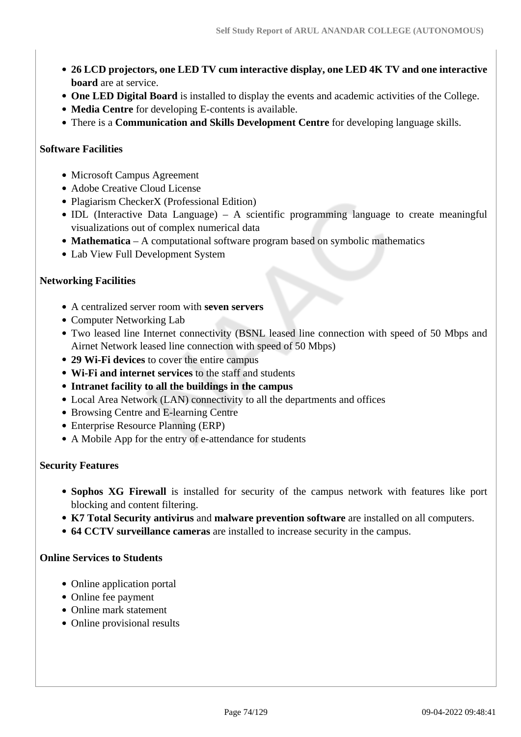- **26 LCD projectors, one LED TV cum interactive display, one LED 4K TV and one interactive board** are at service.
- **One LED Digital Board** is installed to display the events and academic activities of the College.
- **Media Centre** for developing E-contents is available.
- There is a **Communication and Skills Development Centre** for developing language skills.

#### **Software Facilities**

- Microsoft Campus Agreement
- Adobe Creative Cloud License
- Plagiarism CheckerX (Professional Edition)
- IDL (Interactive Data Language) A scientific programming language to create meaningful visualizations out of complex numerical data
- **Mathematica** A computational software program based on symbolic mathematics
- Lab View Full Development System

#### **Networking Facilities**

- A centralized server room with **seven servers**
- Computer Networking Lab
- Two leased line Internet connectivity (BSNL leased line connection with speed of 50 Mbps and Airnet Network leased line connection with speed of 50 Mbps)
- **29 Wi-Fi devices** to cover the entire campus
- **Wi-Fi and internet services** to the staff and students
- **Intranet facility to all the buildings in the campus**
- Local Area Network (LAN) connectivity to all the departments and offices
- Browsing Centre and E-learning Centre
- Enterprise Resource Planning (ERP)
- A Mobile App for the entry of e-attendance for students

#### **Security Features**

- **Sophos XG Firewall** is installed for security of the campus network with features like port blocking and content filtering.
- **K7 Total Security antivirus** and **malware prevention software** are installed on all computers.
- **64 CCTV surveillance cameras** are installed to increase security in the campus.

#### **Online Services to Students**

- Online application portal
- Online fee payment
- Online mark statement
- Online provisional results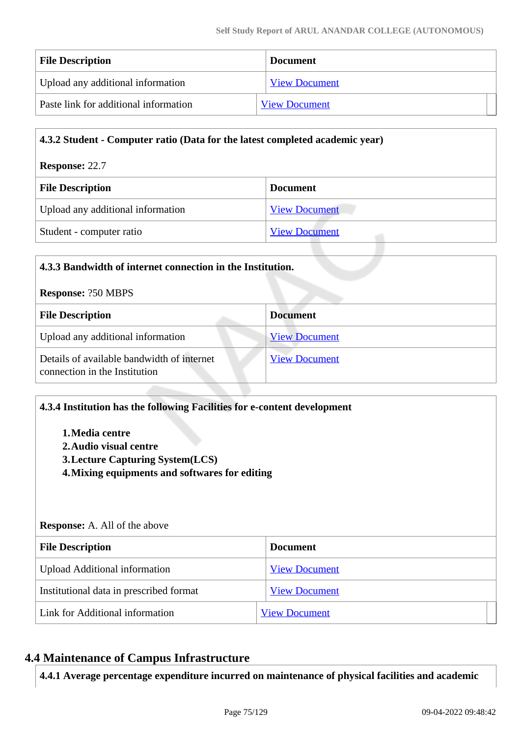| <b>File Description</b>               | <b>Document</b>      |  |
|---------------------------------------|----------------------|--|
| Upload any additional information     | <b>View Document</b> |  |
| Paste link for additional information | <b>View Document</b> |  |

| 4.3.2 Student - Computer ratio (Data for the latest completed academic year) |                      |  |
|------------------------------------------------------------------------------|----------------------|--|
| <b>Response: 22.7</b>                                                        |                      |  |
| <b>File Description</b><br><b>Document</b>                                   |                      |  |
| Upload any additional information<br><b>View Document</b>                    |                      |  |
| Student - computer ratio                                                     | <b>View Document</b> |  |

| 4.3.3 Bandwidth of internet connection in the Institution.                                          |  |  |  |
|-----------------------------------------------------------------------------------------------------|--|--|--|
| <b>Response: ?50 MBPS</b>                                                                           |  |  |  |
| <b>File Description</b><br><b>Document</b>                                                          |  |  |  |
| <b>View Document</b>                                                                                |  |  |  |
| Details of available bandwidth of internet<br><b>View Document</b><br>connection in the Institution |  |  |  |
|                                                                                                     |  |  |  |

| 4.3.4 Institution has the following Facilities for e-content development<br>1. Media centre<br>2. Audio visual centre<br><b>3. Lecture Capturing System(LCS)</b><br>4. Mixing equipments and softwares for editing<br><b>Response:</b> A. All of the above |                      |  |
|------------------------------------------------------------------------------------------------------------------------------------------------------------------------------------------------------------------------------------------------------------|----------------------|--|
|                                                                                                                                                                                                                                                            |                      |  |
| <b>File Description</b>                                                                                                                                                                                                                                    | <b>Document</b>      |  |
| <b>Upload Additional information</b>                                                                                                                                                                                                                       | <b>View Document</b> |  |
| Institutional data in prescribed format                                                                                                                                                                                                                    | <b>View Document</b> |  |

# **4.4 Maintenance of Campus Infrastructure**

**4.4.1 Average percentage expenditure incurred on maintenance of physical facilities and academic**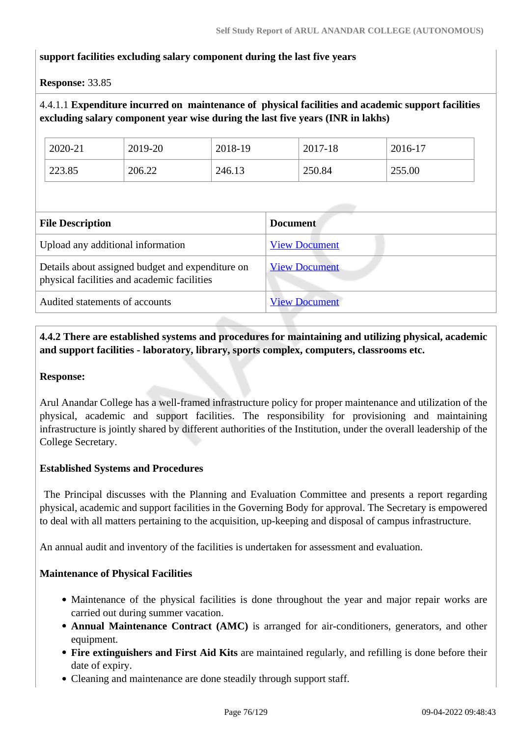#### **support facilities excluding salary component during the last five years**

#### **Response:** 33.85

## 4.4.1.1 **Expenditure incurred on maintenance of physical facilities and academic support facilities excluding salary component year wise during the last five years (INR in lakhs)**

| 2020-21 | 2019-20 | 2018-19 | 2017-18 | 2016-17 |
|---------|---------|---------|---------|---------|
| 223.85  | 206.22  | 246.13  | 250.84  | 255.00  |

| <b>File Description</b>                                                                         | <b>Document</b>      |
|-------------------------------------------------------------------------------------------------|----------------------|
| Upload any additional information                                                               | <b>View Document</b> |
| Details about assigned budget and expenditure on<br>physical facilities and academic facilities | <b>View Document</b> |
| Audited statements of accounts                                                                  | <b>View Document</b> |

## **4.4.2 There are established systems and procedures for maintaining and utilizing physical, academic and support facilities - laboratory, library, sports complex, computers, classrooms etc.**

#### **Response:**

Arul Anandar College has a well-framed infrastructure policy for proper maintenance and utilization of the physical, academic and support facilities. The responsibility for provisioning and maintaining infrastructure is jointly shared by different authorities of the Institution, under the overall leadership of the College Secretary.

#### **Established Systems and Procedures**

 The Principal discusses with the Planning and Evaluation Committee and presents a report regarding physical, academic and support facilities in the Governing Body for approval. The Secretary is empowered to deal with all matters pertaining to the acquisition, up-keeping and disposal of campus infrastructure.

An annual audit and inventory of the facilities is undertaken for assessment and evaluation.

#### **Maintenance of Physical Facilities**

- Maintenance of the physical facilities is done throughout the year and major repair works are carried out during summer vacation.
- **Annual Maintenance Contract (AMC)** is arranged for air-conditioners, generators, and other equipment.
- **Fire extinguishers and First Aid Kits** are maintained regularly, and refilling is done before their date of expiry.
- Cleaning and maintenance are done steadily through support staff.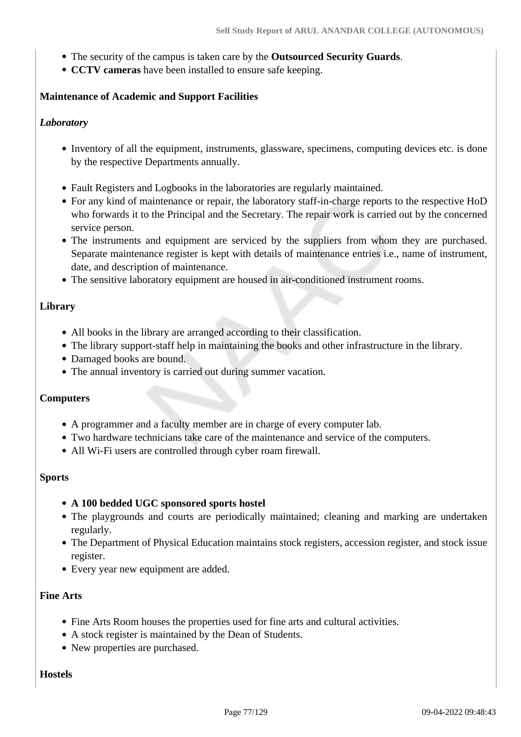- The security of the campus is taken care by the **Outsourced Security Guards**.
- **CCTV cameras** have been installed to ensure safe keeping.

#### **Maintenance of Academic and Support Facilities**

#### *Laboratory*

- Inventory of all the equipment, instruments, glassware, specimens, computing devices etc. is done by the respective Departments annually.
- Fault Registers and Logbooks in the laboratories are regularly maintained.
- For any kind of maintenance or repair, the laboratory staff-in-charge reports to the respective HoD who forwards it to the Principal and the Secretary. The repair work is carried out by the concerned service person.
- The instruments and equipment are serviced by the suppliers from whom they are purchased. Separate maintenance register is kept with details of maintenance entries i.e., name of instrument, date, and description of maintenance.
- The sensitive laboratory equipment are housed in air-conditioned instrument rooms.

#### **Library**

- All books in the library are arranged according to their classification.
- The library support-staff help in maintaining the books and other infrastructure in the library.
- Damaged books are bound.
- The annual inventory is carried out during summer vacation.

#### **Computers**

- A programmer and a faculty member are in charge of every computer lab.
- Two hardware technicians take care of the maintenance and service of the computers.
- All Wi-Fi users are controlled through cyber roam firewall.

#### **Sports**

#### **A 100 bedded UGC sponsored sports hostel**

- The playgrounds and courts are periodically maintained; cleaning and marking are undertaken regularly.
- The Department of Physical Education maintains stock registers, accession register, and stock issue register.
- Every year new equipment are added.

#### **Fine Arts**

- Fine Arts Room houses the properties used for fine arts and cultural activities.
- A stock register is maintained by the Dean of Students.
- New properties are purchased.

#### **Hostels**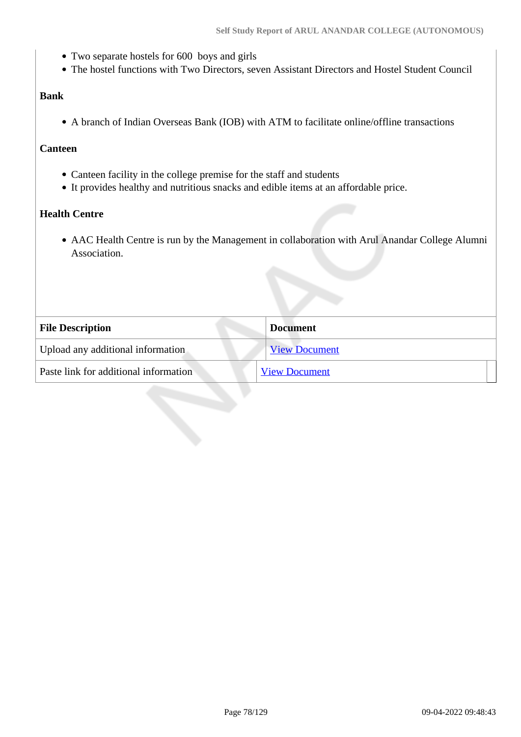- Two separate hostels for 600 boys and girls
- The hostel functions with Two Directors, seven Assistant Directors and Hostel Student Council

#### **Bank**

A branch of Indian Overseas Bank (IOB) with ATM to facilitate online/offline transactions

#### **Canteen**

- Canteen facility in the college premise for the staff and students
- It provides healthy and nutritious snacks and edible items at an affordable price.

#### **Health Centre**

AAC Health Centre is run by the Management in collaboration with Arul Anandar College Alumni Association.

| <b>File Description</b>               | <b>Document</b>      |
|---------------------------------------|----------------------|
| Upload any additional information     | <b>View Document</b> |
| Paste link for additional information | <b>View Document</b> |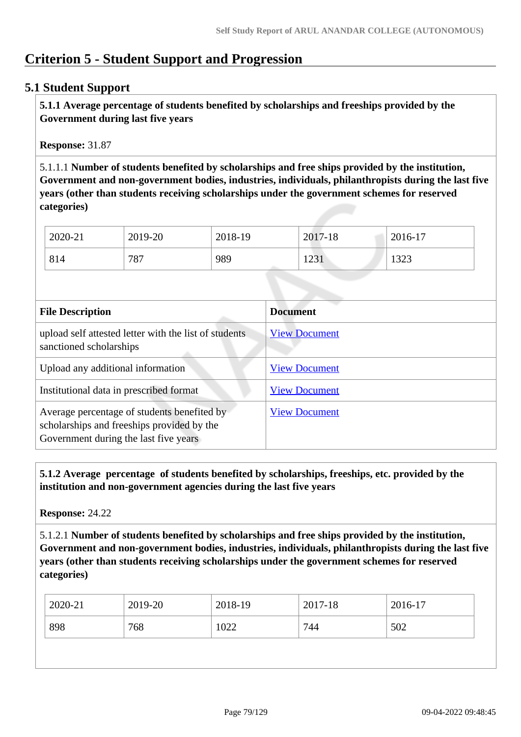# **Criterion 5 - Student Support and Progression**

## **5.1 Student Support**

 **5.1.1 Average percentage of students benefited by scholarships and freeships provided by the Government during last five years** 

**Response:** 31.87

5.1.1.1 **Number of students benefited by scholarships and free ships provided by the institution, Government and non-government bodies, industries, individuals, philanthropists during the last five years (other than students receiving scholarships under the government schemes for reserved categories)** 

| 2020-21 | 2019-20 | 2018-19 | 2017-18 | 2016-17 |
|---------|---------|---------|---------|---------|
| 814     | 787     | 989     | 1231    | 1323    |

| <b>File Description</b>                                                                                                            | <b>Document</b>      |
|------------------------------------------------------------------------------------------------------------------------------------|----------------------|
| upload self attested letter with the list of students<br>sanctioned scholarships                                                   | <b>View Document</b> |
| Upload any additional information                                                                                                  | <b>View Document</b> |
| Institutional data in prescribed format                                                                                            | <b>View Document</b> |
| Average percentage of students benefited by<br>scholarships and freeships provided by the<br>Government during the last five years | <b>View Document</b> |

 **5.1.2 Average percentage of students benefited by scholarships, freeships, etc. provided by the institution and non-government agencies during the last five years**

**Response:** 24.22

5.1.2.1 **Number of students benefited by scholarships and free ships provided by the institution, Government and non-government bodies, industries, individuals, philanthropists during the last five years (other than students receiving scholarships under the government schemes for reserved categories)** 

| 2020-21    | 2019-20 | 2018-19 | 2017-18 | 2016-17 |
|------------|---------|---------|---------|---------|
| 898<br>768 |         | 1022    | 744     | 502     |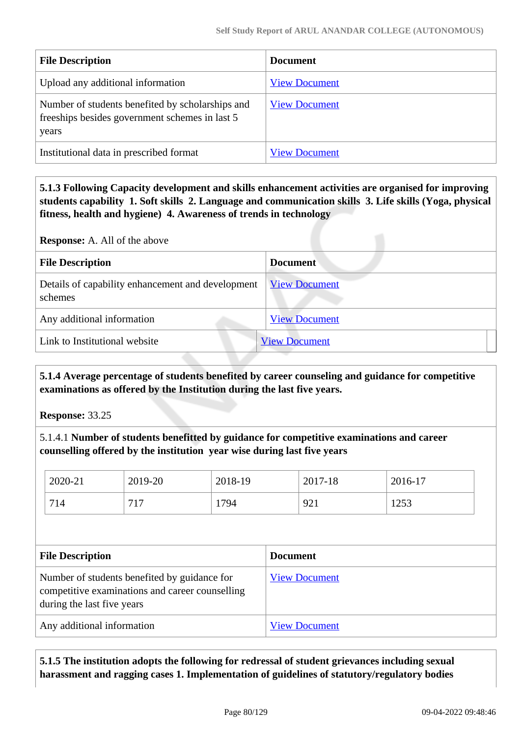| <b>File Description</b>                                                                                     | <b>Document</b>      |
|-------------------------------------------------------------------------------------------------------------|----------------------|
| Upload any additional information                                                                           | <b>View Document</b> |
| Number of students benefited by scholarships and<br>freeships besides government schemes in last 5<br>years | <b>View Document</b> |
| Institutional data in prescribed format                                                                     | <b>View Document</b> |

 **5.1.3 Following Capacity development and skills enhancement activities are organised for improving students capability 1. Soft skills 2. Language and communication skills 3. Life skills (Yoga, physical fitness, health and hygiene) 4. Awareness of trends in technology**

**Response:** A. All of the above

| <b>File Description</b>                                      | <b>Document</b>      |
|--------------------------------------------------------------|----------------------|
| Details of capability enhancement and development<br>schemes | <b>View Document</b> |
| Any additional information                                   | <b>View Document</b> |
| Link to Institutional website                                | <b>View Document</b> |

 **5.1.4 Average percentage of students benefited by career counseling and guidance for competitive examinations as offered by the Institution during the last five years.**

**Response:** 33.25

5.1.4.1 **Number of students benefitted by guidance for competitive examinations and career counselling offered by the institution year wise during last five years**

|                                                                                                                               | 2020-21 | 2019-20         | 2018-19              |  | 2017-18 | 2016-17 |
|-------------------------------------------------------------------------------------------------------------------------------|---------|-----------------|----------------------|--|---------|---------|
|                                                                                                                               | 714     | 717             | 1794                 |  | 921     | 1253    |
|                                                                                                                               |         |                 |                      |  |         |         |
| <b>File Description</b>                                                                                                       |         | <b>Document</b> |                      |  |         |         |
| Number of students benefited by guidance for<br>competitive examinations and career counselling<br>during the last five years |         |                 | <b>View Document</b> |  |         |         |
| Any additional information                                                                                                    |         |                 | <b>View Document</b> |  |         |         |

 **5.1.5 The institution adopts the following for redressal of student grievances including sexual harassment and ragging cases 1. Implementation of guidelines of statutory/regulatory bodies**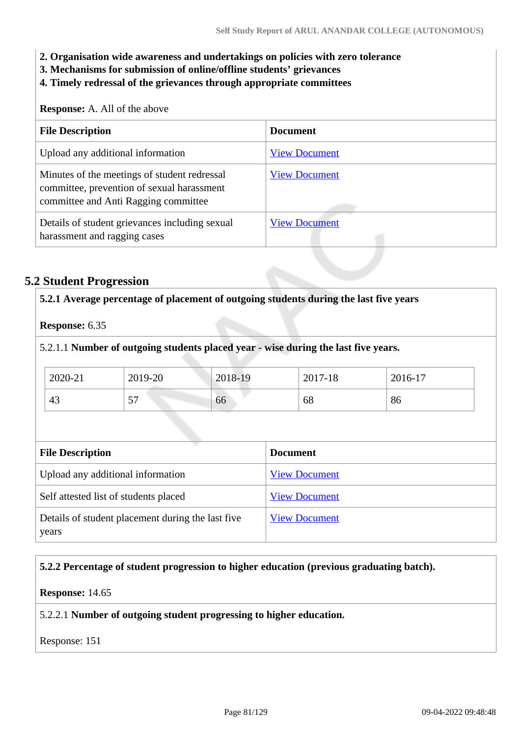- **2. Organisation wide awareness and undertakings on policies with zero tolerance**
- **3. Mechanisms for submission of online/offline students' grievances**
- **4. Timely redressal of the grievances through appropriate committees**

**Response:** A. All of the above

| <b>File Description</b>                                                                                                            | <b>Document</b>      |
|------------------------------------------------------------------------------------------------------------------------------------|----------------------|
| Upload any additional information                                                                                                  | <b>View Document</b> |
| Minutes of the meetings of student redressal<br>committee, prevention of sexual harassment<br>committee and Anti Ragging committee | <b>View Document</b> |
| Details of student grievances including sexual<br>harassment and ragging cases                                                     | <b>View Document</b> |

## **5.2 Student Progression**

| <b>Response: 6.35</b>   |                                       |         |                                                                                    |         |
|-------------------------|---------------------------------------|---------|------------------------------------------------------------------------------------|---------|
|                         |                                       |         | 5.2.1.1 Number of outgoing students placed year - wise during the last five years. |         |
| 2020-21                 | 2019-20                               | 2018-19 | 2017-18                                                                            | 2016-17 |
| 43                      | 57                                    | 66      | 68                                                                                 | 86      |
|                         |                                       |         |                                                                                    |         |
| <b>File Description</b> |                                       |         | <b>Document</b>                                                                    |         |
|                         | Upload any additional information     |         | <b>View Document</b>                                                               |         |
|                         | Self attested list of students placed |         | <b>View Document</b>                                                               |         |

#### **5.2.2 Percentage of student progression to higher education (previous graduating batch).**

#### **Response:** 14.65

5.2.2.1 **Number of outgoing student progressing to higher education.**

Response: 151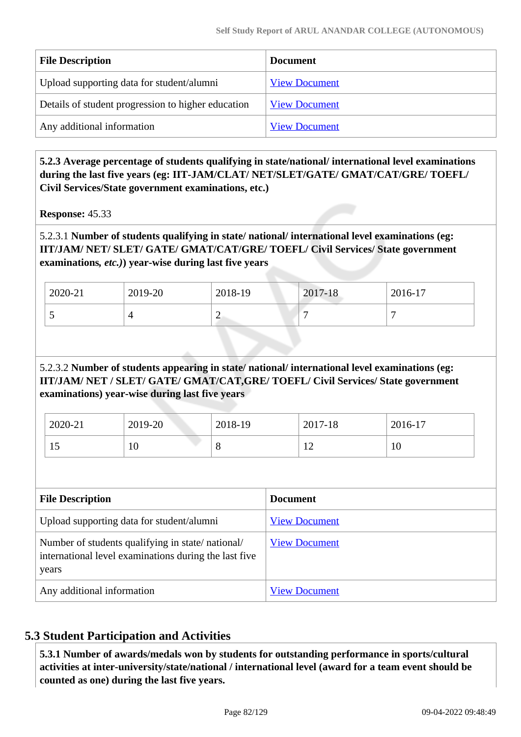| <b>File Description</b>                            | Document             |
|----------------------------------------------------|----------------------|
| Upload supporting data for student/alumni          | <b>View Document</b> |
| Details of student progression to higher education | <b>View Document</b> |
| Any additional information                         | <b>View Document</b> |

 **5.2.3 Average percentage of students qualifying in state/national/ international level examinations during the last five years (eg: IIT-JAM/CLAT/ NET/SLET/GATE/ GMAT/CAT/GRE/ TOEFL/ Civil Services/State government examinations, etc.)**

**Response:** 45.33

## 5.2.3.1 **Number of students qualifying in state/ national/ international level examinations (eg: IIT/JAM/ NET/ SLET/ GATE/ GMAT/CAT/GRE/ TOEFL/ Civil Services/ State government examinations***, etc.)***) year-wise during last five years**

| 2020-21 | 2019-20 | 2018-19 | 2017-18 | 2016-17 |
|---------|---------|---------|---------|---------|
| . .     |         | -       |         |         |

## 5.2.3.2 **Number of students appearing in state/ national/ international level examinations (eg: IIT/JAM/ NET / SLET/ GATE/ GMAT/CAT,GRE/ TOEFL/ Civil Services/ State government examinations) year-wise during last five years**

| 2020-21 | 2019-20          | 2018-19     | 2017-18                            | 2016-17 |
|---------|------------------|-------------|------------------------------------|---------|
|         | $1 \Omega$<br>10 | $\mathbf o$ | $\sim$<br>$\overline{\phantom{0}}$ | 10      |

| <b>File Description</b>                                                                                            | <b>Document</b>      |
|--------------------------------------------------------------------------------------------------------------------|----------------------|
| Upload supporting data for student/alumni                                                                          | <b>View Document</b> |
| Number of students qualifying in state/national/<br>international level examinations during the last five<br>years | <b>View Document</b> |
| Any additional information                                                                                         | <b>View Document</b> |

## **5.3 Student Participation and Activities**

 **5.3.1 Number of awards/medals won by students for outstanding performance in sports/cultural activities at inter-university/state/national / international level (award for a team event should be counted as one) during the last five years.**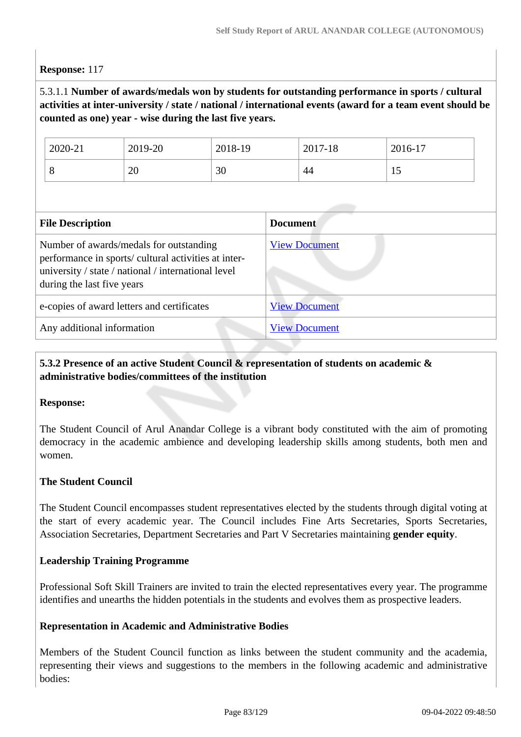#### **Response:** 117

## 5.3.1.1 **Number of awards/medals won by students for outstanding performance in sports / cultural activities at inter-university / state / national / international events (award for a team event should be counted as one) year - wise during the last five years.**

| 2020-21 | 2019-20 | 2018-19 | 2017-18 | 2016-17        |
|---------|---------|---------|---------|----------------|
| $\circ$ | 20      | 30      | 44      | $\overline{1}$ |

| <b>File Description</b>                                                                                                                                                              | <b>Document</b>      |
|--------------------------------------------------------------------------------------------------------------------------------------------------------------------------------------|----------------------|
| Number of awards/medals for outstanding<br>performance in sports/ cultural activities at inter-<br>university / state / national / international level<br>during the last five years | <b>View Document</b> |
| e-copies of award letters and certificates                                                                                                                                           | <b>View Document</b> |
| Any additional information                                                                                                                                                           | <b>View Document</b> |

## **5.3.2 Presence of an active Student Council & representation of students on academic & administrative bodies/committees of the institution**

#### **Response:**

The Student Council of Arul Anandar College is a vibrant body constituted with the aim of promoting democracy in the academic ambience and developing leadership skills among students, both men and women.

#### **The Student Council**

The Student Council encompasses student representatives elected by the students through digital voting at the start of every academic year. The Council includes Fine Arts Secretaries, Sports Secretaries, Association Secretaries, Department Secretaries and Part V Secretaries maintaining **gender equity**.

#### **Leadership Training Programme**

Professional Soft Skill Trainers are invited to train the elected representatives every year. The programme identifies and unearths the hidden potentials in the students and evolves them as prospective leaders.

#### **Representation in Academic and Administrative Bodies**

Members of the Student Council function as links between the student community and the academia, representing their views and suggestions to the members in the following academic and administrative bodies: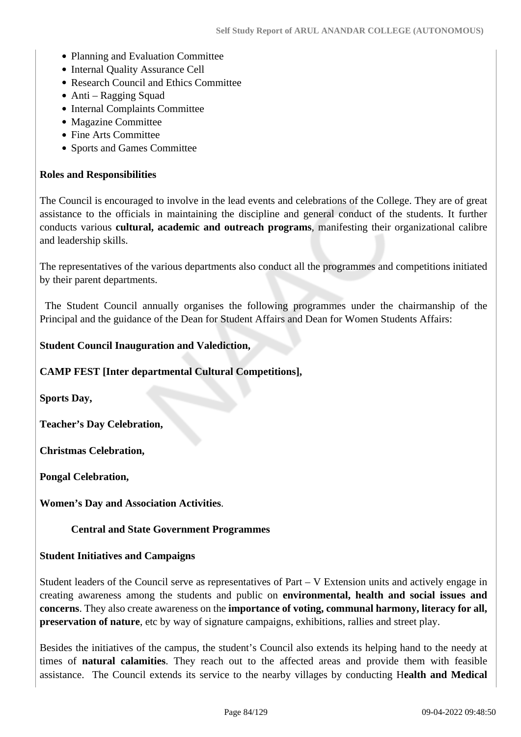- Planning and Evaluation Committee
- Internal Quality Assurance Cell
- Research Council and Ethics Committee
- Anti Ragging Squad
- Internal Complaints Committee
- Magazine Committee
- Fine Arts Committee
- Sports and Games Committee

#### **Roles and Responsibilities**

The Council is encouraged to involve in the lead events and celebrations of the College. They are of great assistance to the officials in maintaining the discipline and general conduct of the students. It further conducts various **cultural, academic and outreach programs**, manifesting their organizational calibre and leadership skills.

The representatives of the various departments also conduct all the programmes and competitions initiated by their parent departments.

 The Student Council annually organises the following programmes under the chairmanship of the Principal and the guidance of the Dean for Student Affairs and Dean for Women Students Affairs:

#### **Student Council Inauguration and Valediction,**

**CAMP FEST [Inter departmental Cultural Competitions],** 

**Sports Day,** 

**Teacher's Day Celebration,** 

**Christmas Celebration,** 

**Pongal Celebration,** 

**Women's Day and Association Activities**.

#### **Central and State Government Programmes**

#### **Student Initiatives and Campaigns**

Student leaders of the Council serve as representatives of Part – V Extension units and actively engage in creating awareness among the students and public on **environmental, health and social issues and concerns**. They also create awareness on the **importance of voting, communal harmony, literacy for all, preservation of nature**, etc by way of signature campaigns, exhibitions, rallies and street play.

Besides the initiatives of the campus, the student's Council also extends its helping hand to the needy at times of **natural calamities**. They reach out to the affected areas and provide them with feasible assistance. The Council extends its service to the nearby villages by conducting H**ealth and Medical**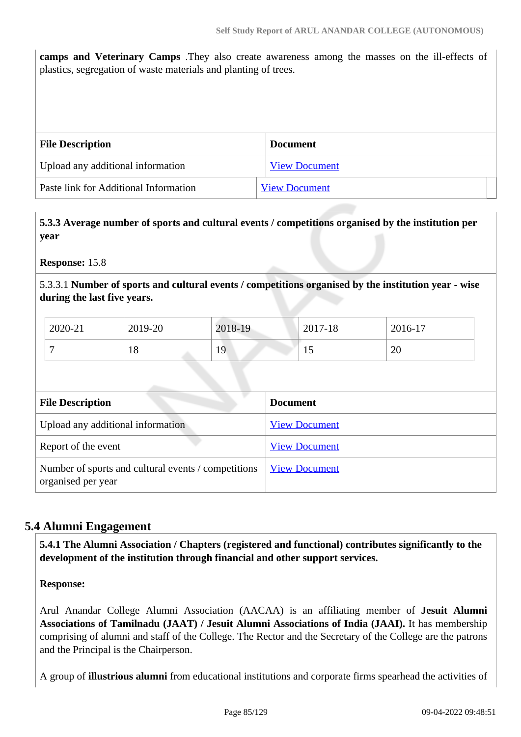**camps and Veterinary Camps** .They also create awareness among the masses on the ill-effects of plastics, segregation of waste materials and planting of trees.

| <b>File Description</b>               | <b>Document</b>      |
|---------------------------------------|----------------------|
| Upload any additional information     | <b>View Document</b> |
| Paste link for Additional Information | <b>View Document</b> |

 **5.3.3 Average number of sports and cultural events / competitions organised by the institution per year**

**Response:** 15.8

5.3.3.1 **Number of sports and cultural events / competitions organised by the institution year - wise during the last five years.**

| 2020-21 | 2019-20  | 2018-19 | 2017-18 | $2016-17$ |
|---------|----------|---------|---------|-----------|
|         | ΙO<br>10 | 19      | ⊥ັ      | 20        |

| <b>File Description</b>                                                   | <b>Document</b>      |  |  |
|---------------------------------------------------------------------------|----------------------|--|--|
| Upload any additional information                                         | <b>View Document</b> |  |  |
| Report of the event                                                       | <b>View Document</b> |  |  |
| Number of sports and cultural events / competitions<br>organised per year | <b>View Document</b> |  |  |

## **5.4 Alumni Engagement**

 **5.4.1 The Alumni Association / Chapters (registered and functional) contributes significantly to the development of the institution through financial and other support services.**

**Response:** 

Arul Anandar College Alumni Association (AACAA) is an affiliating member of **Jesuit Alumni Associations of Tamilnadu (JAAT) / Jesuit Alumni Associations of India (JAAI).** It has membership comprising of alumni and staff of the College. The Rector and the Secretary of the College are the patrons and the Principal is the Chairperson.

A group of **illustrious alumni** from educational institutions and corporate firms spearhead the activities of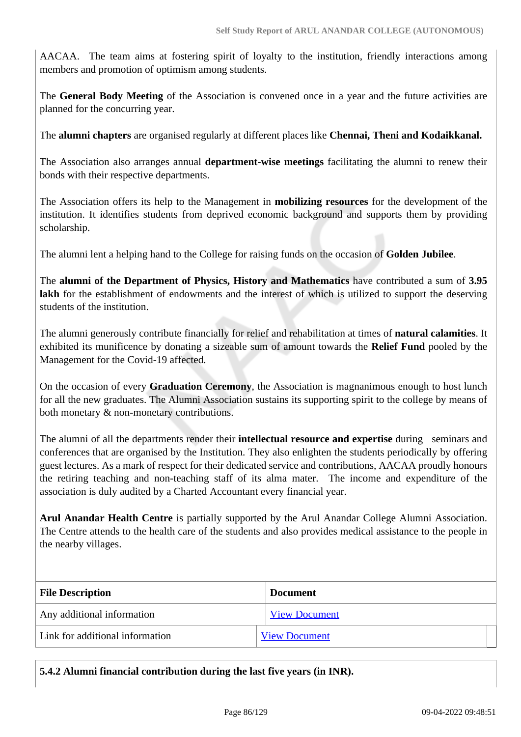AACAA. The team aims at fostering spirit of loyalty to the institution, friendly interactions among members and promotion of optimism among students.

The **General Body Meeting** of the Association is convened once in a year and the future activities are planned for the concurring year.

The **alumni chapters** are organised regularly at different places like **Chennai, Theni and Kodaikkanal.**

The Association also arranges annual **department-wise meetings** facilitating the alumni to renew their bonds with their respective departments.

The Association offers its help to the Management in **mobilizing resources** for the development of the institution. It identifies students from deprived economic background and supports them by providing scholarship.

The alumni lent a helping hand to the College for raising funds on the occasion of **Golden Jubilee**.

The **alumni of the Department of Physics, History and Mathematics** have contributed a sum of **3.95** lakh for the establishment of endowments and the interest of which is utilized to support the deserving students of the institution.

The alumni generously contribute financially for relief and rehabilitation at times of **natural calamities**. It exhibited its munificence by donating a sizeable sum of amount towards the **Relief Fund** pooled by the Management for the Covid-19 affected.

On the occasion of every **Graduation Ceremony**, the Association is magnanimous enough to host lunch for all the new graduates. The Alumni Association sustains its supporting spirit to the college by means of both monetary & non-monetary contributions.

The alumni of all the departments render their **intellectual resource and expertise** during seminars and conferences that are organised by the Institution. They also enlighten the students periodically by offering guest lectures. As a mark of respect for their dedicated service and contributions, AACAA proudly honours the retiring teaching and non-teaching staff of its alma mater. The income and expenditure of the association is duly audited by a Charted Accountant every financial year.

**Arul Anandar Health Centre** is partially supported by the Arul Anandar College Alumni Association. The Centre attends to the health care of the students and also provides medical assistance to the people in the nearby villages.

| <b>File Description</b>         | <b>Document</b>      |
|---------------------------------|----------------------|
| Any additional information      | <b>View Document</b> |
| Link for additional information | <b>View Document</b> |

**5.4.2 Alumni financial contribution during the last five years (in INR).**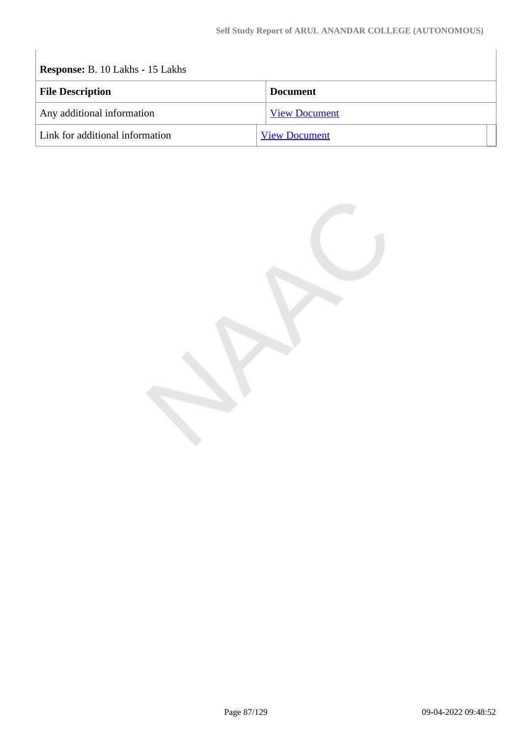$\overline{\phantom{a}}$ 

| <b>Response: B. 10 Lakhs - 15 Lakhs</b> |                      |
|-----------------------------------------|----------------------|
| <b>File Description</b>                 | <b>Document</b>      |
| Any additional information              | <b>View Document</b> |
| Link for additional information         | <b>View Document</b> |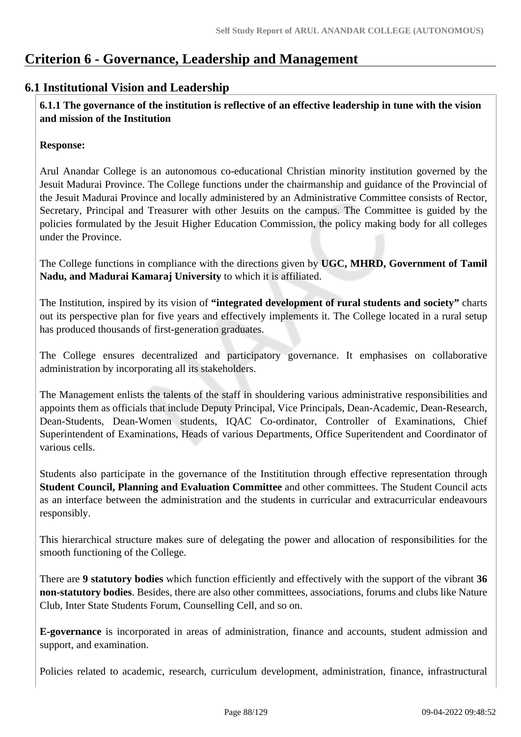# **Criterion 6 - Governance, Leadership and Management**

## **6.1 Institutional Vision and Leadership**

 **6.1.1 The governance of the institution is reflective of an effective leadership in tune with the vision and mission of the Institution**

#### **Response:**

Arul Anandar College is an autonomous co-educational Christian minority institution governed by the Jesuit Madurai Province. The College functions under the chairmanship and guidance of the Provincial of the Jesuit Madurai Province and locally administered by an Administrative Committee consists of Rector, Secretary, Principal and Treasurer with other Jesuits on the campus. The Committee is guided by the policies formulated by the Jesuit Higher Education Commission, the policy making body for all colleges under the Province.

The College functions in compliance with the directions given by **UGC, MHRD, Government of Tamil Nadu, and Madurai Kamaraj University** to which it is affiliated.

The Institution, inspired by its vision of **"integrated development of rural students and society"** charts out its perspective plan for five years and effectively implements it. The College located in a rural setup has produced thousands of first-generation graduates.

The College ensures decentralized and participatory governance. It emphasises on collaborative administration by incorporating all its stakeholders.

The Management enlists the talents of the staff in shouldering various administrative responsibilities and appoints them as officials that include Deputy Principal, Vice Principals, Dean-Academic, Dean-Research, Dean-Students, Dean-Women students, IQAC Co-ordinator, Controller of Examinations, Chief Superintendent of Examinations, Heads of various Departments, Office Superitendent and Coordinator of various cells.

Students also participate in the governance of the Instititution through effective representation through **Student Council, Planning and Evaluation Committee** and other committees. The Student Council acts as an interface between the administration and the students in curricular and extracurricular endeavours responsibly.

This hierarchical structure makes sure of delegating the power and allocation of responsibilities for the smooth functioning of the College.

There are **9 statutory bodies** which function efficiently and effectively with the support of the vibrant **36 non-statutory bodies**. Besides, there are also other committees, associations, forums and clubs like Nature Club, Inter State Students Forum, Counselling Cell, and so on.

**E-governance** is incorporated in areas of administration, finance and accounts, student admission and support, and examination.

Policies related to academic, research, curriculum development, administration, finance, infrastructural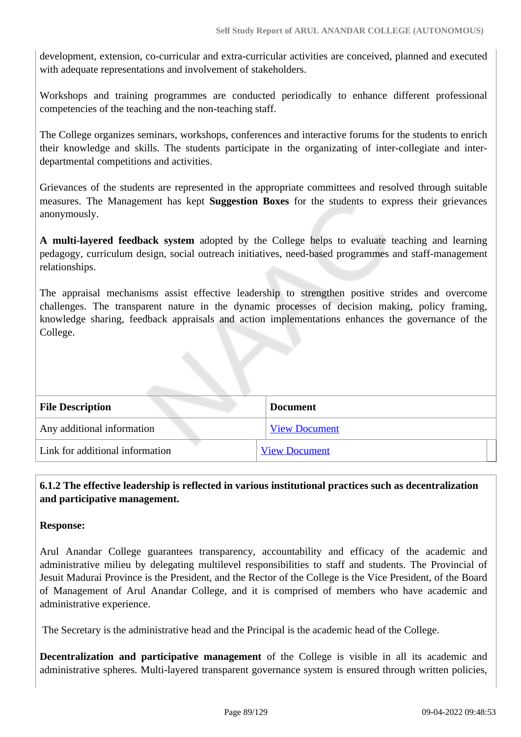development, extension, co-curricular and extra-curricular activities are conceived, planned and executed with adequate representations and involvement of stakeholders.

Workshops and training programmes are conducted periodically to enhance different professional competencies of the teaching and the non-teaching staff.

The College organizes seminars, workshops, conferences and interactive forums for the students to enrich their knowledge and skills. The students participate in the organizating of inter-collegiate and interdepartmental competitions and activities.

Grievances of the students are represented in the appropriate committees and resolved through suitable measures. The Management has kept **Suggestion Boxes** for the students to express their grievances anonymously.

**A multi-layered feedback system** adopted by the College helps to evaluate teaching and learning pedagogy, curriculum design, social outreach initiatives, need-based programmes and staff-management relationships.

The appraisal mechanisms assist effective leadership to strengthen positive strides and overcome challenges. The transparent nature in the dynamic processes of decision making, policy framing, knowledge sharing, feedback appraisals and action implementations enhances the governance of the College.

| <b>File Description</b>         | <b>Document</b>      |
|---------------------------------|----------------------|
| Any additional information      | <b>View Document</b> |
| Link for additional information | <b>View Document</b> |

## **6.1.2 The effective leadership is reflected in various institutional practices such as decentralization and participative management.**

#### **Response:**

Arul Anandar College guarantees transparency, accountability and efficacy of the academic and administrative milieu by delegating multilevel responsibilities to staff and students. The Provincial of Jesuit Madurai Province is the President, and the Rector of the College is the Vice President, of the Board of Management of Arul Anandar College, and it is comprised of members who have academic and administrative experience.

The Secretary is the administrative head and the Principal is the academic head of the College.

**Decentralization and participative management** of the College is visible in all its academic and administrative spheres. Multi-layered transparent governance system is ensured through written policies,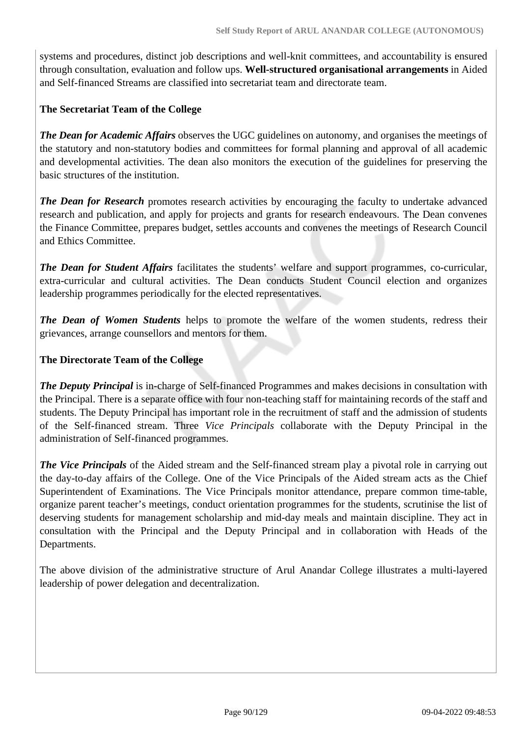systems and procedures, distinct job descriptions and well-knit committees, and accountability is ensured through consultation, evaluation and follow ups. **Well-structured organisational arrangements** in Aided and Self-financed Streams are classified into secretariat team and directorate team.

## **The Secretariat Team of the College**

*The Dean for Academic Affairs* observes the UGC guidelines on autonomy, and organises the meetings of the statutory and non-statutory bodies and committees for formal planning and approval of all academic and developmental activities. The dean also monitors the execution of the guidelines for preserving the basic structures of the institution.

*The Dean for Research* promotes research activities by encouraging the faculty to undertake advanced research and publication, and apply for projects and grants for research endeavours. The Dean convenes the Finance Committee, prepares budget, settles accounts and convenes the meetings of Research Council and Ethics Committee.

*The Dean for Student Affairs* facilitates the students' welfare and support programmes, co-curricular, extra-curricular and cultural activities. The Dean conducts Student Council election and organizes leadership programmes periodically for the elected representatives.

*The Dean of Women Students* helps to promote the welfare of the women students, redress their grievances, arrange counsellors and mentors for them.

## **The Directorate Team of the College**

*The Deputy Principal* is in-charge of Self-financed Programmes and makes decisions in consultation with the Principal. There is a separate office with four non-teaching staff for maintaining records of the staff and students. The Deputy Principal has important role in the recruitment of staff and the admission of students of the Self-financed stream. Three *Vice Principals* collaborate with the Deputy Principal in the administration of Self-financed programmes.

*The Vice Principals* of the Aided stream and the Self-financed stream play a pivotal role in carrying out the day-to-day affairs of the College. One of the Vice Principals of the Aided stream acts as the Chief Superintendent of Examinations. The Vice Principals monitor attendance, prepare common time-table, organize parent teacher's meetings, conduct orientation programmes for the students, scrutinise the list of deserving students for management scholarship and mid-day meals and maintain discipline. They act in consultation with the Principal and the Deputy Principal and in collaboration with Heads of the Departments.

The above division of the administrative structure of Arul Anandar College illustrates a multi-layered leadership of power delegation and decentralization.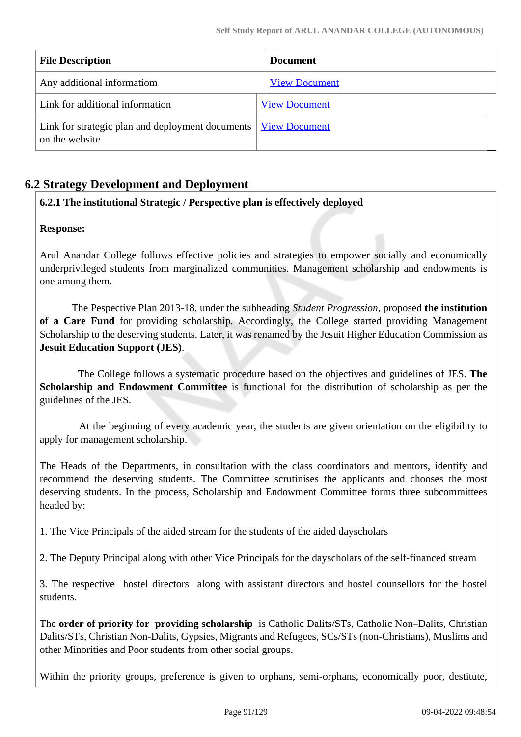| <b>File Description</b>                                                                 | <b>Document</b>      |
|-----------------------------------------------------------------------------------------|----------------------|
| Any additional informatiom                                                              | <b>View Document</b> |
| Link for additional information                                                         | <b>View Document</b> |
| Link for strategic plan and deployment documents <u>View Document</u><br>on the website |                      |

## **6.2 Strategy Development and Deployment**

## **6.2.1 The institutional Strategic / Perspective plan is effectively deployed**

#### **Response:**

Arul Anandar College follows effective policies and strategies to empower socially and economically underprivileged students from marginalized communities. Management scholarship and endowments is one among them.

 The Pespective Plan 2013-18, under the subheading *Student Progression*, proposed **the institution of a Care Fund** for providing scholarship. Accordingly, the College started providing Management Scholarship to the deserving students. Later, it was renamed by the Jesuit Higher Education Commission as **Jesuit Education Support (JES)**.

 The College follows a systematic procedure based on the objectives and guidelines of JES. **The Scholarship and Endowment Committee** is functional for the distribution of scholarship as per the guidelines of the JES.

 At the beginning of every academic year, the students are given orientation on the eligibility to apply for management scholarship.

The Heads of the Departments, in consultation with the class coordinators and mentors, identify and recommend the deserving students. The Committee scrutinises the applicants and chooses the most deserving students. In the process, Scholarship and Endowment Committee forms three subcommittees headed by:

1. The Vice Principals of the aided stream for the students of the aided dayscholars

2. The Deputy Principal along with other Vice Principals for the dayscholars of the self-financed stream

3. The respective hostel directors along with assistant directors and hostel counsellors for the hostel students.

The **order of priority for providing scholarship** is Catholic Dalits/STs, Catholic Non–Dalits, Christian Dalits/STs, Christian Non-Dalits, Gypsies, Migrants and Refugees, SCs/STs (non-Christians), Muslims and other Minorities and Poor students from other social groups.

Within the priority groups, preference is given to orphans, semi-orphans, economically poor, destitute,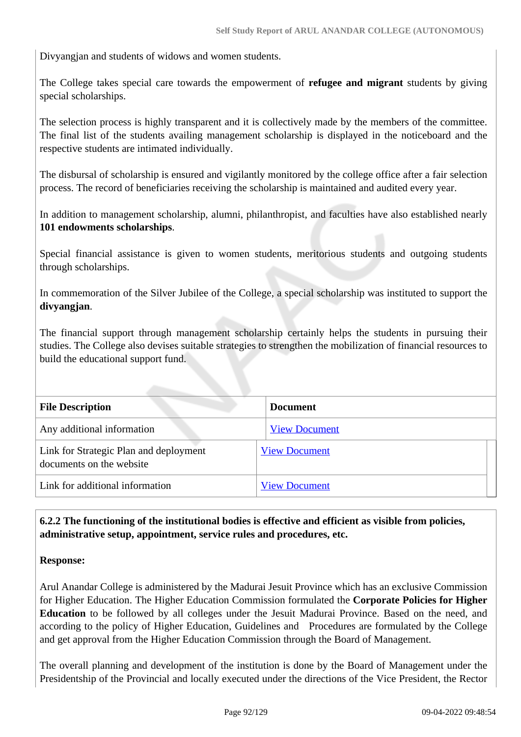Divyangjan and students of widows and women students.

The College takes special care towards the empowerment of **refugee and migrant** students by giving special scholarships.

The selection process is highly transparent and it is collectively made by the members of the committee. The final list of the students availing management scholarship is displayed in the noticeboard and the respective students are intimated individually.

The disbursal of scholarship is ensured and vigilantly monitored by the college office after a fair selection process. The record of beneficiaries receiving the scholarship is maintained and audited every year.

In addition to management scholarship, alumni, philanthropist, and faculties have also established nearly **101 endowments scholarships**.

Special financial assistance is given to women students, meritorious students and outgoing students through scholarships.

In commemoration of the Silver Jubilee of the College, a special scholarship was instituted to support the **divyangjan**.

The financial support through management scholarship certainly helps the students in pursuing their studies. The College also devises suitable strategies to strengthen the mobilization of financial resources to build the educational support fund.

| <b>File Description</b>                                            | <b>Document</b>      |
|--------------------------------------------------------------------|----------------------|
| Any additional information                                         | <b>View Document</b> |
| Link for Strategic Plan and deployment<br>documents on the website | <b>View Document</b> |
| Link for additional information                                    | <b>View Document</b> |

 **6.2.2 The functioning of the institutional bodies is effective and efficient as visible from policies, administrative setup, appointment, service rules and procedures, etc.**

#### **Response:**

Arul Anandar College is administered by the Madurai Jesuit Province which has an exclusive Commission for Higher Education. The Higher Education Commission formulated the **Corporate Policies for Higher Education** to be followed by all colleges under the Jesuit Madurai Province. Based on the need, and according to the policy of Higher Education, Guidelines and Procedures are formulated by the College and get approval from the Higher Education Commission through the Board of Management.

The overall planning and development of the institution is done by the Board of Management under the Presidentship of the Provincial and locally executed under the directions of the Vice President, the Rector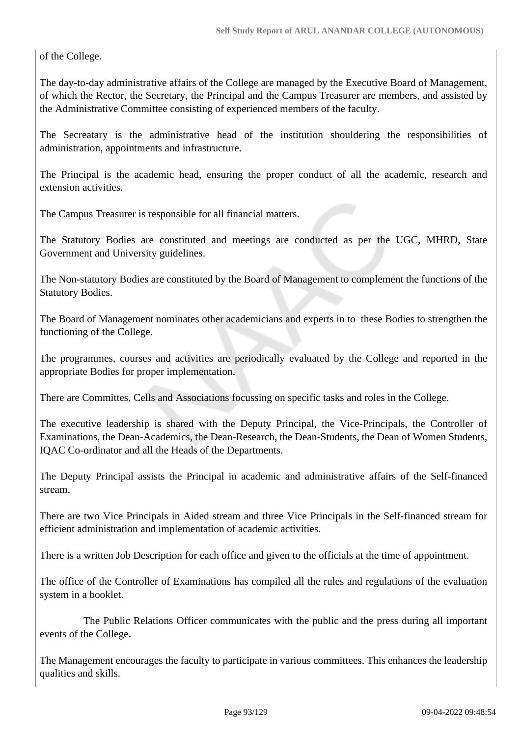of the College.

The day-to-day administrative affairs of the College are managed by the Executive Board of Management, of which the Rector, the Secretary, the Principal and the Campus Treasurer are members, and assisted by the Administrative Committee consisting of experienced members of the faculty.

The Secreatary is the administrative head of the institution shouldering the responsibilities of administration, appointments and infrastructure.

The Principal is the academic head, ensuring the proper conduct of all the academic, research and extension activities.

The Campus Treasurer is responsible for all financial matters.

The Statutory Bodies are constituted and meetings are conducted as per the UGC, MHRD, State Government and University guidelines.

The Non-statutory Bodies are constituted by the Board of Management to complement the functions of the Statutory Bodies.

The Board of Management nominates other academicians and experts in to these Bodies to strengthen the functioning of the College.

The programmes, courses and activities are periodically evaluated by the College and reported in the appropriate Bodies for proper implementation.

There are Committes, Cells and Associations focussing on specific tasks and roles in the College.

The executive leadership is shared with the Deputy Principal, the Vice-Principals, the Controller of Examinations, the Dean-Academics, the Dean-Research, the Dean-Students, the Dean of Women Students, IQAC Co-ordinator and all the Heads of the Departments.

The Deputy Principal assists the Principal in academic and administrative affairs of the Self-financed stream.

There are two Vice Principals in Aided stream and three Vice Principals in the Self-financed stream for efficient administration and implementation of academic activities.

There is a written Job Description for each office and given to the officials at the time of appointment.

The office of the Controller of Examinations has compiled all the rules and regulations of the evaluation system in a booklet.

 The Public Relations Officer communicates with the public and the press during all important events of the College.

The Management encourages the faculty to participate in various committees. This enhances the leadership qualities and skills.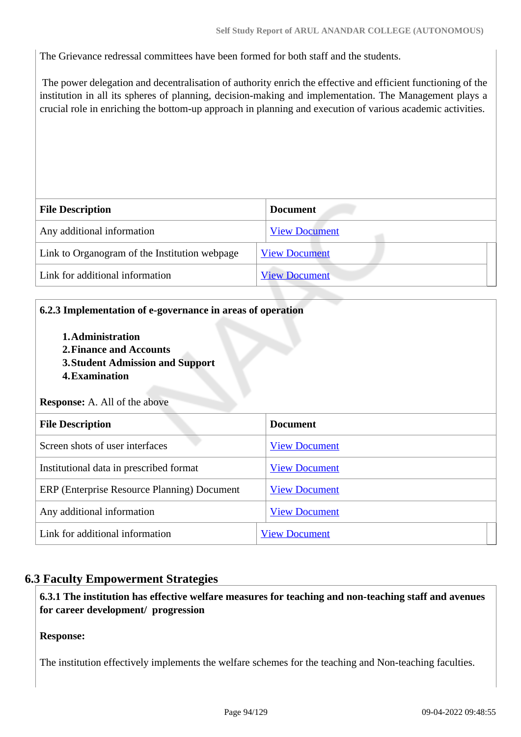The Grievance redressal committees have been formed for both staff and the students.

 The power delegation and decentralisation of authority enrich the effective and efficient functioning of the institution in all its spheres of planning, decision-making and implementation. The Management plays a crucial role in enriching the bottom-up approach in planning and execution of various academic activities.

| <b>File Description</b>                       | <b>Document</b>      |
|-----------------------------------------------|----------------------|
| Any additional information                    | <b>View Document</b> |
| Link to Organogram of the Institution webpage | <b>View Document</b> |
| Link for additional information               | <b>View Document</b> |

#### **6.2.3 Implementation of e-governance in areas of operation**

- **1.Administration**
- **2.Finance and Accounts**
- **3.Student Admission and Support**
- **4.Examination**

**Response:** A. All of the above

| <b>File Description</b>                     | <b>Document</b>      |
|---------------------------------------------|----------------------|
| Screen shots of user interfaces             | <b>View Document</b> |
| Institutional data in prescribed format     | <b>View Document</b> |
| ERP (Enterprise Resource Planning) Document | <b>View Document</b> |
| Any additional information                  | <b>View Document</b> |
| Link for additional information             | <b>View Document</b> |

## **6.3 Faculty Empowerment Strategies**

 **6.3.1 The institution has effective welfare measures for teaching and non-teaching staff and avenues for career development/ progression** 

#### **Response:**

The institution effectively implements the welfare schemes for the teaching and Non-teaching faculties.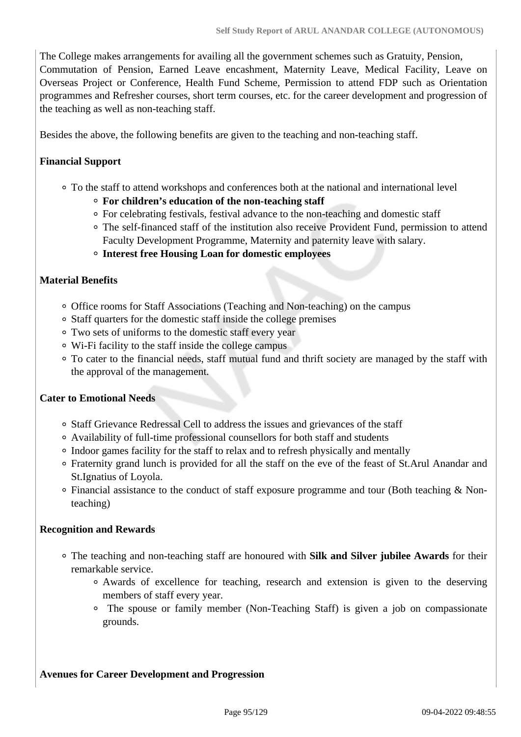The College makes arrangements for availing all the government schemes such as Gratuity, Pension, Commutation of Pension, Earned Leave encashment, Maternity Leave, Medical Facility, Leave on Overseas Project or Conference, Health Fund Scheme, Permission to attend FDP such as Orientation programmes and Refresher courses, short term courses, etc. for the career development and progression of the teaching as well as non-teaching staff.

Besides the above, the following benefits are given to the teaching and non-teaching staff.

## **Financial Support**

- To the staff to attend workshops and conferences both at the national and international level
	- **For children's education of the non-teaching staff**
	- For celebrating festivals, festival advance to the non-teaching and domestic staff
	- The self-financed staff of the institution also receive Provident Fund, permission to attend Faculty Development Programme, Maternity and paternity leave with salary.
	- **Interest free Housing Loan for domestic employees**

#### **Material Benefits**

- Office rooms for Staff Associations (Teaching and Non-teaching) on the campus
- Staff quarters for the domestic staff inside the college premises
- Two sets of uniforms to the domestic staff every year
- Wi-Fi facility to the staff inside the college campus
- To cater to the financial needs, staff mutual fund and thrift society are managed by the staff with the approval of the management.

#### **Cater to Emotional Needs**

- Staff Grievance Redressal Cell to address the issues and grievances of the staff
- Availability of full-time professional counsellors for both staff and students
- Indoor games facility for the staff to relax and to refresh physically and mentally
- Fraternity grand lunch is provided for all the staff on the eve of the feast of St.Arul Anandar and St.Ignatius of Loyola.
- Financial assistance to the conduct of staff exposure programme and tour (Both teaching & Nonteaching)

#### **Recognition and Rewards**

- The teaching and non-teaching staff are honoured with **Silk and Silver jubilee Awards** for their remarkable service.
	- Awards of excellence for teaching, research and extension is given to the deserving members of staff every year.
	- The spouse or family member (Non-Teaching Staff) is given a job on compassionate grounds.

#### **Avenues for Career Development and Progression**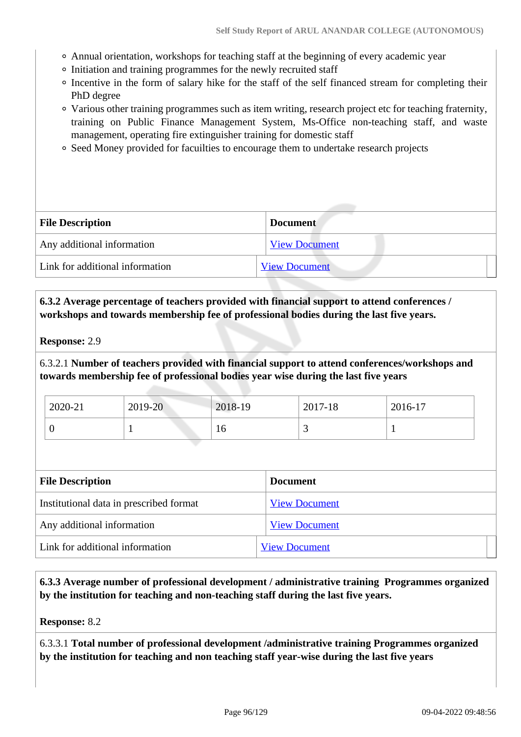- Annual orientation, workshops for teaching staff at the beginning of every academic year
- Initiation and training programmes for the newly recruited staff
- Incentive in the form of salary hike for the staff of the self financed stream for completing their PhD degree
- Various other training programmes such as item writing, research project etc for teaching fraternity, training on Public Finance Management System, Ms-Office non-teaching staff, and waste management, operating fire extinguisher training for domestic staff
- Seed Money provided for facuilties to encourage them to undertake research projects

| <b>File Description</b>         | <b>Document</b>      |  |
|---------------------------------|----------------------|--|
| Any additional information      | <b>View Document</b> |  |
| Link for additional information | <b>View Document</b> |  |

## **6.3.2 Average percentage of teachers provided with financial support to attend conferences / workshops and towards membership fee of professional bodies during the last five years.**

#### **Response:** 2.9

6.3.2.1 **Number of teachers provided with financial support to attend conferences/workshops and towards membership fee of professional bodies year wise during the last five years**

| 2020-21 | 2019-20 | 2018-19 | 2017-18  | 2016-17 |
|---------|---------|---------|----------|---------|
|         |         | 10      | <u>ب</u> |         |

| <b>File Description</b>                 | <b>Document</b>      |  |  |
|-----------------------------------------|----------------------|--|--|
| Institutional data in prescribed format | <b>View Document</b> |  |  |
| Any additional information              | <b>View Document</b> |  |  |
| Link for additional information         | <b>View Document</b> |  |  |

 **6.3.3 Average number of professional development / administrative training Programmes organized by the institution for teaching and non-teaching staff during the last five years.**

**Response:** 8.2

6.3.3.1 **Total number of professional development /administrative training Programmes organized by the institution for teaching and non teaching staff year-wise during the last five years**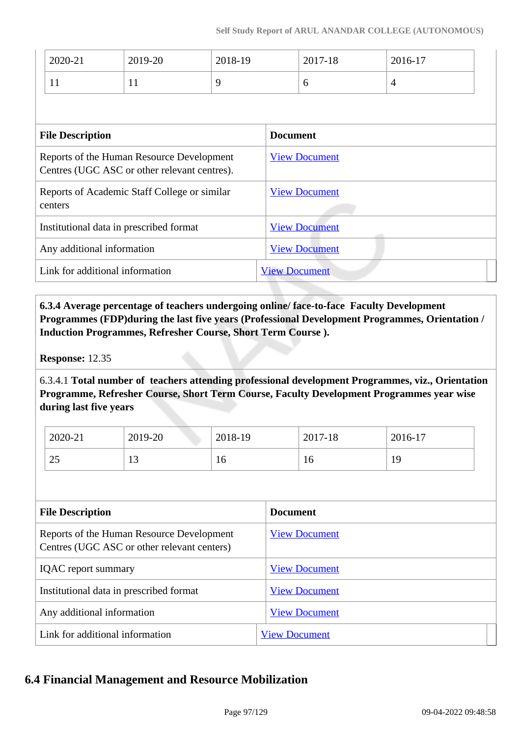| 2020-21                                                                                   | 2019-20 | 2018-19 |                      | 2017-18              | 2016-17 |  |
|-------------------------------------------------------------------------------------------|---------|---------|----------------------|----------------------|---------|--|
| 11                                                                                        | 11      | 9       |                      | 6                    | 4       |  |
|                                                                                           |         |         |                      |                      |         |  |
| <b>File Description</b>                                                                   |         |         | <b>Document</b>      |                      |         |  |
| Reports of the Human Resource Development<br>Centres (UGC ASC or other relevant centres). |         |         | <b>View Document</b> |                      |         |  |
| Reports of Academic Staff College or similar<br>centers                                   |         |         | <b>View Document</b> |                      |         |  |
| Institutional data in prescribed format                                                   |         |         | <b>View Document</b> |                      |         |  |
| Any additional information                                                                |         |         |                      | <b>View Document</b> |         |  |
|                                                                                           |         |         |                      |                      |         |  |

 **6.3.4 Average percentage of teachers undergoing online/ face-to-face Faculty Development Programmes (FDP)during the last five years (Professional Development Programmes, Orientation / Induction Programmes, Refresher Course, Short Term Course ).**

Link for additional information [View Document](http://aactni.edu.in/iqac/iqac_newsletter.php)

**Response:** 12.35

6.3.4.1 **Total number of teachers attending professional development Programmes, viz., Orientation Programme, Refresher Course, Short Term Course, Faculty Development Programmes year wise during last five years**

| 2020-21  | 2019-20 | 2018-19 | 2017-18 | 2016-17 |
|----------|---------|---------|---------|---------|
| າເ<br>رے | ⊥ັ      | ΙU      | 16      | 19      |

| <b>File Description</b>                                                                  | <b>Document</b>      |
|------------------------------------------------------------------------------------------|----------------------|
| Reports of the Human Resource Development<br>Centres (UGC ASC or other relevant centers) | <b>View Document</b> |
| <b>IQAC</b> report summary                                                               | <b>View Document</b> |
| Institutional data in prescribed format                                                  | <b>View Document</b> |
| Any additional information                                                               | <b>View Document</b> |
| Link for additional information                                                          | <b>View Document</b> |

## **6.4 Financial Management and Resource Mobilization**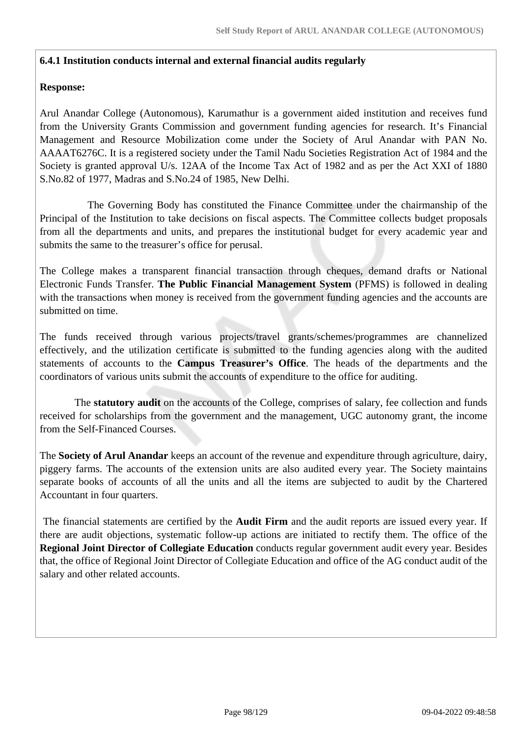#### **6.4.1 Institution conducts internal and external financial audits regularly**

#### **Response:**

Arul Anandar College (Autonomous), Karumathur is a government aided institution and receives fund from the University Grants Commission and government funding agencies for research. It's Financial Management and Resource Mobilization come under the Society of Arul Anandar with PAN No. AAAAT6276C. It is a registered society under the Tamil Nadu Societies Registration Act of 1984 and the Society is granted approval U/s. 12AA of the Income Tax Act of 1982 and as per the Act XXI of 1880 S.No.82 of 1977, Madras and S.No.24 of 1985, New Delhi.

 The Governing Body has constituted the Finance Committee under the chairmanship of the Principal of the Institution to take decisions on fiscal aspects. The Committee collects budget proposals from all the departments and units, and prepares the institutional budget for every academic year and submits the same to the treasurer's office for perusal.

The College makes a transparent financial transaction through cheques, demand drafts or National Electronic Funds Transfer. **The Public Financial Management System** (PFMS) is followed in dealing with the transactions when money is received from the government funding agencies and the accounts are submitted on time.

The funds received through various projects/travel grants/schemes/programmes are channelized effectively, and the utilization certificate is submitted to the funding agencies along with the audited statements of accounts to the **Campus Treasurer's Office**. The heads of the departments and the coordinators of various units submit the accounts of expenditure to the office for auditing.

 The **statutory audit** on the accounts of the College, comprises of salary, fee collection and funds received for scholarships from the government and the management, UGC autonomy grant, the income from the Self-Financed Courses.

The **Society of Arul Anandar** keeps an account of the revenue and expenditure through agriculture, dairy, piggery farms. The accounts of the extension units are also audited every year. The Society maintains separate books of accounts of all the units and all the items are subjected to audit by the Chartered Accountant in four quarters.

 The financial statements are certified by the **Audit Firm** and the audit reports are issued every year. If there are audit objections, systematic follow-up actions are initiated to rectify them. The office of the **Regional Joint Director of Collegiate Education** conducts regular government audit every year. Besides that, the office of Regional Joint Director of Collegiate Education and office of the AG conduct audit of the salary and other related accounts.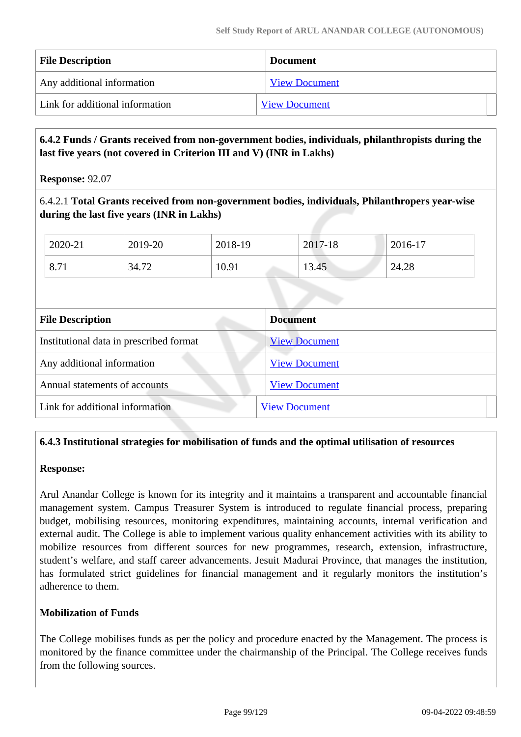| <b>File Description</b>         | <b>Document</b>      |
|---------------------------------|----------------------|
| Any additional information      | <b>View Document</b> |
| Link for additional information | <b>View Document</b> |

## **6.4.2 Funds / Grants received from non-government bodies, individuals, philanthropists during the last five years (not covered in Criterion III and V) (INR in Lakhs)**

**Response:** 92.07

6.4.2.1 **Total Grants received from non-government bodies, individuals, Philanthropers year-wise during the last five years (INR in Lakhs)**

| 2020-21 | 2019-20 | 2018-19 | 2017-18 | 2016-17 |
|---------|---------|---------|---------|---------|
| 8.71    | 34.72   | 10.91   | 13.45   | 24.28   |

| <b>File Description</b>                 | <b>Document</b>      |  |
|-----------------------------------------|----------------------|--|
| Institutional data in prescribed format | <b>View Document</b> |  |
| Any additional information              | <b>View Document</b> |  |
| Annual statements of accounts           | <b>View Document</b> |  |
| Link for additional information         | <b>View Document</b> |  |

#### **6.4.3 Institutional strategies for mobilisation of funds and the optimal utilisation of resources**

#### **Response:**

Arul Anandar College is known for its integrity and it maintains a transparent and accountable financial management system. Campus Treasurer System is introduced to regulate financial process, preparing budget, mobilising resources, monitoring expenditures, maintaining accounts, internal verification and external audit. The College is able to implement various quality enhancement activities with its ability to mobilize resources from different sources for new programmes, research, extension, infrastructure, student's welfare, and staff career advancements. Jesuit Madurai Province, that manages the institution, has formulated strict guidelines for financial management and it regularly monitors the institution's adherence to them.

#### **Mobilization of Funds**

The College mobilises funds as per the policy and procedure enacted by the Management. The process is monitored by the finance committee under the chairmanship of the Principal. The College receives funds from the following sources.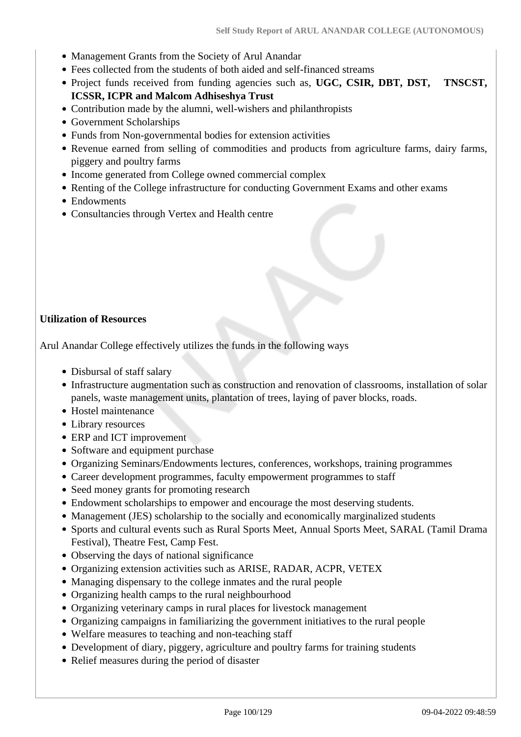- Management Grants from the Society of Arul Anandar
- Fees collected from the students of both aided and self-financed streams
- Project funds received from funding agencies such as, **UGC, CSIR, DBT, DST, TNSCST, ICSSR, ICPR and Malcom Adhiseshya Trust**
- Contribution made by the alumni, well-wishers and philanthropists
- Government Scholarships
- Funds from Non-governmental bodies for extension activities
- Revenue earned from selling of commodities and products from agriculture farms, dairy farms, piggery and poultry farms
- Income generated from College owned commercial complex
- Renting of the College infrastructure for conducting Government Exams and other exams
- Endowments
- Consultancies through Vertex and Health centre

## **Utilization of Resources**

Arul Anandar College effectively utilizes the funds in the following ways

- Disbursal of staff salary
- Infrastructure augmentation such as construction and renovation of classrooms, installation of solar panels, waste management units, plantation of trees, laying of paver blocks, roads.
- Hostel maintenance
- Library resources
- ERP and ICT improvement
- Software and equipment purchase
- Organizing Seminars/Endowments lectures, conferences, workshops, training programmes
- Career development programmes, faculty empowerment programmes to staff
- Seed money grants for promoting research
- Endowment scholarships to empower and encourage the most deserving students.
- Management (JES) scholarship to the socially and economically marginalized students
- Sports and cultural events such as Rural Sports Meet, Annual Sports Meet, SARAL (Tamil Drama Festival), Theatre Fest, Camp Fest.
- Observing the days of national significance
- Organizing extension activities such as ARISE, RADAR, ACPR, VETEX
- Managing dispensary to the college inmates and the rural people
- Organizing health camps to the rural neighbourhood
- Organizing veterinary camps in rural places for livestock management
- Organizing campaigns in familiarizing the government initiatives to the rural people
- Welfare measures to teaching and non-teaching staff
- Development of diary, piggery, agriculture and poultry farms for training students
- Relief measures during the period of disaster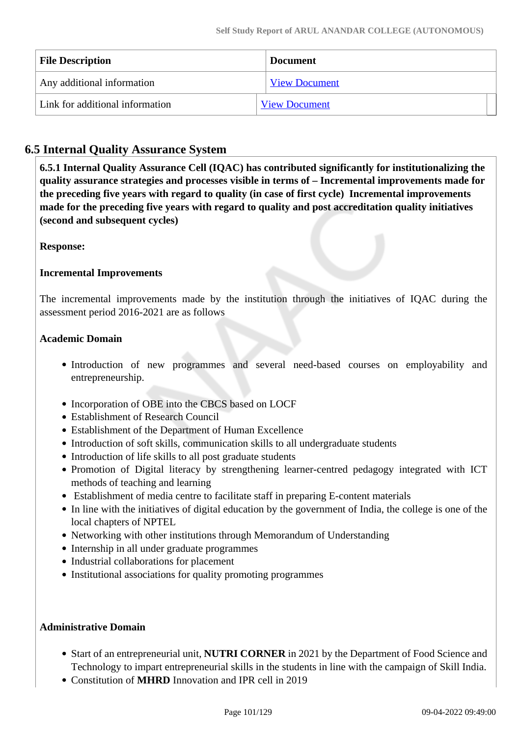| <b>File Description</b>         | <b>Document</b>      |
|---------------------------------|----------------------|
| Any additional information      | <b>View Document</b> |
| Link for additional information | <b>View Document</b> |

## **6.5 Internal Quality Assurance System**

 **6.5.1 Internal Quality Assurance Cell (IQAC) has contributed significantly for institutionalizing the quality assurance strategies and processes visible in terms of – Incremental improvements made for the preceding five years with regard to quality (in case of first cycle) Incremental improvements made for the preceding five years with regard to quality and post accreditation quality initiatives (second and subsequent cycles)** 

## **Response:**

## **Incremental Improvements**

The incremental improvements made by the institution through the initiatives of IQAC during the assessment period 2016-2021 are as follows

## **Academic Domain**

- Introduction of new programmes and several need-based courses on employability and entrepreneurship.
- Incorporation of OBE into the CBCS based on LOCF
- Establishment of Research Council
- Establishment of the Department of Human Excellence
- Introduction of soft skills, communication skills to all undergraduate students
- Introduction of life skills to all post graduate students
- Promotion of Digital literacy by strengthening learner-centred pedagogy integrated with ICT methods of teaching and learning
- Establishment of media centre to facilitate staff in preparing E-content materials
- In line with the initiatives of digital education by the government of India, the college is one of the local chapters of NPTEL
- Networking with other institutions through Memorandum of Understanding
- Internship in all under graduate programmes
- Industrial collaborations for placement
- Institutional associations for quality promoting programmes

#### **Administrative Domain**

- Start of an entrepreneurial unit, **NUTRI CORNER** in 2021 by the Department of Food Science and Technology to impart entrepreneurial skills in the students in line with the campaign of Skill India.
- Constitution of **MHRD** Innovation and IPR cell in 2019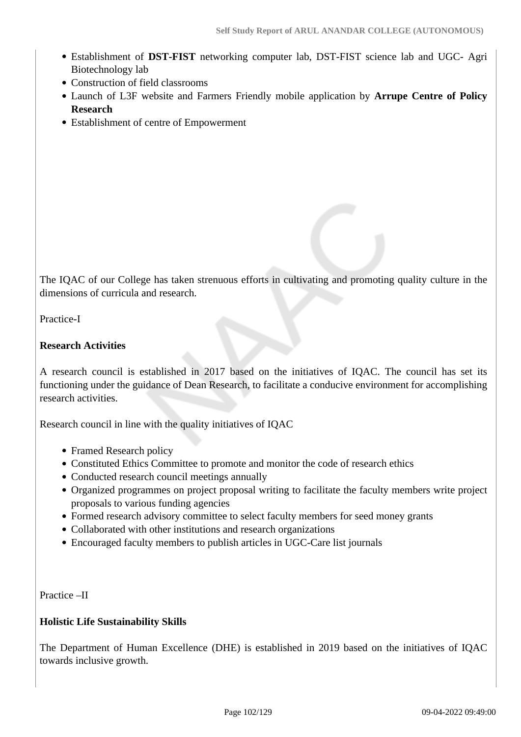- Establishment of **DST-FIST** networking computer lab, DST-FIST science lab and UGC- Agri Biotechnology lab
- Construction of field classrooms
- Launch of L3F website and Farmers Friendly mobile application by **Arrupe Centre of Policy Research**
- Establishment of centre of Empowerment

The IQAC of our College has taken strenuous efforts in cultivating and promoting quality culture in the dimensions of curricula and research.

Practice-I

#### **Research Activities**

A research council is established in 2017 based on the initiatives of IQAC. The council has set its functioning under the guidance of Dean Research, to facilitate a conducive environment for accomplishing research activities.

Research council in line with the quality initiatives of IQAC

- Framed Research policy
- Constituted Ethics Committee to promote and monitor the code of research ethics
- Conducted research council meetings annually
- Organized programmes on project proposal writing to facilitate the faculty members write project proposals to various funding agencies
- Formed research advisory committee to select faculty members for seed money grants
- Collaborated with other institutions and research organizations
- Encouraged faculty members to publish articles in UGC-Care list journals

Practice –II

#### **Holistic Life Sustainability Skills**

The Department of Human Excellence (DHE) is established in 2019 based on the initiatives of IQAC towards inclusive growth.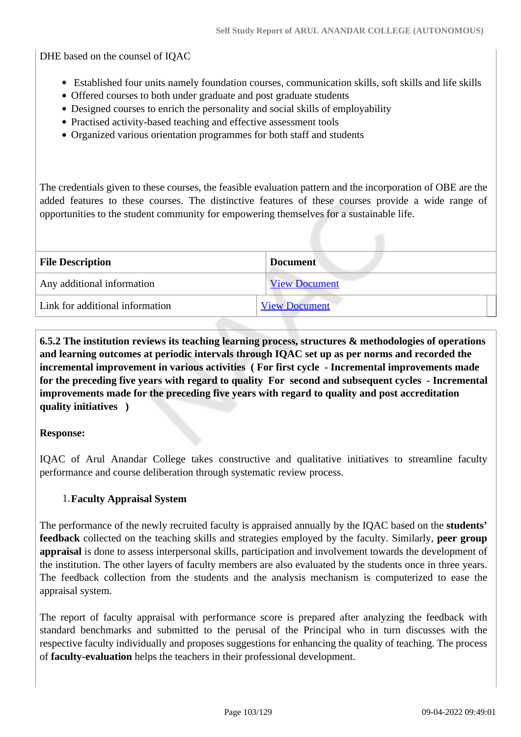DHE based on the counsel of IQAC

- Established four units namely foundation courses, communication skills, soft skills and life skills
- Offered courses to both under graduate and post graduate students
- Designed courses to enrich the personality and social skills of employability
- Practised activity-based teaching and effective assessment tools
- Organized various orientation programmes for both staff and students

The credentials given to these courses, the feasible evaluation pattern and the incorporation of OBE are the added features to these courses. The distinctive features of these courses provide a wide range of opportunities to the student community for empowering themselves for a sustainable life.

| <b>File Description</b>         | <b>Document</b>      |  |  |
|---------------------------------|----------------------|--|--|
| Any additional information      | <b>View Document</b> |  |  |
| Link for additional information | <b>View Document</b> |  |  |
|                                 |                      |  |  |

 **6.5.2 The institution reviews its teaching learning process, structures & methodologies of operations and learning outcomes at periodic intervals through IQAC set up as per norms and recorded the incremental improvement in various activities ( For first cycle - Incremental improvements made for the preceding five years with regard to quality For second and subsequent cycles - Incremental improvements made for the preceding five years with regard to quality and post accreditation quality initiatives )** 

#### **Response:**

IQAC of Arul Anandar College takes constructive and qualitative initiatives to streamline faculty performance and course deliberation through systematic review process.

#### 1.**Faculty Appraisal System**

The performance of the newly recruited faculty is appraised annually by the IQAC based on the **students' feedback** collected on the teaching skills and strategies employed by the faculty. Similarly, **peer group appraisal** is done to assess interpersonal skills, participation and involvement towards the development of the institution. The other layers of faculty members are also evaluated by the students once in three years. The feedback collection from the students and the analysis mechanism is computerized to ease the appraisal system.

The report of faculty appraisal with performance score is prepared after analyzing the feedback with standard benchmarks and submitted to the perusal of the Principal who in turn discusses with the respective faculty individually and proposes suggestions for enhancing the quality of teaching. The process of **faculty-evaluation** helps the teachers in their professional development.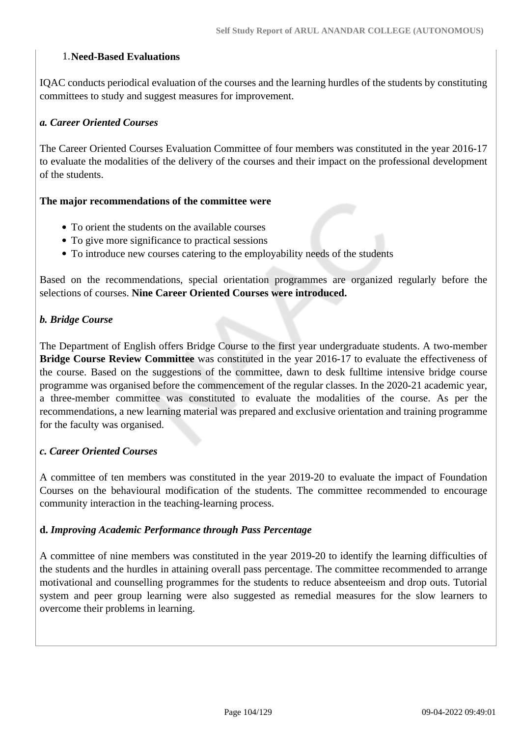#### 1.**Need-Based Evaluations**

IQAC conducts periodical evaluation of the courses and the learning hurdles of the students by constituting committees to study and suggest measures for improvement.

#### *a. Career Oriented Courses*

The Career Oriented Courses Evaluation Committee of four members was constituted in the year 2016-17 to evaluate the modalities of the delivery of the courses and their impact on the professional development of the students.

#### **The major recommendations of the committee were**

- To orient the students on the available courses
- To give more significance to practical sessions
- To introduce new courses catering to the employability needs of the students

Based on the recommendations, special orientation programmes are organized regularly before the selections of courses. **Nine Career Oriented Courses were introduced.**

## *b. Bridge Course*

The Department of English offers Bridge Course to the first year undergraduate students. A two-member **Bridge Course Review Committee** was constituted in the year 2016-17 to evaluate the effectiveness of the course. Based on the suggestions of the committee, dawn to desk fulltime intensive bridge course programme was organised before the commencement of the regular classes. In the 2020-21 academic year, a three-member committee was constituted to evaluate the modalities of the course. As per the recommendations, a new learning material was prepared and exclusive orientation and training programme for the faculty was organised.

#### *c. Career Oriented Courses*

A committee of ten members was constituted in the year 2019-20 to evaluate the impact of Foundation Courses on the behavioural modification of the students. The committee recommended to encourage community interaction in the teaching-learning process.

#### **d.** *Improving Academic Performance through Pass Percentage*

A committee of nine members was constituted in the year 2019-20 to identify the learning difficulties of the students and the hurdles in attaining overall pass percentage. The committee recommended to arrange motivational and counselling programmes for the students to reduce absenteeism and drop outs. Tutorial system and peer group learning were also suggested as remedial measures for the slow learners to overcome their problems in learning.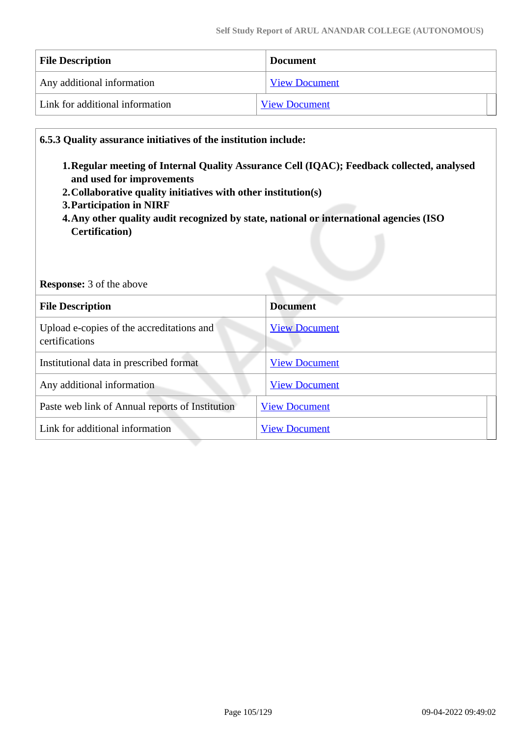| <b>File Description</b>         | <b>Document</b>      |  |
|---------------------------------|----------------------|--|
| Any additional information      | <b>View Document</b> |  |
| Link for additional information | <b>View Document</b> |  |

#### **6.5.3 Quality assurance initiatives of the institution include:**

- **1.Regular meeting of Internal Quality Assurance Cell (IQAC); Feedback collected, analysed and used for improvements**
- **2.Collaborative quality initiatives with other institution(s)**
- **3.Participation in NIRF**
- **4.Any other quality audit recognized by state, national or international agencies (ISO Certification)**

#### **Response:** 3 of the above

| <b>File Description</b>                                     | <b>Document</b>      |
|-------------------------------------------------------------|----------------------|
| Upload e-copies of the accreditations and<br>certifications | <b>View Document</b> |
| Institutional data in prescribed format                     | <b>View Document</b> |
| Any additional information                                  | <b>View Document</b> |
| Paste web link of Annual reports of Institution             | <b>View Document</b> |
| Link for additional information                             | <b>View Document</b> |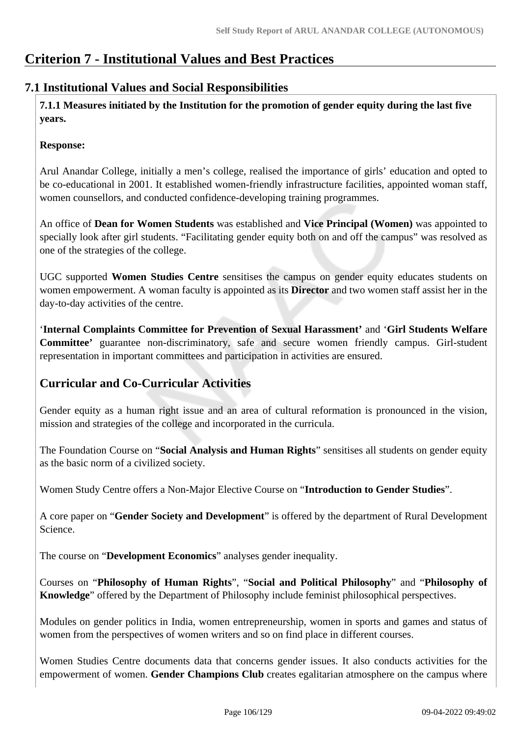# **Criterion 7 - Institutional Values and Best Practices**

## **7.1 Institutional Values and Social Responsibilities**

 **7.1.1 Measures initiated by the Institution for the promotion of gender equity during the last five years.**

## **Response:**

Arul Anandar College, initially a men's college, realised the importance of girls' education and opted to be co-educational in 2001. It established women-friendly infrastructure facilities, appointed woman staff, women counsellors, and conducted confidence-developing training programmes.

An office of **Dean for Women Students** was established and **Vice Principal (Women)** was appointed to specially look after girl students. "Facilitating gender equity both on and off the campus" was resolved as one of the strategies of the college.

UGC supported **Women Studies Centre** sensitises the campus on gender equity educates students on women empowerment. A woman faculty is appointed as its **Director** and two women staff assist her in the day-to-day activities of the centre.

'**Internal Complaints Committee for Prevention of Sexual Harassment'** and '**Girl Students Welfare Committee'** guarantee non-discriminatory, safe and secure women friendly campus. Girl-student representation in important committees and participation in activities are ensured.

## **Curricular and Co-Curricular Activities**

Gender equity as a human right issue and an area of cultural reformation is pronounced in the vision, mission and strategies of the college and incorporated in the curricula.

The Foundation Course on "**Social Analysis and Human Rights**" sensitises all students on gender equity as the basic norm of a civilized society.

Women Study Centre offers a Non-Major Elective Course on "**Introduction to Gender Studies**".

A core paper on "**Gender Society and Development**" is offered by the department of Rural Development Science.

The course on "**Development Economics**" analyses gender inequality.

Courses on "**Philosophy of Human Rights**", "**Social and Political Philosophy**" and "**Philosophy of Knowledge**" offered by the Department of Philosophy include feminist philosophical perspectives.

Modules on gender politics in India, women entrepreneurship, women in sports and games and status of women from the perspectives of women writers and so on find place in different courses.

Women Studies Centre documents data that concerns gender issues. It also conducts activities for the empowerment of women. **Gender Champions Club** creates egalitarian atmosphere on the campus where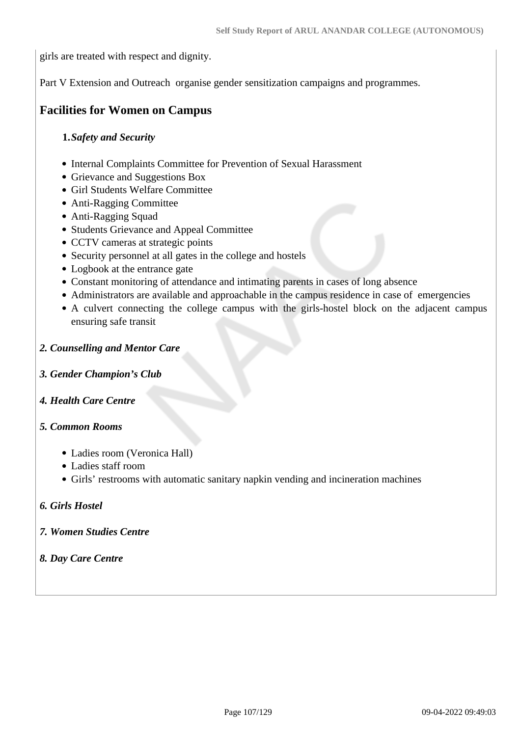girls are treated with respect and dignity.

Part V Extension and Outreach organise gender sensitization campaigns and programmes.

## **Facilities for Women on Campus**

#### **1.***Safety and Security*

- Internal Complaints Committee for Prevention of Sexual Harassment
- Grievance and Suggestions Box
- Girl Students Welfare Committee
- Anti-Ragging Committee
- Anti-Ragging Squad
- Students Grievance and Appeal Committee
- CCTV cameras at strategic points
- Security personnel at all gates in the college and hostels
- Logbook at the entrance gate
- Constant monitoring of attendance and intimating parents in cases of long absence
- Administrators are available and approachable in the campus residence in case of emergencies
- A culvert connecting the college campus with the girls-hostel block on the adjacent campus ensuring safe transit

#### *2. Counselling and Mentor Care*

- *3. Gender Champion's Club*
- *4. Health Care Centre*

#### *5. Common Rooms*

- Ladies room (Veronica Hall)
- Ladies staff room
- Girls' restrooms with automatic sanitary napkin vending and incineration machines

#### *6. Girls Hostel*

- *7. Women Studies Centre*
- *8. Day Care Centre*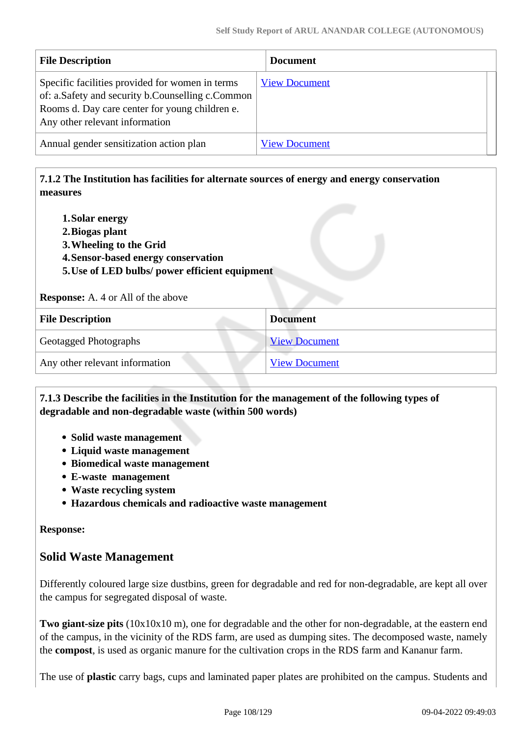| <b>File Description</b>                                                                                                                                                                 | <b>Document</b>      |  |
|-----------------------------------------------------------------------------------------------------------------------------------------------------------------------------------------|----------------------|--|
| Specific facilities provided for women in terms<br>of: a.Safety and security b.Counselling c.Common<br>Rooms d. Day care center for young children e.<br>Any other relevant information | <b>View Document</b> |  |
| Annual gender sensitization action plan                                                                                                                                                 | <b>View Document</b> |  |

## **7.1.2 The Institution has facilities for alternate sources of energy and energy conservation measures**

- **1.Solar energy**
- **2.Biogas plant**
- **3.Wheeling to the Grid**
- **4.Sensor-based energy conservation**
- **5.Use of LED bulbs/ power efficient equipment**

**Response:** A. 4 or All of the above

| <b>File Description</b>        | <b>Document</b>      |
|--------------------------------|----------------------|
| <b>Geotagged Photographs</b>   | <b>View Document</b> |
| Any other relevant information | <b>View Document</b> |

## **7.1.3 Describe the facilities in the Institution for the management of the following types of degradable and non-degradable waste (within 500 words)**

- **Solid waste management**
- **Liquid waste management**
- **Biomedical waste management**
- **E-waste management**
- **Waste recycling system**
- **Hazardous chemicals and radioactive waste management**

#### **Response:**

## **Solid Waste Management**

Differently coloured large size dustbins, green for degradable and red for non-degradable, are kept all over the campus for segregated disposal of waste.

**Two giant-size pits** (10x10x10 m), one for degradable and the other for non-degradable, at the eastern end of the campus, in the vicinity of the RDS farm, are used as dumping sites. The decomposed waste, namely the **compost**, is used as organic manure for the cultivation crops in the RDS farm and Kananur farm.

The use of **plastic** carry bags, cups and laminated paper plates are prohibited on the campus. Students and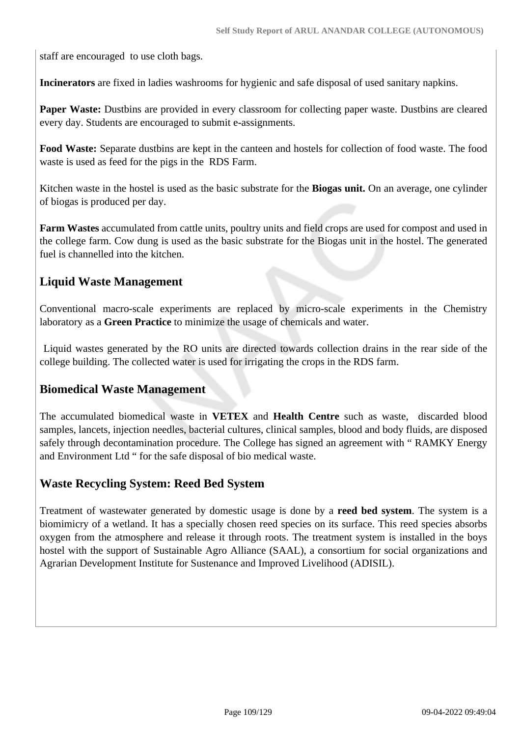staff are encouraged to use cloth bags.

**Incinerators** are fixed in ladies washrooms for hygienic and safe disposal of used sanitary napkins.

**Paper Waste:** Dustbins are provided in every classroom for collecting paper waste. Dustbins are cleared every day. Students are encouraged to submit e-assignments.

**Food Waste:** Separate dustbins are kept in the canteen and hostels for collection of food waste. The food waste is used as feed for the pigs in the RDS Farm.

Kitchen waste in the hostel is used as the basic substrate for the **Biogas unit.** On an average, one cylinder of biogas is produced per day.

**Farm Wastes** accumulated from cattle units, poultry units and field crops are used for compost and used in the college farm. Cow dung is used as the basic substrate for the Biogas unit in the hostel. The generated fuel is channelled into the kitchen.

# **Liquid Waste Management**

Conventional macro-scale experiments are replaced by micro-scale experiments in the Chemistry laboratory as a **Green Practice** to minimize the usage of chemicals and water.

 Liquid wastes generated by the RO units are directed towards collection drains in the rear side of the college building. The collected water is used for irrigating the crops in the RDS farm.

# **Biomedical Waste Management**

The accumulated biomedical waste in **VETEX** and **Health Centre** such as waste, discarded blood samples, lancets, injection needles, bacterial cultures, clinical samples, blood and body fluids, are disposed safely through decontamination procedure. The College has signed an agreement with " RAMKY Energy and Environment Ltd " for the safe disposal of bio medical waste.

# **Waste Recycling System: Reed Bed System**

Treatment of wastewater generated by domestic usage is done by a **reed bed system**. The system is a biomimicry of a wetland. It has a specially chosen reed species on its surface. This reed species absorbs oxygen from the atmosphere and release it through roots. The treatment system is installed in the boys hostel with the support of Sustainable Agro Alliance (SAAL), a consortium for social organizations and Agrarian Development Institute for Sustenance and Improved Livelihood (ADISIL).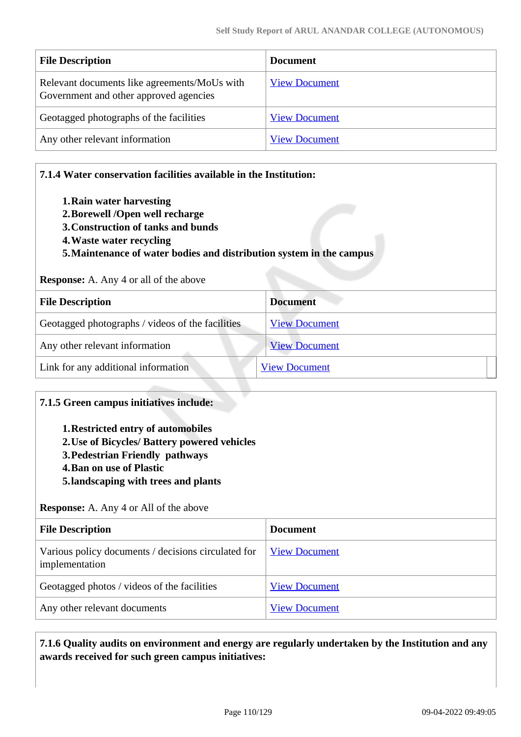| <b>File Description</b>                                                                | <b>Document</b>      |
|----------------------------------------------------------------------------------------|----------------------|
| Relevant documents like agreements/MoUs with<br>Government and other approved agencies | <b>View Document</b> |
| Geotagged photographs of the facilities                                                | <b>View Document</b> |
| Any other relevant information                                                         | <b>View Document</b> |

#### **7.1.4 Water conservation facilities available in the Institution:**

- **1.Rain water harvesting**
- **2.Borewell /Open well recharge**
- **3.Construction of tanks and bunds**
- **4.Waste water recycling**
- **5.Maintenance of water bodies and distribution system in the campus**

#### **Response:** A. Any 4 or all of the above

| <b>File Description</b>                          | <b>Document</b>      |  |  |
|--------------------------------------------------|----------------------|--|--|
| Geotagged photographs / videos of the facilities | <b>View Document</b> |  |  |
| Any other relevant information                   | <b>View Document</b> |  |  |
| Link for any additional information              | <b>View Document</b> |  |  |

#### **7.1.5 Green campus initiatives include:**

- **1.Restricted entry of automobiles**
- **2.Use of Bicycles/ Battery powered vehicles**
- **3.Pedestrian Friendly pathways**
- **4.Ban on use of Plastic**
- **5.landscaping with trees and plants**

**Response:** A. Any 4 or All of the above

| <b>File Description</b>                                               | <b>Document</b>      |
|-----------------------------------------------------------------------|----------------------|
| Various policy documents / decisions circulated for<br>implementation | <b>View Document</b> |
| Geotagged photos / videos of the facilities                           | <b>View Document</b> |
| Any other relevant documents                                          | <b>View Document</b> |

#### **7.1.6 Quality audits on environment and energy are regularly undertaken by the Institution and any awards received for such green campus initiatives:**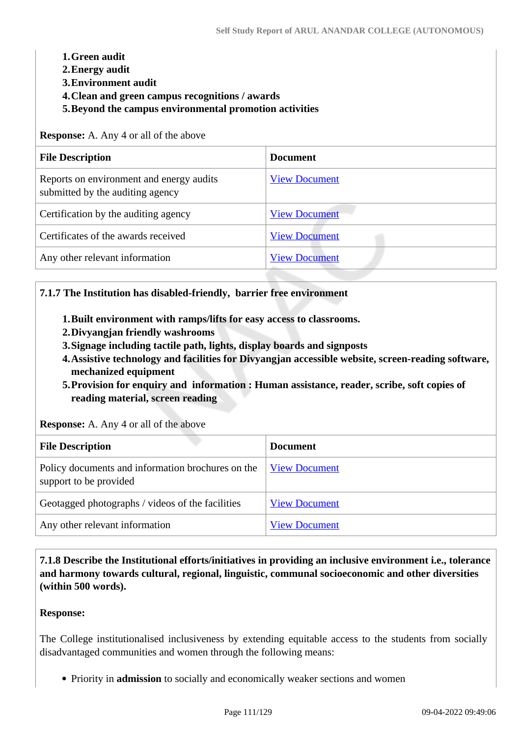#### **1.Green audit**

- **2.Energy audit**
- **3.Environment audit**
- **4.Clean and green campus recognitions / awards**
- **5.Beyond the campus environmental promotion activities**

**Response:** A. Any 4 or all of the above

| <b>File Description</b>                                                      | <b>Document</b>      |  |  |
|------------------------------------------------------------------------------|----------------------|--|--|
| Reports on environment and energy audits<br>submitted by the auditing agency | <b>View Document</b> |  |  |
| Certification by the auditing agency                                         | <b>View Document</b> |  |  |
| Certificates of the awards received                                          | <b>View Document</b> |  |  |
| Any other relevant information                                               | <b>View Document</b> |  |  |

#### **7.1.7 The Institution has disabled-friendly, barrier free environment**

- **1.Built environment with ramps/lifts for easy access to classrooms.**
- **2.Divyangjan friendly washrooms**
- **3.Signage including tactile path, lights, display boards and signposts**
- **4.Assistive technology and facilities for Divyangjan accessible website, screen-reading software, mechanized equipment**
- **5.Provision for enquiry and information : Human assistance, reader, scribe, soft copies of reading material, screen reading**

**Response:** A. Any 4 or all of the above

| <b>File Description</b>                                                     | <b>Document</b>      |
|-----------------------------------------------------------------------------|----------------------|
| Policy documents and information brochures on the<br>support to be provided | <b>View Document</b> |
| Geotagged photographs / videos of the facilities                            | <b>View Document</b> |
| Any other relevant information                                              | <b>View Document</b> |

 **7.1.8 Describe the Institutional efforts/initiatives in providing an inclusive environment i.e., tolerance and harmony towards cultural, regional, linguistic, communal socioeconomic and other diversities (within 500 words).**

#### **Response:**

The College institutionalised inclusiveness by extending equitable access to the students from socially disadvantaged communities and women through the following means:

Priority in **admission** to socially and economically weaker sections and women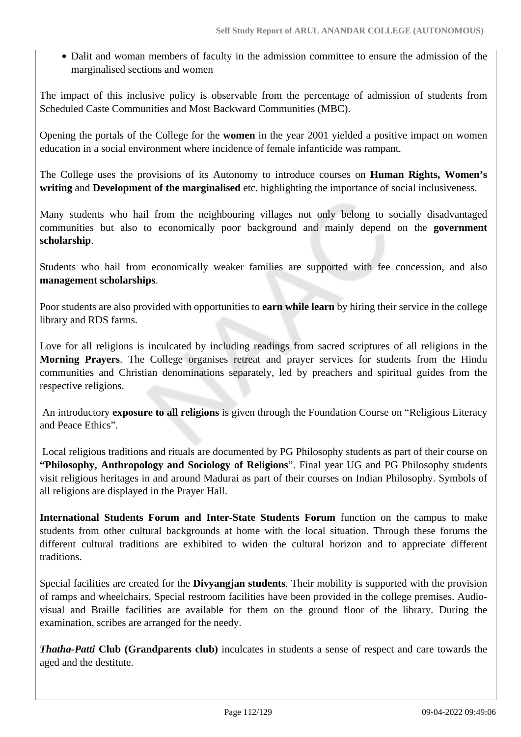Dalit and woman members of faculty in the admission committee to ensure the admission of the marginalised sections and women

The impact of this inclusive policy is observable from the percentage of admission of students from Scheduled Caste Communities and Most Backward Communities (MBC).

Opening the portals of the College for the **women** in the year 2001 yielded a positive impact on women education in a social environment where incidence of female infanticide was rampant.

The College uses the provisions of its Autonomy to introduce courses on **Human Rights, Women's writing** and **Development of the marginalised** etc. highlighting the importance of social inclusiveness.

Many students who hail from the neighbouring villages not only belong to socially disadvantaged communities but also to economically poor background and mainly depend on the **government scholarship**.

Students who hail from economically weaker families are supported with fee concession, and also **management scholarships**.

Poor students are also provided with opportunities to **earn while learn** by hiring their service in the college library and RDS farms.

Love for all religions is inculcated by including readings from sacred scriptures of all religions in the **Morning Prayers**. The College organises retreat and prayer services for students from the Hindu communities and Christian denominations separately, led by preachers and spiritual guides from the respective religions.

 An introductory **exposure to all religions** is given through the Foundation Course on "Religious Literacy and Peace Ethics".

 Local religious traditions and rituals are documented by PG Philosophy students as part of their course on **"Philosophy, Anthropology and Sociology of Religions**". Final year UG and PG Philosophy students visit religious heritages in and around Madurai as part of their courses on Indian Philosophy. Symbols of all religions are displayed in the Prayer Hall.

**International Students Forum and Inter-State Students Forum** function on the campus to make students from other cultural backgrounds at home with the local situation. Through these forums the different cultural traditions are exhibited to widen the cultural horizon and to appreciate different traditions.

Special facilities are created for the **Divyangjan students**. Their mobility is supported with the provision of ramps and wheelchairs. Special restroom facilities have been provided in the college premises. Audiovisual and Braille facilities are available for them on the ground floor of the library. During the examination, scribes are arranged for the needy.

*Thatha-Patti* **Club (Grandparents club)** inculcates in students a sense of respect and care towards the aged and the destitute.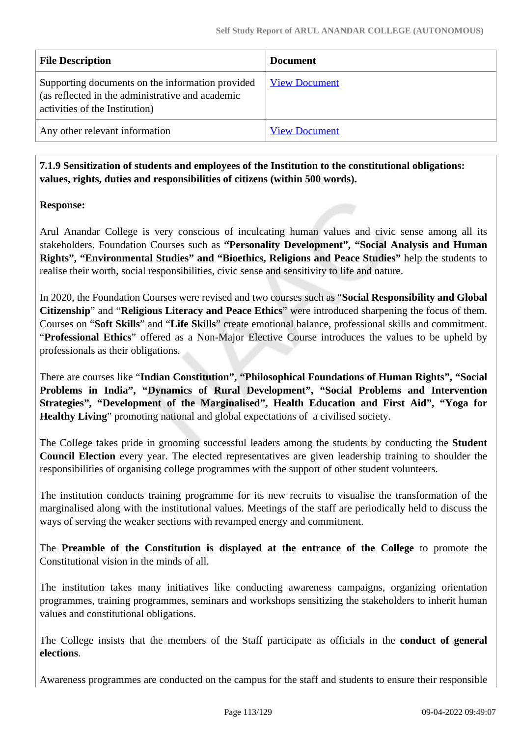| <b>File Description</b>                                                                                                                | <b>Document</b>      |
|----------------------------------------------------------------------------------------------------------------------------------------|----------------------|
| Supporting documents on the information provided<br>(as reflected in the administrative and academic<br>activities of the Institution) | <b>View Document</b> |
| Any other relevant information                                                                                                         | <b>View Document</b> |

 **7.1.9 Sensitization of students and employees of the Institution to the constitutional obligations: values, rights, duties and responsibilities of citizens (within 500 words).**

#### **Response:**

Arul Anandar College is very conscious of inculcating human values and civic sense among all its stakeholders. Foundation Courses such as **"Personality Development", "Social Analysis and Human Rights", "Environmental Studies" and "Bioethics, Religions and Peace Studies"** help the students to realise their worth, social responsibilities, civic sense and sensitivity to life and nature.

In 2020, the Foundation Courses were revised and two courses such as "**Social Responsibility and Global Citizenship**" and "**Religious Literacy and Peace Ethics**" were introduced sharpening the focus of them. Courses on "**Soft Skills**" and "**Life Skills**" create emotional balance, professional skills and commitment. "**Professional Ethics**" offered as a Non-Major Elective Course introduces the values to be upheld by professionals as their obligations.

There are courses like "**Indian Constitution", "Philosophical Foundations of Human Rights", "Social Problems in India", "Dynamics of Rural Development", "Social Problems and Intervention Strategies", "Development of the Marginalised", Health Education and First Aid", "Yoga for Healthy Living**" promoting national and global expectations of a civilised society.

The College takes pride in grooming successful leaders among the students by conducting the **Student Council Election** every year. The elected representatives are given leadership training to shoulder the responsibilities of organising college programmes with the support of other student volunteers.

The institution conducts training programme for its new recruits to visualise the transformation of the marginalised along with the institutional values. Meetings of the staff are periodically held to discuss the ways of serving the weaker sections with revamped energy and commitment.

The **Preamble of the Constitution is displayed at the entrance of the College** to promote the Constitutional vision in the minds of all.

The institution takes many initiatives like conducting awareness campaigns, organizing orientation programmes, training programmes, seminars and workshops sensitizing the stakeholders to inherit human values and constitutional obligations.

The College insists that the members of the Staff participate as officials in the **conduct of general elections**.

Awareness programmes are conducted on the campus for the staff and students to ensure their responsible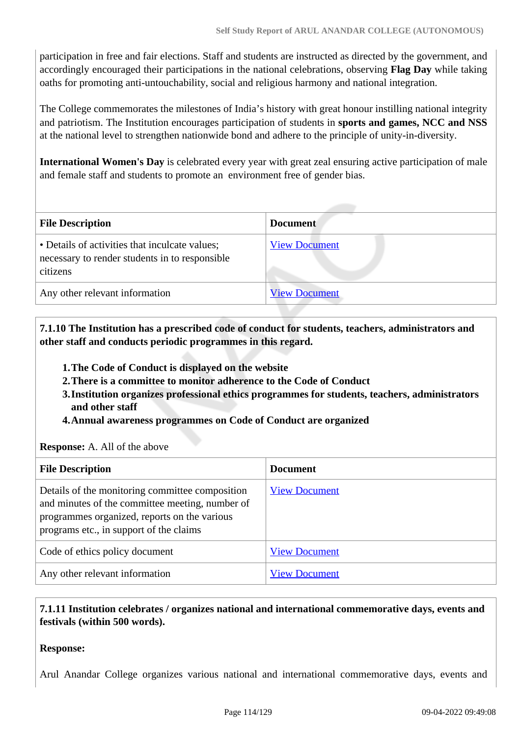participation in free and fair elections. Staff and students are instructed as directed by the government, and accordingly encouraged their participations in the national celebrations, observing **Flag Day** while taking oaths for promoting anti-untouchability, social and religious harmony and national integration.

The College commemorates the milestones of India's history with great honour instilling national integrity and patriotism. The Institution encourages participation of students in **sports and games, NCC and NSS** at the national level to strengthen nationwide bond and adhere to the principle of unity-in-diversity.

**International Women's Day** is celebrated every year with great zeal ensuring active participation of male and female staff and students to promote an environment free of gender bias.

| <b>File Description</b>                                                                                      | <b>Document</b>      |  |  |  |  |
|--------------------------------------------------------------------------------------------------------------|----------------------|--|--|--|--|
| • Details of activities that inculcate values;<br>necessary to render students in to responsible<br>citizens | <b>View Document</b> |  |  |  |  |
| Any other relevant information                                                                               | <b>View Document</b> |  |  |  |  |

 **7.1.10 The Institution has a prescribed code of conduct for students, teachers, administrators and other staff and conducts periodic programmes in this regard.** 

- **1.The Code of Conduct is displayed on the website**
- **2.There is a committee to monitor adherence to the Code of Conduct**
- **3.Institution organizes professional ethics programmes for students, teachers, administrators and other staff**
- **4.Annual awareness programmes on Code of Conduct are organized**

**Response:** A. All of the above

| <b>File Description</b>                                                                                                                                                                       | <b>Document</b>      |
|-----------------------------------------------------------------------------------------------------------------------------------------------------------------------------------------------|----------------------|
| Details of the monitoring committee composition<br>and minutes of the committee meeting, number of<br>programmes organized, reports on the various<br>programs etc., in support of the claims | <b>View Document</b> |
| Code of ethics policy document                                                                                                                                                                | <b>View Document</b> |
| Any other relevant information                                                                                                                                                                | <b>View Document</b> |

# **7.1.11 Institution celebrates / organizes national and international commemorative days, events and festivals (within 500 words).**

#### **Response:**

Arul Anandar College organizes various national and international commemorative days, events and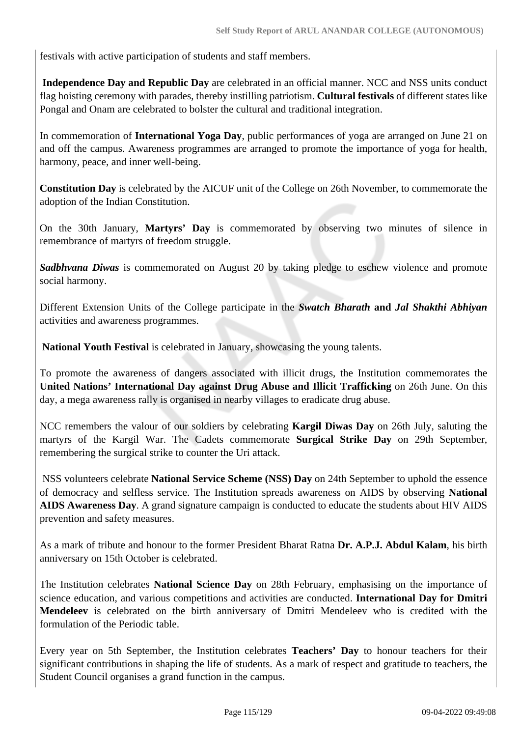festivals with active participation of students and staff members.

**Independence Day and Republic Day** are celebrated in an official manner. NCC and NSS units conduct flag hoisting ceremony with parades, thereby instilling patriotism. **Cultural festivals** of different states like Pongal and Onam are celebrated to bolster the cultural and traditional integration.

In commemoration of **International Yoga Day**, public performances of yoga are arranged on June 21 on and off the campus. Awareness programmes are arranged to promote the importance of yoga for health, harmony, peace, and inner well-being.

**Constitution Day** is celebrated by the AICUF unit of the College on 26th November, to commemorate the adoption of the Indian Constitution.

On the 30th January, **Martyrs' Day** is commemorated by observing two minutes of silence in remembrance of martyrs of freedom struggle.

*Sadbhvana Diwas* is commemorated on August 20 by taking pledge to eschew violence and promote social harmony.

Different Extension Units of the College participate in the *Swatch Bharath* **and** *Jal Shakthi Abhiyan* activities and awareness programmes.

**National Youth Festival** is celebrated in January, showcasing the young talents.

To promote the awareness of dangers associated with illicit drugs, the Institution commemorates the **United Nations' International Day against Drug Abuse and Illicit Trafficking** on 26th June. On this day, a mega awareness rally is organised in nearby villages to eradicate drug abuse.

NCC remembers the valour of our soldiers by celebrating **Kargil Diwas Day** on 26th July, saluting the martyrs of the Kargil War. The Cadets commemorate **Surgical Strike Day** on 29th September, remembering the surgical strike to counter the Uri attack.

 NSS volunteers celebrate **National Service Scheme (NSS) Day** on 24th September to uphold the essence of democracy and selfless service. The Institution spreads awareness on AIDS by observing **National AIDS Awareness Day**. A grand signature campaign is conducted to educate the students about HIV AIDS prevention and safety measures.

As a mark of tribute and honour to the former President Bharat Ratna **Dr. A.P.J. Abdul Kalam**, his birth anniversary on 15th October is celebrated.

The Institution celebrates **National Science Day** on 28th February, emphasising on the importance of science education, and various competitions and activities are conducted. **International Day for Dmitri Mendeleev** is celebrated on the birth anniversary of Dmitri Mendeleev who is credited with the formulation of the Periodic table.

Every year on 5th September, the Institution celebrates **Teachers' Day** to honour teachers for their significant contributions in shaping the life of students. As a mark of respect and gratitude to teachers, the Student Council organises a grand function in the campus.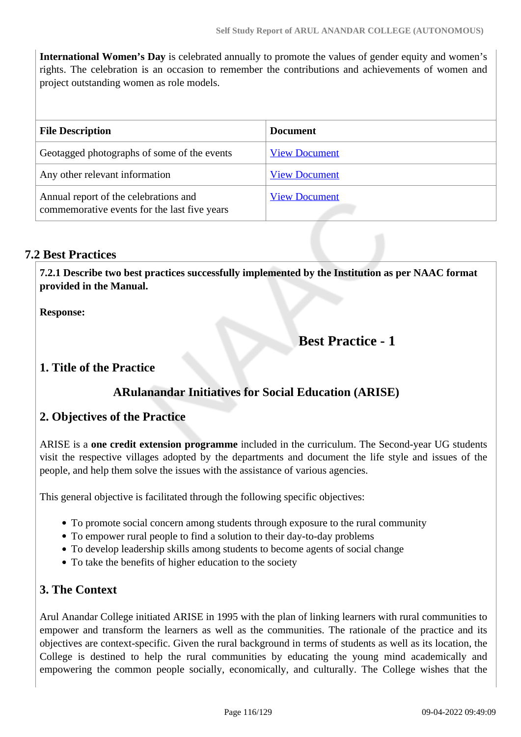**International Women's Day** is celebrated annually to promote the values of gender equity and women's rights. The celebration is an occasion to remember the contributions and achievements of women and project outstanding women as role models.

| <b>File Description</b>                                                               | <b>Document</b>      |  |  |
|---------------------------------------------------------------------------------------|----------------------|--|--|
| Geotagged photographs of some of the events                                           | <b>View Document</b> |  |  |
| Any other relevant information                                                        | <b>View Document</b> |  |  |
| Annual report of the celebrations and<br>commemorative events for the last five years | <b>View Document</b> |  |  |

# **7.2 Best Practices**

 **7.2.1 Describe two best practices successfully implemented by the Institution as per NAAC format provided in the Manual.**

**Response:** 

# **Best Practice - 1**

# **1. Title of the Practice**

# **ARulanandar Initiatives for Social Education (ARISE)**

# **2. Objectives of the Practice**

ARISE is a **one credit extension programme** included in the curriculum. The Second-year UG students visit the respective villages adopted by the departments and document the life style and issues of the people, and help them solve the issues with the assistance of various agencies.

This general objective is facilitated through the following specific objectives:

- To promote social concern among students through exposure to the rural community
- To empower rural people to find a solution to their day-to-day problems
- To develop leadership skills among students to become agents of social change
- To take the benefits of higher education to the society

# **3. The Context**

Arul Anandar College initiated ARISE in 1995 with the plan of linking learners with rural communities to empower and transform the learners as well as the communities. The rationale of the practice and its objectives are context-specific. Given the rural background in terms of students as well as its location, the College is destined to help the rural communities by educating the young mind academically and empowering the common people socially, economically, and culturally. The College wishes that the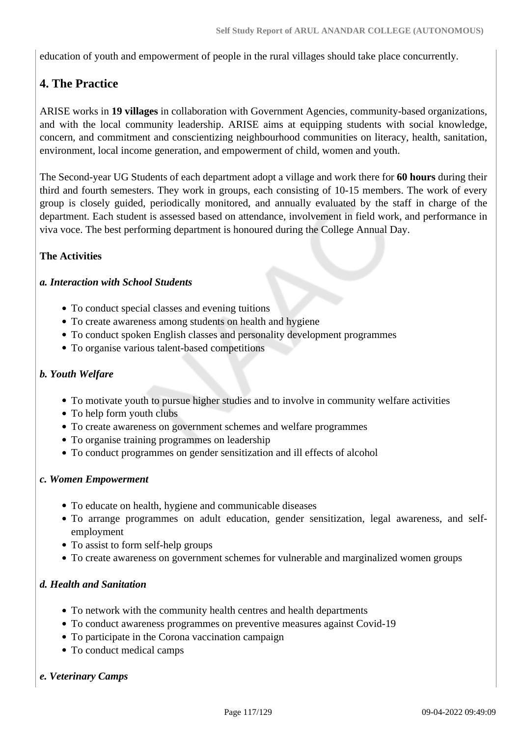education of youth and empowerment of people in the rural villages should take place concurrently.

# **4. The Practice**

ARISE works in **19 villages** in collaboration with Government Agencies, community-based organizations, and with the local community leadership. ARISE aims at equipping students with social knowledge, concern, and commitment and conscientizing neighbourhood communities on literacy, health, sanitation, environment, local income generation, and empowerment of child, women and youth.

The Second-year UG Students of each department adopt a village and work there for **60 hours** during their third and fourth semesters. They work in groups, each consisting of 10-15 members. The work of every group is closely guided, periodically monitored, and annually evaluated by the staff in charge of the department. Each student is assessed based on attendance, involvement in field work, and performance in viva voce. The best performing department is honoured during the College Annual Day.

# **The Activities**

#### *a. Interaction with School Students*

- To conduct special classes and evening tuitions
- To create awareness among students on health and hygiene
- To conduct spoken English classes and personality development programmes
- To organise various talent-based competitions

#### *b. Youth Welfare*

- To motivate youth to pursue higher studies and to involve in community welfare activities
- To help form youth clubs
- To create awareness on government schemes and welfare programmes
- To organise training programmes on leadership
- To conduct programmes on gender sensitization and ill effects of alcohol

#### *c. Women Empowerment*

- To educate on health, hygiene and communicable diseases
- To arrange programmes on adult education, gender sensitization, legal awareness, and selfemployment
- To assist to form self-help groups
- To create awareness on government schemes for vulnerable and marginalized women groups

# *d. Health and Sanitation*

- To network with the community health centres and health departments
- To conduct awareness programmes on preventive measures against Covid-19
- To participate in the Corona vaccination campaign
- To conduct medical camps

# *e. Veterinary Camps*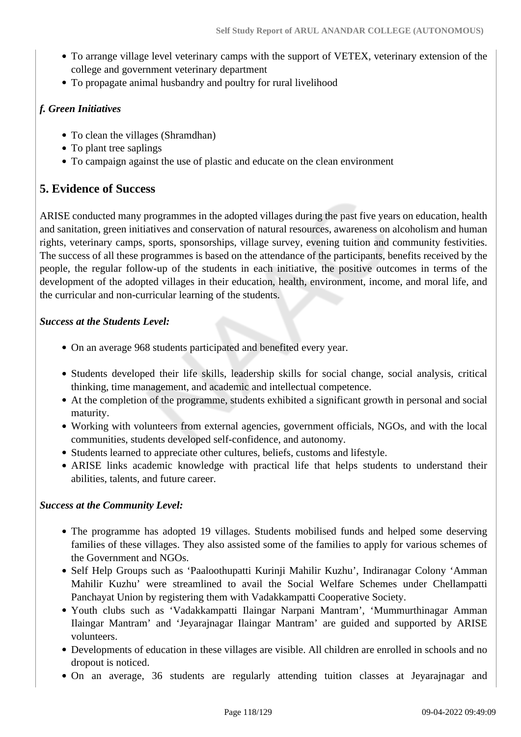- To arrange village level veterinary camps with the support of VETEX, veterinary extension of the college and government veterinary department
- To propagate animal husbandry and poultry for rural livelihood

# *f. Green Initiatives*

- To clean the villages (Shramdhan)
- To plant tree saplings
- To campaign against the use of plastic and educate on the clean environment

# **5. Evidence of Success**

ARISE conducted many programmes in the adopted villages during the past five years on education, health and sanitation, green initiatives and conservation of natural resources, awareness on alcoholism and human rights, veterinary camps, sports, sponsorships, village survey, evening tuition and community festivities. The success of all these programmes is based on the attendance of the participants, benefits received by the people, the regular follow-up of the students in each initiative, the positive outcomes in terms of the development of the adopted villages in their education, health, environment, income, and moral life, and the curricular and non-curricular learning of the students.

#### *Success at the Students Level:*

- On an average 968 students participated and benefited every year.
- Students developed their life skills, leadership skills for social change, social analysis, critical thinking, time management, and academic and intellectual competence.
- At the completion of the programme, students exhibited a significant growth in personal and social maturity.
- Working with volunteers from external agencies, government officials, NGOs, and with the local communities, students developed self-confidence, and autonomy.
- Students learned to appreciate other cultures, beliefs, customs and lifestyle.
- ARISE links academic knowledge with practical life that helps students to understand their abilities, talents, and future career.

# *Success at the Community Level:*

- The programme has adopted 19 villages. Students mobilised funds and helped some deserving families of these villages. They also assisted some of the families to apply for various schemes of the Government and NGOs.
- Self Help Groups such as 'Paaloothupatti Kurinji Mahilir Kuzhu', Indiranagar Colony 'Amman Mahilir Kuzhu' were streamlined to avail the Social Welfare Schemes under Chellampatti Panchayat Union by registering them with Vadakkampatti Cooperative Society.
- Youth clubs such as 'Vadakkampatti Ilaingar Narpani Mantram', 'Mummurthinagar Amman Ilaingar Mantram' and 'Jeyarajnagar Ilaingar Mantram' are guided and supported by ARISE volunteers.
- Developments of education in these villages are visible. All children are enrolled in schools and no dropout is noticed.
- On an average, 36 students are regularly attending tuition classes at Jeyarajnagar and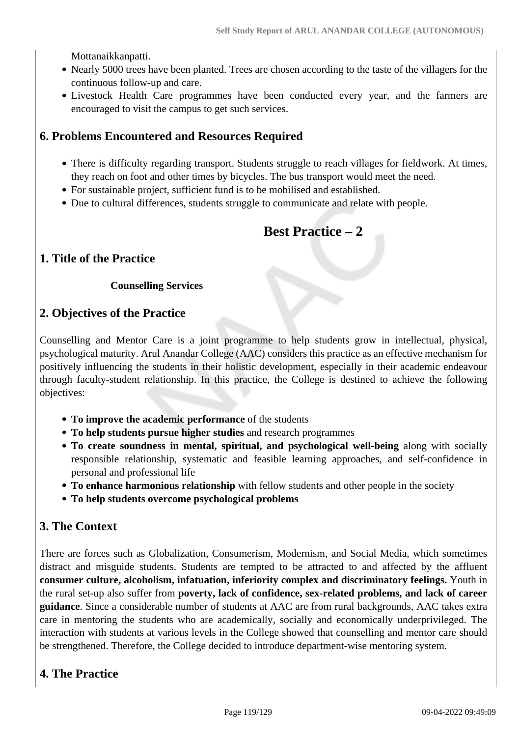Mottanaikkanpatti.

- Nearly 5000 trees have been planted. Trees are chosen according to the taste of the villagers for the continuous follow-up and care.
- Livestock Health Care programmes have been conducted every year, and the farmers are encouraged to visit the campus to get such services.

# **6. Problems Encountered and Resources Required**

- There is difficulty regarding transport. Students struggle to reach villages for fieldwork. At times, they reach on foot and other times by bicycles. The bus transport would meet the need.
- For sustainable project, sufficient fund is to be mobilised and established.
- Due to cultural differences, students struggle to communicate and relate with people.

# **Best Practice – 2**

# **1. Title of the Practice**

#### **Counselling Services**

# **2. Objectives of the Practice**

Counselling and Mentor Care is a joint programme to help students grow in intellectual, physical, psychological maturity. Arul Anandar College (AAC) considers this practice as an effective mechanism for positively influencing the students in their holistic development, especially in their academic endeavour through faculty-student relationship. In this practice, the College is destined to achieve the following objectives:

- **To improve the academic performance** of the students
- **To help students pursue higher studies** and research programmes
- **To create soundness in mental, spiritual, and psychological well-being** along with socially responsible relationship, systematic and feasible learning approaches, and self-confidence in personal and professional life
- **To enhance harmonious relationship** with fellow students and other people in the society
- **To help students overcome psychological problems**

# **3. The Context**

There are forces such as Globalization, Consumerism, Modernism, and Social Media, which sometimes distract and misguide students. Students are tempted to be attracted to and affected by the affluent **consumer culture, alcoholism, infatuation, inferiority complex and discriminatory feelings.** Youth in the rural set-up also suffer from **poverty, lack of confidence, sex-related problems, and lack of career guidance**. Since a considerable number of students at AAC are from rural backgrounds, AAC takes extra care in mentoring the students who are academically, socially and economically underprivileged. The interaction with students at various levels in the College showed that counselling and mentor care should be strengthened. Therefore, the College decided to introduce department-wise mentoring system.

# **4. The Practice**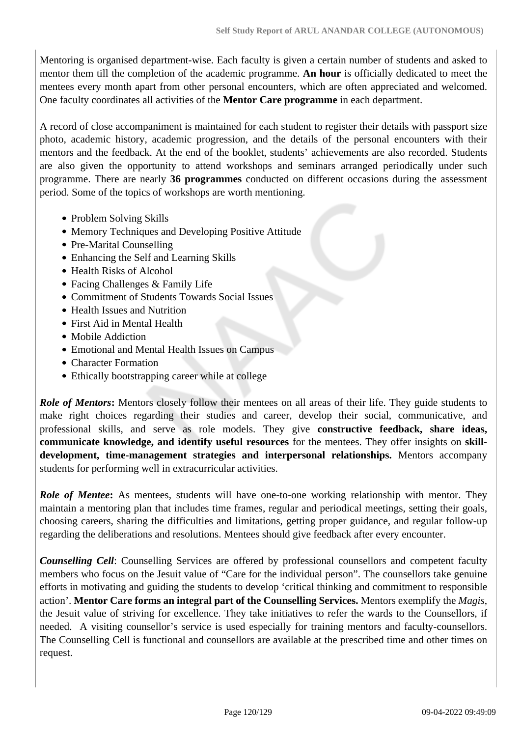Mentoring is organised department-wise. Each faculty is given a certain number of students and asked to mentor them till the completion of the academic programme. **An hour** is officially dedicated to meet the mentees every month apart from other personal encounters, which are often appreciated and welcomed. One faculty coordinates all activities of the **Mentor Care programme** in each department.

A record of close accompaniment is maintained for each student to register their details with passport size photo, academic history, academic progression, and the details of the personal encounters with their mentors and the feedback. At the end of the booklet, students' achievements are also recorded. Students are also given the opportunity to attend workshops and seminars arranged periodically under such programme. There are nearly **36 programmes** conducted on different occasions during the assessment period. Some of the topics of workshops are worth mentioning.

- Problem Solving Skills
- Memory Techniques and Developing Positive Attitude
- Pre-Marital Counselling
- Enhancing the Self and Learning Skills
- Health Risks of Alcohol
- Facing Challenges & Family Life
- Commitment of Students Towards Social Issues
- Health Issues and Nutrition
- First Aid in Mental Health
- Mobile Addiction
- Emotional and Mental Health Issues on Campus
- Character Formation
- Ethically bootstrapping career while at college

*Role of Mentors***:** Mentors closely follow their mentees on all areas of their life. They guide students to make right choices regarding their studies and career, develop their social, communicative, and professional skills, and serve as role models. They give **constructive feedback, share ideas, communicate knowledge, and identify useful resources** for the mentees. They offer insights on **skilldevelopment, time-management strategies and interpersonal relationships.** Mentors accompany students for performing well in extracurricular activities.

**Role of Mentee:** As mentees, students will have one-to-one working relationship with mentor. They maintain a mentoring plan that includes time frames, regular and periodical meetings, setting their goals, choosing careers, sharing the difficulties and limitations, getting proper guidance, and regular follow-up regarding the deliberations and resolutions. Mentees should give feedback after every encounter.

*Counselling Cell*: Counselling Services are offered by professional counsellors and competent faculty members who focus on the Jesuit value of "Care for the individual person". The counsellors take genuine efforts in motivating and guiding the students to develop 'critical thinking and commitment to responsible action'. **Mentor Care forms an integral part of the Counselling Services.** Mentors exemplify the *Magis*, the Jesuit value of striving for excellence. They take initiatives to refer the wards to the Counsellors, if needed. A visiting counsellor's service is used especially for training mentors and faculty-counsellors. The Counselling Cell is functional and counsellors are available at the prescribed time and other times on request.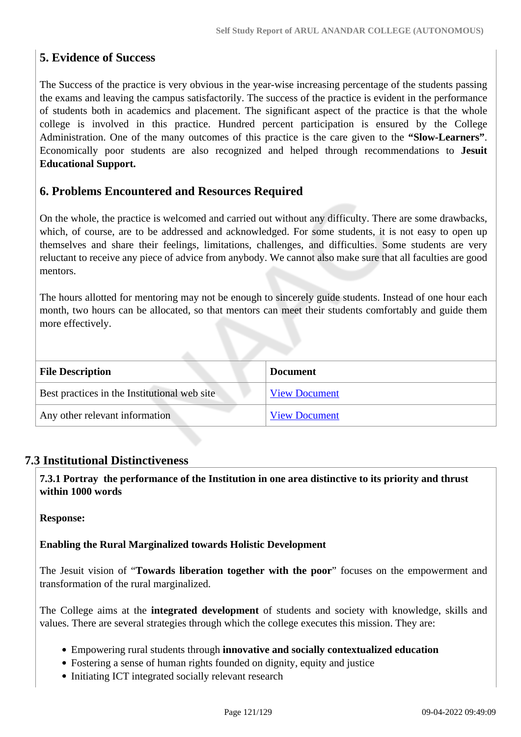# **5. Evidence of Success**

The Success of the practice is very obvious in the year-wise increasing percentage of the students passing the exams and leaving the campus satisfactorily. The success of the practice is evident in the performance of students both in academics and placement. The significant aspect of the practice is that the whole college is involved in this practice. Hundred percent participation is ensured by the College Administration. One of the many outcomes of this practice is the care given to the **"Slow-Learners"**. Economically poor students are also recognized and helped through recommendations to **Jesuit Educational Support.** 

# **6. Problems Encountered and Resources Required**

On the whole, the practice is welcomed and carried out without any difficulty. There are some drawbacks, which, of course, are to be addressed and acknowledged. For some students, it is not easy to open up themselves and share their feelings, limitations, challenges, and difficulties. Some students are very reluctant to receive any piece of advice from anybody. We cannot also make sure that all faculties are good mentors.

The hours allotted for mentoring may not be enough to sincerely guide students. Instead of one hour each month, two hours can be allocated, so that mentors can meet their students comfortably and guide them more effectively.

| <b>File Description</b>                      | <b>Document</b>      |
|----------------------------------------------|----------------------|
| Best practices in the Institutional web site | <b>View Document</b> |
| Any other relevant information               | <b>View Document</b> |

# **7.3 Institutional Distinctiveness**

 **7.3.1 Portray the performance of the Institution in one area distinctive to its priority and thrust within 1000 words**

**Response:** 

# **Enabling the Rural Marginalized towards Holistic Development**

The Jesuit vision of "**Towards liberation together with the poor**" focuses on the empowerment and transformation of the rural marginalized.

The College aims at the **integrated development** of students and society with knowledge, skills and values. There are several strategies through which the college executes this mission. They are:

- Empowering rural students through **innovative and socially contextualized education**
- Fostering a sense of human rights founded on dignity, equity and justice
- Initiating ICT integrated socially relevant research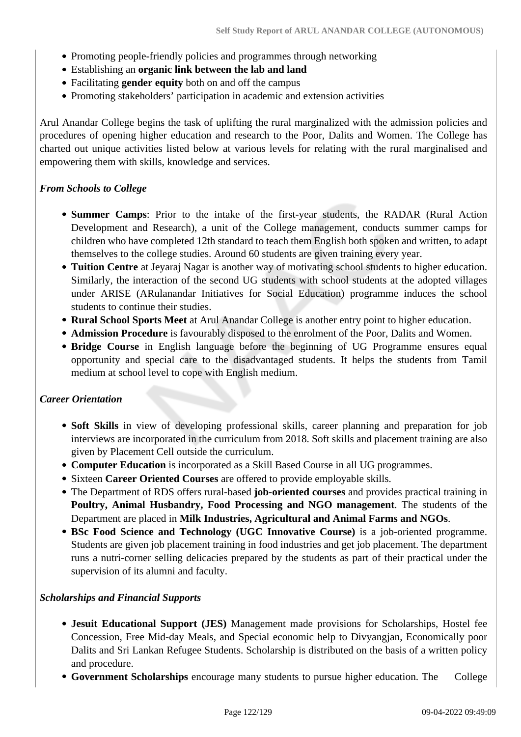- Promoting people-friendly policies and programmes through networking
- Establishing an **organic link between the lab and land**
- Facilitating **gender equity** both on and off the campus
- Promoting stakeholders' participation in academic and extension activities

Arul Anandar College begins the task of uplifting the rural marginalized with the admission policies and procedures of opening higher education and research to the Poor, Dalits and Women. The College has charted out unique activities listed below at various levels for relating with the rural marginalised and empowering them with skills, knowledge and services.

#### *From Schools to College*

- **Summer Camps**: Prior to the intake of the first-year students, the RADAR (Rural Action Development and Research), a unit of the College management, conducts summer camps for children who have completed 12th standard to teach them English both spoken and written, to adapt themselves to the college studies. Around 60 students are given training every year.
- **Tuition Centre** at Jeyaraj Nagar is another way of motivating school students to higher education. Similarly, the interaction of the second UG students with school students at the adopted villages under ARISE (ARulanandar Initiatives for Social Education) programme induces the school students to continue their studies.
- **Rural School Sports Meet** at Arul Anandar College is another entry point to higher education.
- **Admission Procedure** is favourably disposed to the enrolment of the Poor, Dalits and Women.
- **Bridge Course** in English language before the beginning of UG Programme ensures equal opportunity and special care to the disadvantaged students. It helps the students from Tamil medium at school level to cope with English medium.

#### *Career Orientation*

- **Soft Skills** in view of developing professional skills, career planning and preparation for job interviews are incorporated in the curriculum from 2018. Soft skills and placement training are also given by Placement Cell outside the curriculum.
- **Computer Education** is incorporated as a Skill Based Course in all UG programmes.
- Sixteen **Career Oriented Courses** are offered to provide employable skills.
- The Department of RDS offers rural-based **job-oriented courses** and provides practical training in **Poultry, Animal Husbandry, Food Processing and NGO management**. The students of the Department are placed in **Milk Industries, Agricultural and Animal Farms and NGOs**.
- **BSc Food Science and Technology (UGC Innovative Course)** is a job-oriented programme. Students are given job placement training in food industries and get job placement. The department runs a nutri-corner selling delicacies prepared by the students as part of their practical under the supervision of its alumni and faculty.

#### *Scholarships and Financial Supports*

- **Jesuit Educational Support (JES)** Management made provisions for Scholarships, Hostel fee Concession, Free Mid-day Meals, and Special economic help to Divyangjan, Economically poor Dalits and Sri Lankan Refugee Students. Scholarship is distributed on the basis of a written policy and procedure.
- Government Scholarships encourage many students to pursue higher education. The College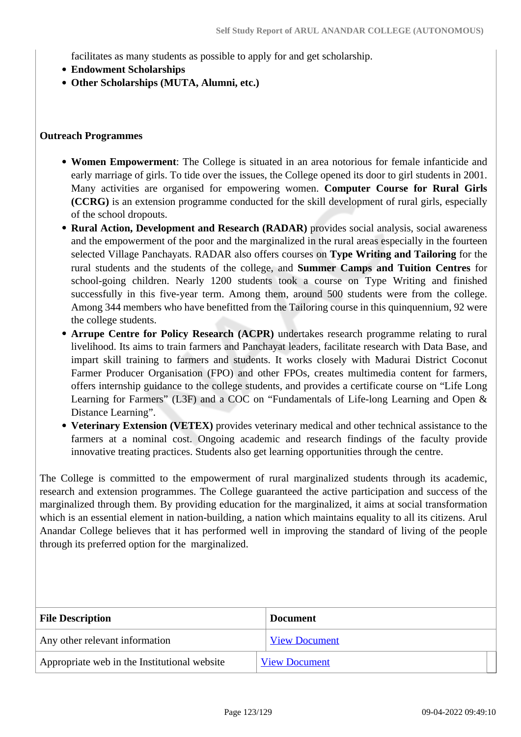facilitates as many students as possible to apply for and get scholarship.

- **Endowment Scholarships**
- **Other Scholarships (MUTA, Alumni, etc.)**

#### **Outreach Programmes**

- **Women Empowerment**: The College is situated in an area notorious for female infanticide and early marriage of girls. To tide over the issues, the College opened its door to girl students in 2001. Many activities are organised for empowering women. **Computer Course for Rural Girls (CCRG)** is an extension programme conducted for the skill development of rural girls, especially of the school dropouts.
- **Rural Action, Development and Research (RADAR)** provides social analysis, social awareness and the empowerment of the poor and the marginalized in the rural areas especially in the fourteen selected Village Panchayats. RADAR also offers courses on **Type Writing and Tailoring** for the rural students and the students of the college, and **Summer Camps and Tuition Centres** for school-going children. Nearly 1200 students took a course on Type Writing and finished successfully in this five-year term. Among them, around 500 students were from the college. Among 344 members who have benefitted from the Tailoring course in this quinquennium, 92 were the college students.
- **Arrupe Centre for Policy Research (ACPR)** undertakes research programme relating to rural livelihood. Its aims to train farmers and Panchayat leaders, facilitate research with Data Base, and impart skill training to farmers and students. It works closely with Madurai District Coconut Farmer Producer Organisation (FPO) and other FPOs, creates multimedia content for farmers, offers internship guidance to the college students, and provides a certificate course on "Life Long Learning for Farmers" (L3F) and a COC on "Fundamentals of Life-long Learning and Open & Distance Learning".
- **Veterinary Extension (VETEX)** provides veterinary medical and other technical assistance to the farmers at a nominal cost. Ongoing academic and research findings of the faculty provide innovative treating practices. Students also get learning opportunities through the centre.

The College is committed to the empowerment of rural marginalized students through its academic, research and extension programmes. The College guaranteed the active participation and success of the marginalized through them. By providing education for the marginalized, it aims at social transformation which is an essential element in nation-building, a nation which maintains equality to all its citizens. Arul Anandar College believes that it has performed well in improving the standard of living of the people through its preferred option for the marginalized.

| <b>File Description</b>                      | <b>Document</b>      |  |  |
|----------------------------------------------|----------------------|--|--|
| Any other relevant information               | <b>View Document</b> |  |  |
| Appropriate web in the Institutional website | <b>View Document</b> |  |  |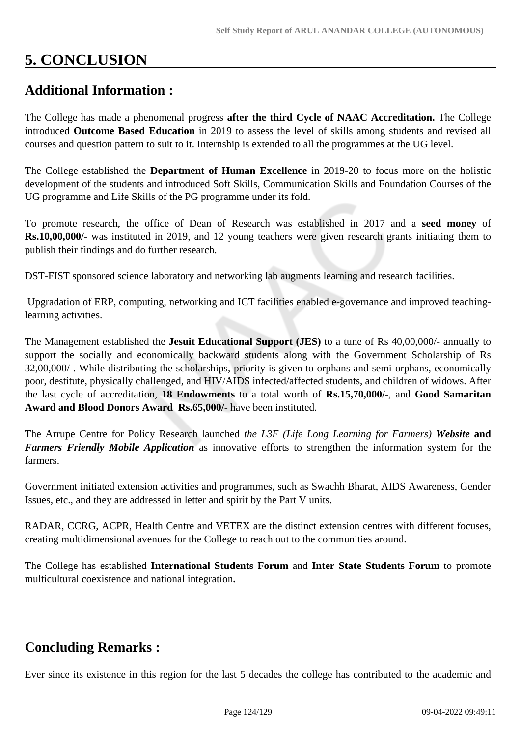# **5. CONCLUSION**

# **Additional Information :**

The College has made a phenomenal progress **after the third Cycle of NAAC Accreditation.** The College introduced **Outcome Based Education** in 2019 to assess the level of skills among students and revised all courses and question pattern to suit to it. Internship is extended to all the programmes at the UG level.

The College established the **Department of Human Excellence** in 2019-20 to focus more on the holistic development of the students and introduced Soft Skills, Communication Skills and Foundation Courses of the UG programme and Life Skills of the PG programme under its fold.

To promote research, the office of Dean of Research was established in 2017 and a **seed money** of **Rs.10,00,000/-** was instituted in 2019, and 12 young teachers were given research grants initiating them to publish their findings and do further research.

DST-FIST sponsored science laboratory and networking lab augments learning and research facilities.

 Upgradation of ERP, computing, networking and ICT facilities enabled e-governance and improved teachinglearning activities.

The Management established the **Jesuit Educational Support (JES)** to a tune of Rs 40,00,000/- annually to support the socially and economically backward students along with the Government Scholarship of Rs 32,00,000/-. While distributing the scholarships, priority is given to orphans and semi-orphans, economically poor, destitute, physically challenged, and HIV/AIDS infected/affected students, and children of widows. After the last cycle of accreditation, **18 Endowments** to a total worth of **Rs.15,70,000/-**, and **Good Samaritan Award and Blood Donors Award Rs.65,000/-** have been instituted.

The Arrupe Centre for Policy Research launched *the L3F (Life Long Learning for Farmers) Website* **and** *Farmers Friendly Mobile Application* as innovative efforts to strengthen the information system for the farmers.

Government initiated extension activities and programmes, such as Swachh Bharat, AIDS Awareness, Gender Issues, etc., and they are addressed in letter and spirit by the Part V units.

RADAR, CCRG, ACPR, Health Centre and VETEX are the distinct extension centres with different focuses, creating multidimensional avenues for the College to reach out to the communities around.

The College has established **International Students Forum** and **Inter State Students Forum** to promote multicultural coexistence and national integration**.** 

# **Concluding Remarks :**

Ever since its existence in this region for the last 5 decades the college has contributed to the academic and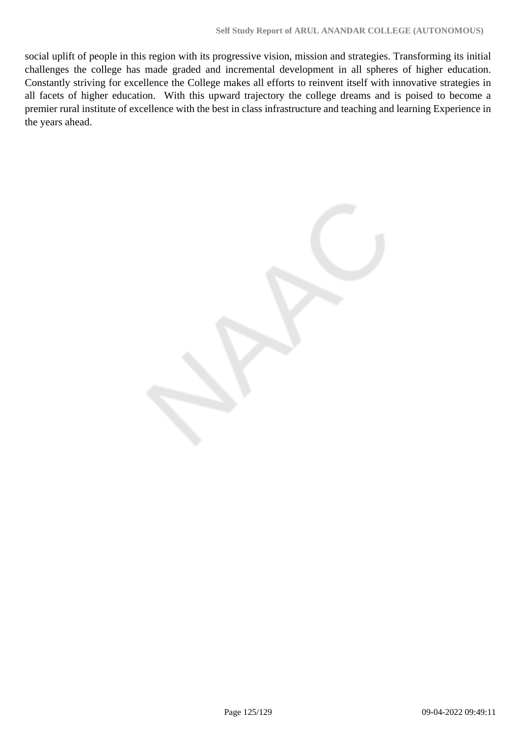social uplift of people in this region with its progressive vision, mission and strategies. Transforming its initial challenges the college has made graded and incremental development in all spheres of higher education. Constantly striving for excellence the College makes all efforts to reinvent itself with innovative strategies in all facets of higher education. With this upward trajectory the college dreams and is poised to become a premier rural institute of excellence with the best in class infrastructure and teaching and learning Experience in the years ahead.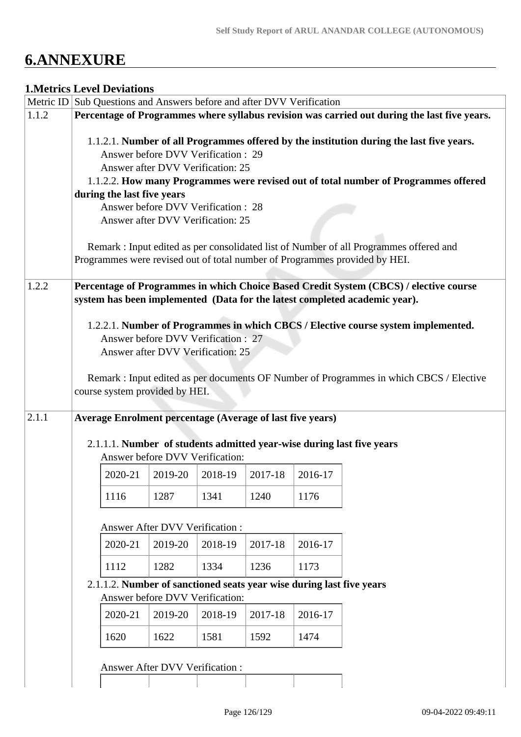# **6.ANNEXURE**

# **1.Metrics Level Deviations**

|                                | Metric ID Sub Questions and Answers before and after DVV Verification                        |                                                                      |         |                                 |         |         |                                                                                          |
|--------------------------------|----------------------------------------------------------------------------------------------|----------------------------------------------------------------------|---------|---------------------------------|---------|---------|------------------------------------------------------------------------------------------|
| 1.1.2                          | Percentage of Programmes where syllabus revision was carried out during the last five years. |                                                                      |         |                                 |         |         |                                                                                          |
|                                |                                                                                              |                                                                      |         |                                 |         |         | 1.1.2.1. Number of all Programmes offered by the institution during the last five years. |
|                                |                                                                                              | Answer before DVV Verification : 29                                  |         |                                 |         |         |                                                                                          |
|                                |                                                                                              | Answer after DVV Verification: 25                                    |         |                                 |         |         |                                                                                          |
|                                |                                                                                              |                                                                      |         |                                 |         |         | 1.1.2.2. How many Programmes were revised out of total number of Programmes offered      |
|                                |                                                                                              | during the last five years<br>Answer before DVV Verification : 28    |         |                                 |         |         |                                                                                          |
|                                |                                                                                              | Answer after DVV Verification: 25                                    |         |                                 |         |         |                                                                                          |
|                                |                                                                                              |                                                                      |         |                                 |         |         |                                                                                          |
|                                |                                                                                              |                                                                      |         |                                 |         |         | Remark: Input edited as per consolidated list of Number of all Programmes offered and    |
|                                |                                                                                              |                                                                      |         |                                 |         |         | Programmes were revised out of total number of Programmes provided by HEI.               |
| 1.2.2                          |                                                                                              |                                                                      |         |                                 |         |         | Percentage of Programmes in which Choice Based Credit System (CBCS) / elective course    |
|                                |                                                                                              |                                                                      |         |                                 |         |         | system has been implemented (Data for the latest completed academic year).               |
|                                |                                                                                              |                                                                      |         |                                 |         |         | 1.2.2.1. Number of Programmes in which CBCS / Elective course system implemented.        |
|                                |                                                                                              | Answer before DVV Verification: 27                                   |         |                                 |         |         |                                                                                          |
|                                |                                                                                              | Answer after DVV Verification: 25                                    |         |                                 |         |         |                                                                                          |
|                                |                                                                                              |                                                                      |         |                                 |         |         |                                                                                          |
|                                |                                                                                              |                                                                      |         |                                 |         |         | Remark : Input edited as per documents OF Number of Programmes in which CBCS / Elective  |
|                                |                                                                                              | course system provided by HEI.                                       |         |                                 |         |         |                                                                                          |
| 2.1.1                          |                                                                                              | <b>Average Enrolment percentage (Average of last five years)</b>     |         |                                 |         |         |                                                                                          |
|                                |                                                                                              |                                                                      |         |                                 |         |         | 2.1.1.1. Number of students admitted year-wise during last five years                    |
|                                |                                                                                              |                                                                      |         | Answer before DVV Verification: |         |         |                                                                                          |
|                                |                                                                                              | 2020-21                                                              | 2019-20 | 2018-19                         | 2017-18 | 2016-17 |                                                                                          |
|                                |                                                                                              |                                                                      |         |                                 |         |         |                                                                                          |
|                                |                                                                                              | 1116                                                                 | 1287    | 1341                            | 1240    | 1176    |                                                                                          |
|                                |                                                                                              | <b>Answer After DVV Verification:</b>                                |         |                                 |         |         |                                                                                          |
|                                |                                                                                              | 2020-21                                                              | 2019-20 | 2018-19                         | 2017-18 | 2016-17 |                                                                                          |
|                                |                                                                                              |                                                                      |         |                                 |         |         |                                                                                          |
|                                |                                                                                              | 1112                                                                 | 1282    | 1334                            | 1236    | 1173    |                                                                                          |
|                                |                                                                                              | 2.1.1.2. Number of sanctioned seats year wise during last five years |         |                                 |         |         |                                                                                          |
|                                |                                                                                              |                                                                      |         | Answer before DVV Verification: |         |         |                                                                                          |
|                                |                                                                                              | 2020-21                                                              | 2019-20 | 2018-19                         | 2017-18 | 2016-17 |                                                                                          |
|                                |                                                                                              | 1620                                                                 | 1622    | 1581                            | 1592    | 1474    |                                                                                          |
| Answer After DVV Verification: |                                                                                              |                                                                      |         |                                 |         |         |                                                                                          |
|                                |                                                                                              |                                                                      |         |                                 |         |         |                                                                                          |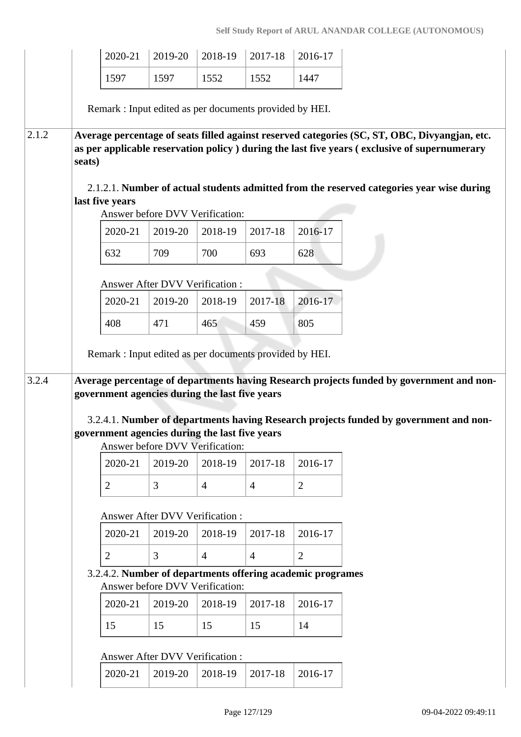|       |        | 2020-21                                                 | 2019-20                               | 2018-19                               | 2017-18        | 2016-17                                                    |                                                                                                                                                                                                |
|-------|--------|---------------------------------------------------------|---------------------------------------|---------------------------------------|----------------|------------------------------------------------------------|------------------------------------------------------------------------------------------------------------------------------------------------------------------------------------------------|
|       |        | 1597                                                    | 1597                                  | 1552                                  | 1552           | 1447                                                       |                                                                                                                                                                                                |
|       |        | Remark: Input edited as per documents provided by HEI.  |                                       |                                       |                |                                                            |                                                                                                                                                                                                |
|       |        |                                                         |                                       |                                       |                |                                                            |                                                                                                                                                                                                |
| 2.1.2 | seats) |                                                         |                                       |                                       |                |                                                            | Average percentage of seats filled against reserved categories (SC, ST, OBC, Divyangjan, etc.<br>as per applicable reservation policy ) during the last five years (exclusive of supernumerary |
|       |        | last five years                                         |                                       |                                       |                |                                                            | 2.1.2.1. Number of actual students admitted from the reserved categories year wise during                                                                                                      |
|       |        |                                                         |                                       | Answer before DVV Verification:       |                |                                                            |                                                                                                                                                                                                |
|       |        | 2020-21                                                 | 2019-20                               | 2018-19                               | 2017-18        | 2016-17                                                    |                                                                                                                                                                                                |
|       |        | 632                                                     | 709                                   | 700                                   | 693            | 628                                                        |                                                                                                                                                                                                |
|       |        |                                                         | <b>Answer After DVV Verification:</b> |                                       |                |                                                            |                                                                                                                                                                                                |
|       |        | 2020-21                                                 | 2019-20                               | 2018-19                               | 2017-18        | 2016-17                                                    |                                                                                                                                                                                                |
|       |        | 408                                                     | 471                                   | 465                                   | 459            | 805                                                        |                                                                                                                                                                                                |
|       |        | Remark : Input edited as per documents provided by HEI. |                                       |                                       |                |                                                            |                                                                                                                                                                                                |
|       |        |                                                         |                                       |                                       |                |                                                            |                                                                                                                                                                                                |
| 3.2.4 |        | government agencies during the last five years          |                                       |                                       |                |                                                            | Average percentage of departments having Research projects funded by government and non-                                                                                                       |
|       |        |                                                         |                                       |                                       |                |                                                            |                                                                                                                                                                                                |
|       |        | government agencies during the last five years          |                                       |                                       |                |                                                            | 3.2.4.1. Number of departments having Research projects funded by government and non-                                                                                                          |
|       |        |                                                         |                                       | Answer before DVV Verification:       |                |                                                            |                                                                                                                                                                                                |
|       |        | 2020-21                                                 | 2019-20                               | 2018-19                               | 2017-18        | 2016-17                                                    |                                                                                                                                                                                                |
|       |        | $\overline{2}$                                          | 3                                     | $\overline{4}$                        | $\overline{4}$ | 2                                                          |                                                                                                                                                                                                |
|       |        |                                                         |                                       | <b>Answer After DVV Verification:</b> |                |                                                            |                                                                                                                                                                                                |
|       |        | 2020-21                                                 | 2019-20                               | 2018-19                               | 2017-18        | 2016-17                                                    |                                                                                                                                                                                                |
|       |        | $\overline{2}$                                          | 3                                     | $\overline{4}$                        | $\overline{4}$ | $\overline{2}$                                             |                                                                                                                                                                                                |
|       |        |                                                         |                                       |                                       |                | 3.2.4.2. Number of departments offering academic programes |                                                                                                                                                                                                |
|       |        |                                                         |                                       | Answer before DVV Verification:       |                |                                                            |                                                                                                                                                                                                |
|       |        | 2020-21                                                 | 2019-20                               | 2018-19                               | 2017-18        | 2016-17                                                    |                                                                                                                                                                                                |
|       |        | 15                                                      | 15                                    | 15                                    | 15             | 14                                                         |                                                                                                                                                                                                |
|       |        |                                                         | Answer After DVV Verification :       |                                       |                |                                                            |                                                                                                                                                                                                |
|       |        | 2020-21                                                 | 2019-20                               | 2018-19                               | 2017-18        | 2016-17                                                    |                                                                                                                                                                                                |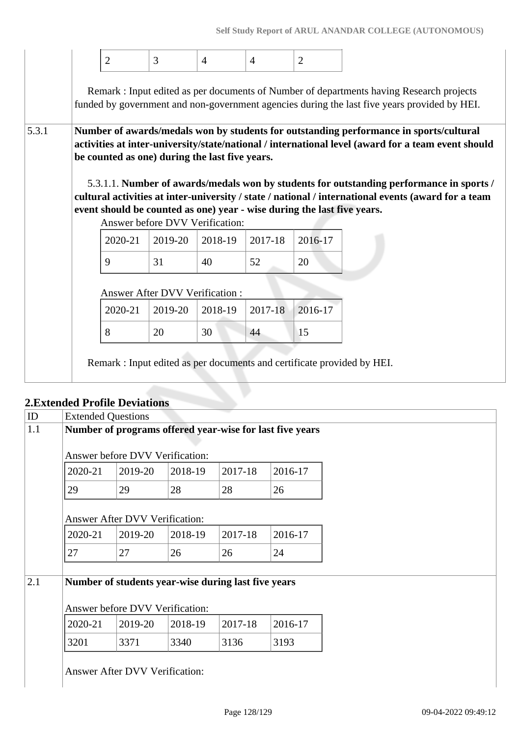|       |                                                                                                                                                                                                                                                | $\overline{2}$                                                          | 3                                     | $\overline{4}$ | $\overline{4}$ | $\overline{2}$ |                                                                                                                                                                                         |  |  |  |
|-------|------------------------------------------------------------------------------------------------------------------------------------------------------------------------------------------------------------------------------------------------|-------------------------------------------------------------------------|---------------------------------------|----------------|----------------|----------------|-----------------------------------------------------------------------------------------------------------------------------------------------------------------------------------------|--|--|--|
|       |                                                                                                                                                                                                                                                |                                                                         |                                       |                |                |                | Remark: Input edited as per documents of Number of departments having Research projects<br>funded by government and non-government agencies during the last five years provided by HEI. |  |  |  |
| 5.3.1 | Number of awards/medals won by students for outstanding performance in sports/cultural<br>activities at inter-university/state/national / international level (award for a team event should<br>be counted as one) during the last five years. |                                                                         |                                       |                |                |                |                                                                                                                                                                                         |  |  |  |
|       |                                                                                                                                                                                                                                                |                                                                         |                                       |                |                |                | 5.3.1.1. Number of awards/medals won by students for outstanding performance in sports /                                                                                                |  |  |  |
|       |                                                                                                                                                                                                                                                | event should be counted as one) year - wise during the last five years. | Answer before DVV Verification:       |                |                |                | cultural activities at inter-university / state / national / international events (award for a team                                                                                     |  |  |  |
|       |                                                                                                                                                                                                                                                | 2020-21                                                                 | 2019-20                               | 2018-19        | 2017-18        | 2016-17        |                                                                                                                                                                                         |  |  |  |
|       |                                                                                                                                                                                                                                                | 9                                                                       | 31                                    | 40             | 52             | 20             |                                                                                                                                                                                         |  |  |  |
|       |                                                                                                                                                                                                                                                |                                                                         | <b>Answer After DVV Verification:</b> |                |                |                |                                                                                                                                                                                         |  |  |  |
|       |                                                                                                                                                                                                                                                | 2020-21                                                                 | 2019-20                               | 2018-19        | 2017-18        | 2016-17        |                                                                                                                                                                                         |  |  |  |

# **2.Extended Profile Deviations**

|     | 2. Extended 1 forme <i>D</i> eviations                   |                                                                                        |         |         |         |  |  |  |
|-----|----------------------------------------------------------|----------------------------------------------------------------------------------------|---------|---------|---------|--|--|--|
| ID  | <b>Extended Questions</b>                                |                                                                                        |         |         |         |  |  |  |
| 1.1 | Number of programs offered year-wise for last five years |                                                                                        |         |         |         |  |  |  |
|     |                                                          |                                                                                        |         |         |         |  |  |  |
|     |                                                          | Answer before DVV Verification:                                                        |         |         |         |  |  |  |
|     | 2020-21                                                  | 2019-20                                                                                | 2018-19 | 2017-18 | 2016-17 |  |  |  |
|     | 29                                                       | 29                                                                                     | 28      | 28      | 26      |  |  |  |
|     |                                                          | <b>Answer After DVV Verification:</b>                                                  |         |         |         |  |  |  |
|     | 2020-21                                                  | 2019-20                                                                                | 2018-19 | 2017-18 | 2016-17 |  |  |  |
|     | 27                                                       | 27                                                                                     | 26      | 26      | 24      |  |  |  |
| 2.1 |                                                          | Number of students year-wise during last five years<br>Answer before DVV Verification: |         |         |         |  |  |  |
|     | 2020-21                                                  | 2019-20                                                                                | 2018-19 | 2017-18 | 2016-17 |  |  |  |
|     | 3201                                                     | 3371                                                                                   | 3340    | 3136    | 3193    |  |  |  |
|     |                                                          | Answer After DVV Verification:                                                         |         |         |         |  |  |  |